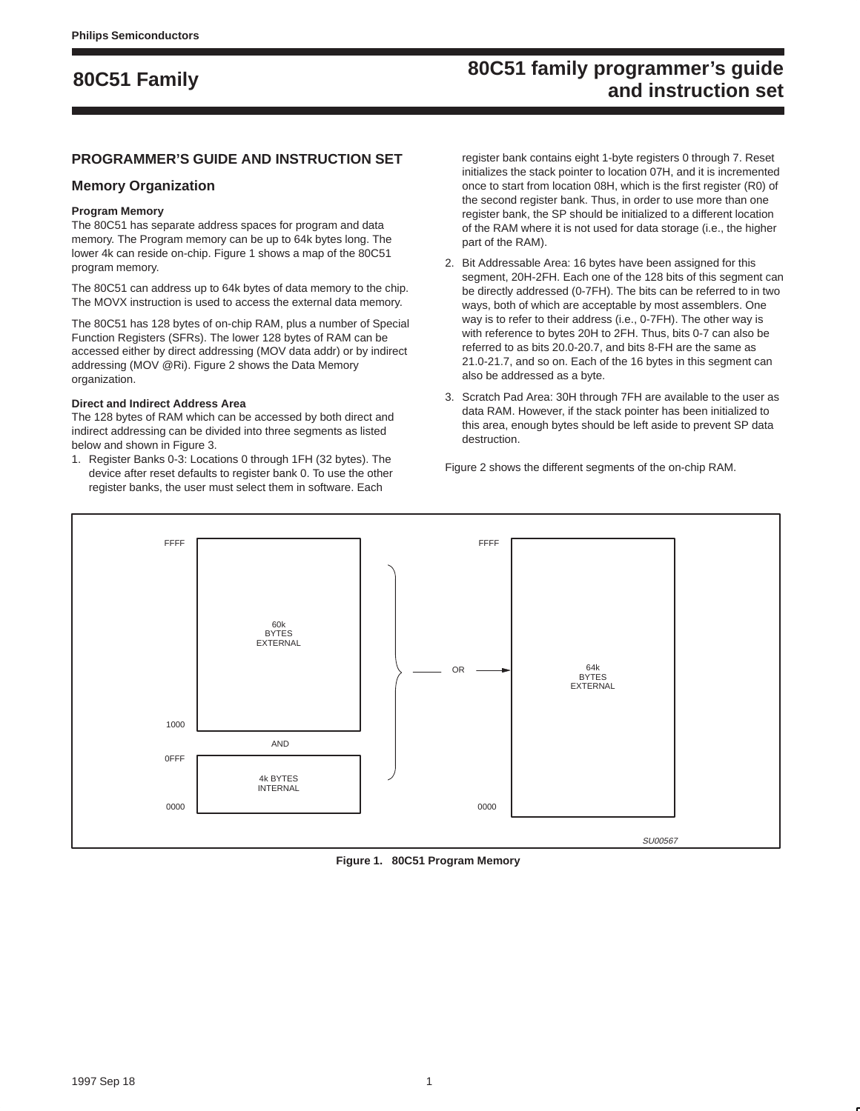### **80C51 family programmer's guide and instruction set 80C51 Family**

#### **PROGRAMMER'S GUIDE AND INSTRUCTION SET**

#### **Memory Organization**

#### **Program Memory**

The 80C51 has separate address spaces for program and data memory. The Program memory can be up to 64k bytes long. The lower 4k can reside on-chip. Figure 1 shows a map of the 80C51 program memory.

The 80C51 can address up to 64k bytes of data memory to the chip. The MOVX instruction is used to access the external data memory.

The 80C51 has 128 bytes of on-chip RAM, plus a number of Special Function Registers (SFRs). The lower 128 bytes of RAM can be accessed either by direct addressing (MOV data addr) or by indirect addressing (MOV @Ri). Figure 2 shows the Data Memory organization.

#### **Direct and Indirect Address Area**

The 128 bytes of RAM which can be accessed by both direct and indirect addressing can be divided into three segments as listed below and shown in Figure 3.

1. Register Banks 0-3: Locations 0 through 1FH (32 bytes). The device after reset defaults to register bank 0. To use the other register banks, the user must select them in software. Each

register bank contains eight 1-byte registers 0 through 7. Reset initializes the stack pointer to location 07H, and it is incremented once to start from location 08H, which is the first register (R0) of the second register bank. Thus, in order to use more than one register bank, the SP should be initialized to a different location of the RAM where it is not used for data storage (i.e., the higher part of the RAM).

- 2. Bit Addressable Area: 16 bytes have been assigned for this segment, 20H-2FH. Each one of the 128 bits of this segment can be directly addressed (0-7FH). The bits can be referred to in two ways, both of which are acceptable by most assemblers. One way is to refer to their address (i.e., 0-7FH). The other way is with reference to bytes 20H to 2FH. Thus, bits 0-7 can also be referred to as bits 20.0-20.7, and bits 8-FH are the same as 21.0-21.7, and so on. Each of the 16 bytes in this segment can also be addressed as a byte.
- 3. Scratch Pad Area: 30H through 7FH are available to the user as data RAM. However, if the stack pointer has been initialized to this area, enough bytes should be left aside to prevent SP data destruction.

Figure 2 shows the different segments of the on-chip RAM.



**Figure 1. 80C51 Program Memory**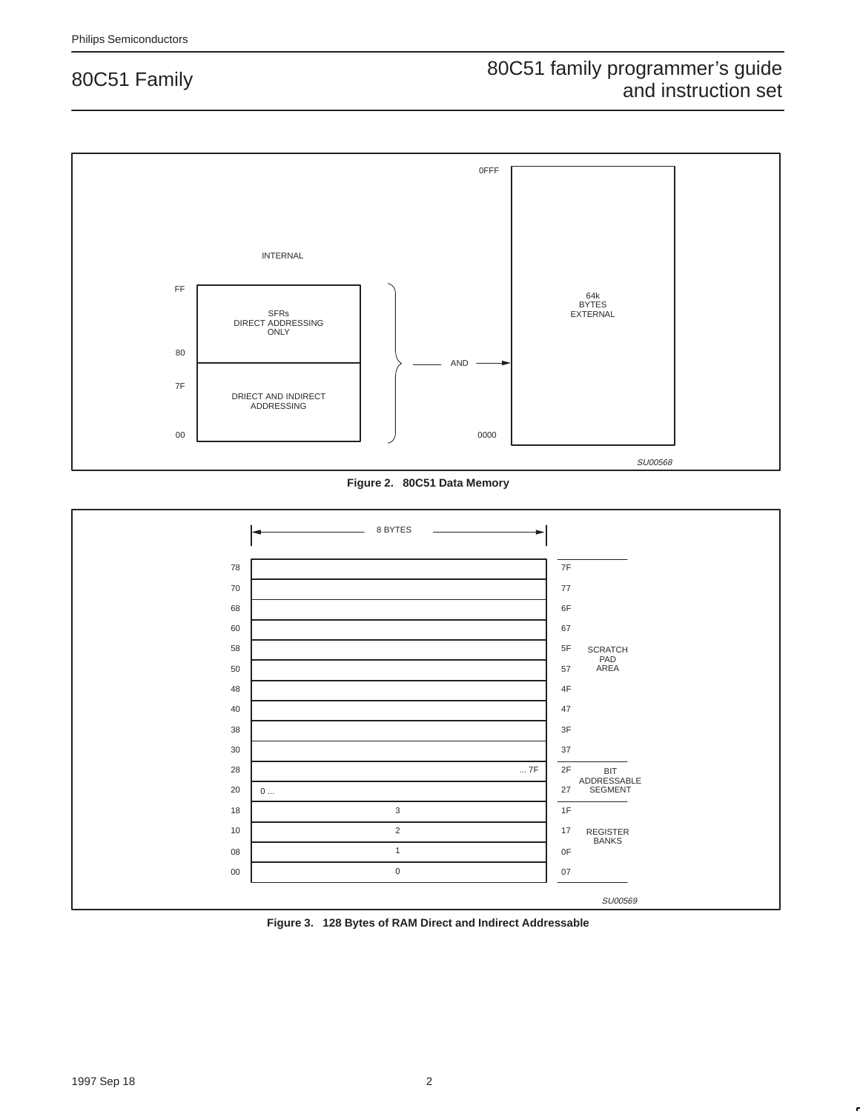

**Figure 2. 80C51 Data Memory**



**Figure 3. 128 Bytes of RAM Direct and Indirect Addressable**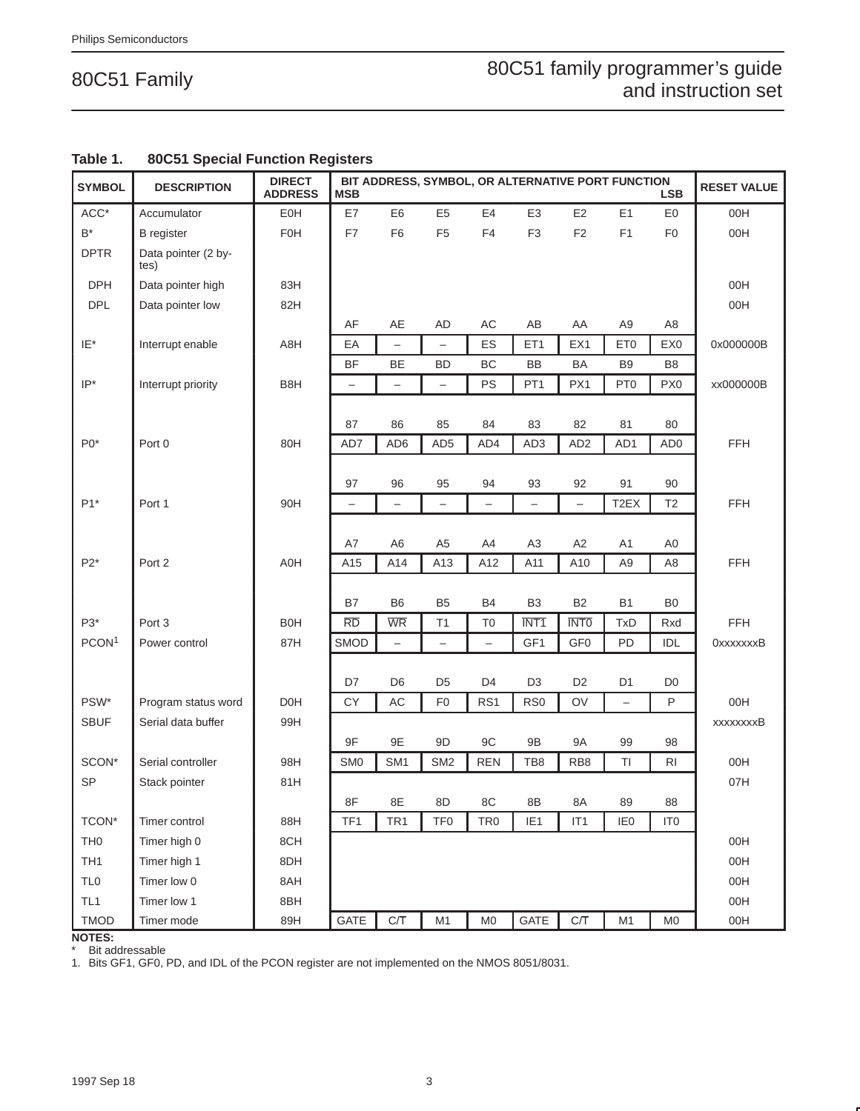### 80C51 family programmer's guide and instruction set

| <b>SYMBOL</b>        | <b>DESCRIPTION</b>          | <b>DIRECT</b><br><b>ADDRESS</b> | <b>MSB</b>        |                                       |                          |                          |                   |                          | BIT ADDRESS, SYMBOL, OR ALTERNATIVE PORT FUNCTION | <b>LSB</b>      | <b>RESET VALUE</b> |
|----------------------|-----------------------------|---------------------------------|-------------------|---------------------------------------|--------------------------|--------------------------|-------------------|--------------------------|---------------------------------------------------|-----------------|--------------------|
| $ACC*$               | Accumulator                 | EOH                             | E7                | E <sub>6</sub>                        | E <sub>5</sub>           | E4                       | E <sub>3</sub>    | E <sub>2</sub>           | E1                                                | E0              | 00H                |
| $\mathsf{B}^{\star}$ | <b>B</b> register           | F0H                             | F7                | F <sub>6</sub>                        | F <sub>5</sub>           | F4                       | F <sub>3</sub>    | $\mathsf{F2}$            | F <sub>1</sub>                                    | F <sub>0</sub>  | 00H                |
| <b>DPTR</b>          | Data pointer (2 by-<br>tes) |                                 |                   |                                       |                          |                          |                   |                          |                                                   |                 |                    |
| <b>DPH</b>           | Data pointer high           | 83H                             |                   |                                       |                          |                          |                   |                          |                                                   |                 | 00H                |
| <b>DPL</b>           | Data pointer low            | 82H                             |                   |                                       |                          |                          |                   |                          |                                                   |                 | 00H                |
|                      |                             |                                 | AF                | AE                                    | AD                       | AC                       | AB                | AA                       | A9                                                | A8              |                    |
| IE*                  | Interrupt enable            | A8H                             | EA                | -                                     | -                        | ES                       | ET <sub>1</sub>   | EX1                      | ET <sub>0</sub>                                   | EX0             | 0x000000B          |
|                      |                             |                                 | <b>BF</b>         | BE                                    | <b>BD</b>                | BC                       | BB                | <b>BA</b>                | B <sub>9</sub>                                    | B <sub>8</sub>  |                    |
| $IP^*$               | Interrupt priority          | B8H                             |                   | —                                     | $\overline{\phantom{0}}$ | PS                       | PT <sub>1</sub>   | PX1                      | PT <sub>0</sub>                                   | PX <sub>0</sub> | xx000000B          |
|                      |                             |                                 | 87                | 86                                    | 85                       | 84                       | 83                | 82                       | 81                                                | 80              |                    |
| $P0*$                | Port 0                      | 80H                             | AD7               | AD6                                   | AD <sub>5</sub>          | AD4                      | AD <sub>3</sub>   | AD <sub>2</sub>          | AD1                                               | AD <sub>0</sub> | FFH                |
|                      |                             |                                 |                   |                                       |                          |                          |                   |                          |                                                   |                 |                    |
|                      |                             |                                 | 97                | 96                                    | 95                       | 94                       | 93                | 92                       | 91                                                | 90              |                    |
| $P1*$                | Port 1                      | 90H                             | $\qquad \qquad -$ | $\qquad \qquad -$                     | $\qquad \qquad -$        | $\qquad \qquad -$        | $\qquad \qquad -$ | $\overline{\phantom{0}}$ | T <sub>2</sub> EX                                 | T <sub>2</sub>  | FFH                |
|                      |                             |                                 |                   |                                       |                          |                          |                   |                          |                                                   |                 |                    |
|                      |                             |                                 | A7                | A <sub>6</sub>                        | A <sub>5</sub>           | A4                       | A <sub>3</sub>    | A <sub>2</sub>           | A <sub>1</sub>                                    | A <sub>0</sub>  |                    |
| $P2*$                | Port 2                      | A0H                             | A15               | A14                                   | A13                      | A12                      | A11               | A10                      | A9                                                | A <sub>8</sub>  | <b>FFH</b>         |
|                      |                             |                                 |                   |                                       |                          |                          |                   |                          |                                                   |                 |                    |
|                      |                             |                                 | B7                | B <sub>6</sub>                        | B <sub>5</sub>           | B <sub>4</sub>           | B <sub>3</sub>    | B <sub>2</sub>           | B1                                                | B <sub>0</sub>  |                    |
| $P3*$                | Port 3                      | <b>B0H</b>                      | <b>RD</b><br>SMOD | <b>WR</b><br>$\overline{\phantom{0}}$ | T1                       | T <sub>0</sub>           | <b>INT1</b>       | <b>INTO</b>              | <b>TxD</b>                                        | Rxd             | FFH                |
| PCON <sup>1</sup>    | Power control               | 87H                             |                   |                                       | $\overline{\phantom{0}}$ | $\overline{\phantom{0}}$ | GF <sub>1</sub>   | GF <sub>0</sub>          | PD                                                | IDL             | <b>OxxxxxxxB</b>   |
|                      |                             |                                 | D7                | D <sub>6</sub>                        | D <sub>5</sub>           | D <sub>4</sub>           | D <sub>3</sub>    | D <sub>2</sub>           | D <sub>1</sub>                                    | D <sub>0</sub>  |                    |
| PSW*                 | Program status word         | D <sub>0</sub> H                | CY                | AC                                    | F <sub>0</sub>           | RS <sub>1</sub>          | RS <sub>0</sub>   | OV                       | $\overline{\phantom{0}}$                          | P               | 00H                |
| <b>SBUF</b>          | Serial data buffer          | 99H                             |                   |                                       |                          |                          |                   |                          |                                                   |                 | xxxxxxxB           |
|                      |                             |                                 | 9F                | 9E                                    | 9D                       | 9C                       | 9B                | <b>9A</b>                | 99                                                | 98              |                    |
| SCON*                | Serial controller           | 98H                             | SM <sub>0</sub>   | SM1                                   | SM <sub>2</sub>          | <b>REN</b>               | TB8               | RB8                      | TI                                                | R <sub>l</sub>  | 00H                |
| SP                   | Stack pointer               | 81H                             |                   |                                       |                          |                          |                   |                          |                                                   |                 | 07H                |
|                      |                             |                                 | 8F                | 8E                                    | 8D                       | $8\mathrm{C}$            | $8\mathsf{B}$     | 8A                       | 89                                                | 88              |                    |
| TCON*                | Timer control               | 88H                             | TF1               | TR <sub>1</sub>                       | TF <sub>0</sub>          | TR <sub>0</sub>          | IE <sub>1</sub>   | IT <sub>1</sub>          | IE <sub>0</sub>                                   | IT <sub>0</sub> |                    |
| TH <sub>0</sub>      | Timer high 0                | 8CH                             |                   |                                       |                          |                          |                   |                          |                                                   |                 | 00H                |
| TH <sub>1</sub>      | Timer high 1                | 8DH                             |                   |                                       |                          |                          |                   |                          |                                                   |                 | 00H                |
| <b>TLO</b>           | Timer low 0                 | 8AH                             |                   |                                       |                          |                          |                   |                          |                                                   |                 | 00H                |
| TL <sub>1</sub>      | Timer low 1                 | 8BH                             |                   |                                       |                          |                          |                   |                          |                                                   |                 | 00H                |
| <b>TMOD</b>          | Timer mode                  | 89H                             | GATE              | $C/\overline{T}$                      | M <sub>1</sub>           | M <sub>0</sub>           | GATE              | $C/\overline{T}$         | M1                                                | M <sub>0</sub>  | 00H                |

#### **Table 1. 80C51 Special Function Registers**

**NOTES:**

Bit addressable

1. Bits GF1, GF0, PD, and IDL of the PCON register are not implemented on the NMOS 8051/8031.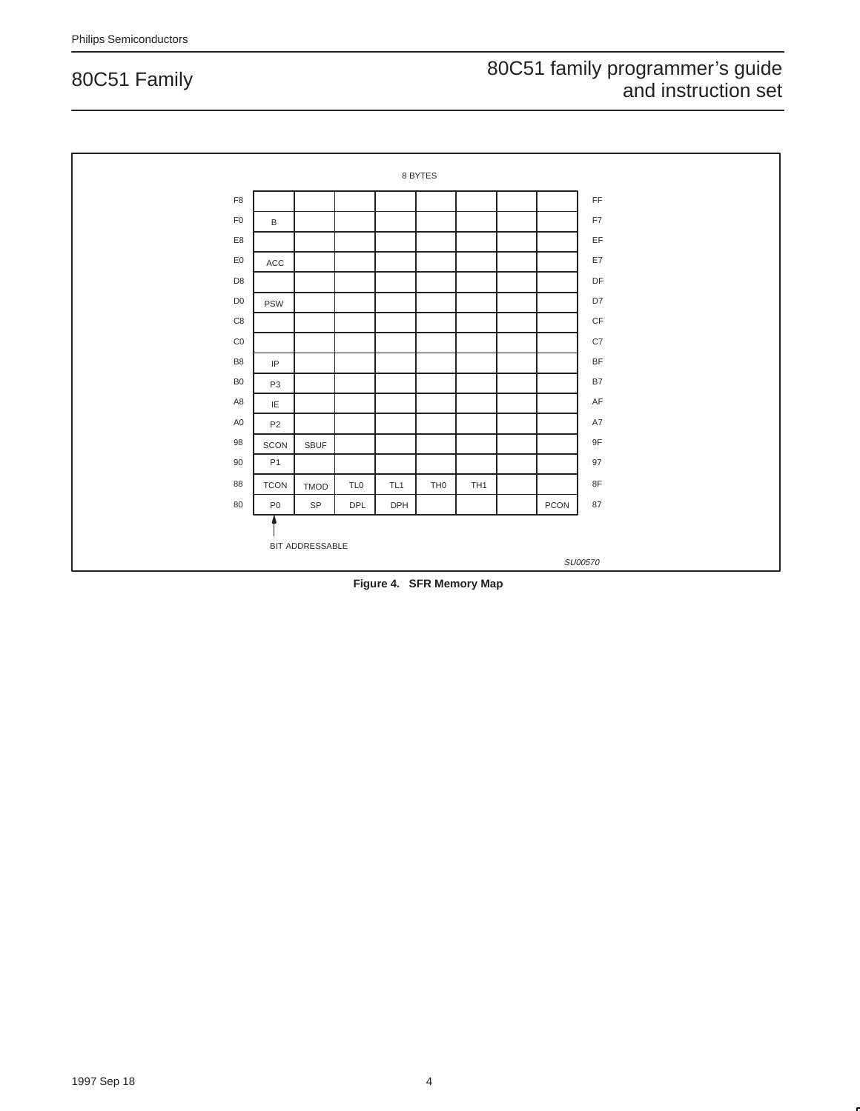

**Figure 4. SFR Memory Map**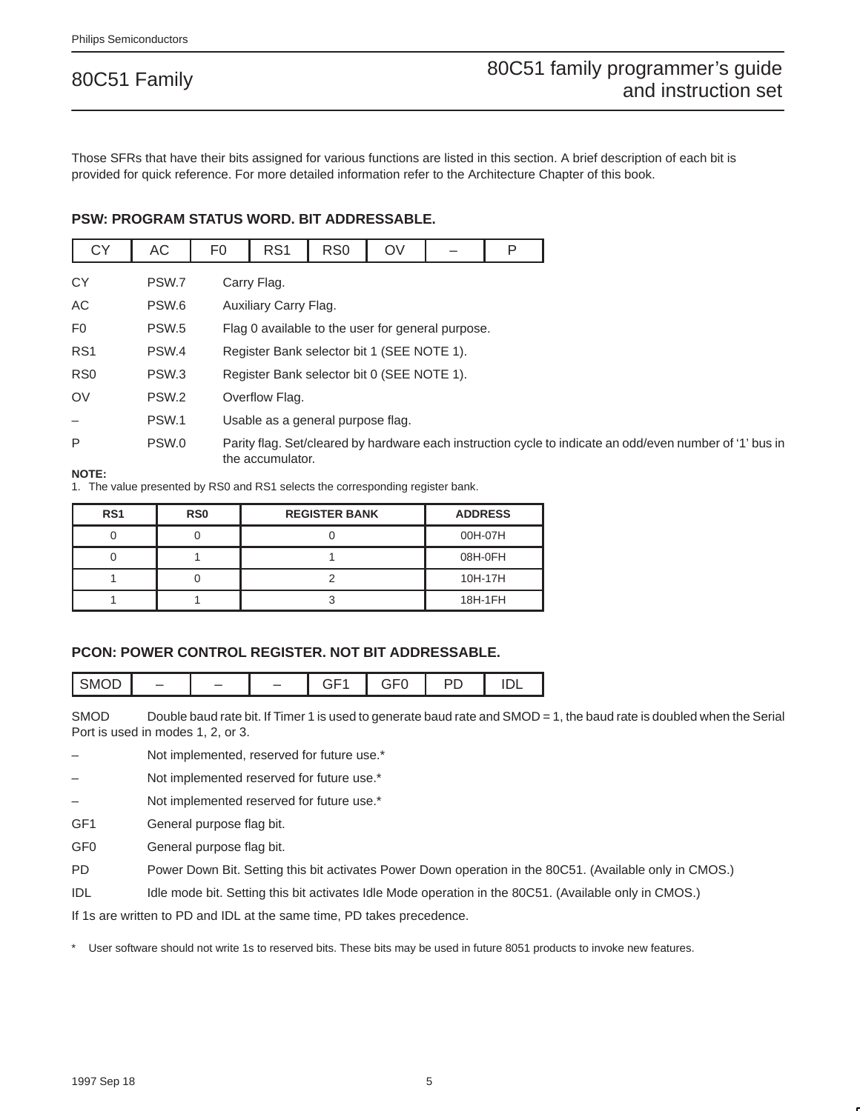Those SFRs that have their bits assigned for various functions are listed in this section. A brief description of each bit is provided for quick reference. For more detailed information refer to the Architecture Chapter of this book.

#### **PSW: PROGRAM STATUS WORD. BIT ADDRESSABLE.**

| <b>CY</b>       | AC               | F <sub>0</sub> | RS <sub>1</sub>       | RS <sub>0</sub>                            | OV |                                                                                                          | P |
|-----------------|------------------|----------------|-----------------------|--------------------------------------------|----|----------------------------------------------------------------------------------------------------------|---|
| <b>CY</b>       | PSW.7            |                | Carry Flag.           |                                            |    |                                                                                                          |   |
| AC              | PSW.6            |                | Auxiliary Carry Flag. |                                            |    |                                                                                                          |   |
| F <sub>0</sub>  | PSW.5            |                |                       |                                            |    | Flag 0 available to the user for general purpose.                                                        |   |
| RS <sub>1</sub> | PSW.4            |                |                       | Register Bank selector bit 1 (SEE NOTE 1). |    |                                                                                                          |   |
| R <sub>S0</sub> | PSW <sub>3</sub> |                |                       | Register Bank selector bit 0 (SEE NOTE 1). |    |                                                                                                          |   |
| OV              | PSW <sub>2</sub> |                | Overflow Flag.        |                                            |    |                                                                                                          |   |
|                 | PSW.1            |                |                       | Usable as a general purpose flag.          |    |                                                                                                          |   |
| P               | PSW.0            |                | the accumulator.      |                                            |    | Parity flag. Set/cleared by hardware each instruction cycle to indicate an odd/even number of '1' bus in |   |

#### **NOTE:**

1. The value presented by RS0 and RS1 selects the corresponding register bank.

| RS <sub>1</sub> | RS <sub>0</sub> | <b>REGISTER BANK</b> | <b>ADDRESS</b> |
|-----------------|-----------------|----------------------|----------------|
|                 |                 |                      | 00H-07H        |
|                 |                 |                      | 08H-0FH        |
|                 |                 |                      | 10H-17H        |
|                 |                 |                      | 18H-1FH        |

#### **PCON: POWER CONTROL REGISTER. NOT BIT ADDRESSABLE.**

| SMOD | $\sim$ $ \cdot$<br>-- | ~ - ~<br>−<br>- | --<br>◡ | $\overline{\phantom{a}}$<br>・ |
|------|-----------------------|-----------------|---------|-------------------------------|
|------|-----------------------|-----------------|---------|-------------------------------|

SMOD Double baud rate bit. If Timer 1 is used to generate baud rate and SMOD = 1, the baud rate is doubled when the Serial Port is used in modes 1, 2, or 3.

Not implemented, reserved for future use.\*

Not implemented reserved for future use.\*

Not implemented reserved for future use.\*

GF1 General purpose flag bit.

GF0 General purpose flag bit.

PD Power Down Bit. Setting this bit activates Power Down operation in the 80C51. (Available only in CMOS.)

IDL Idle mode bit. Setting this bit activates Idle Mode operation in the 80C51. (Available only in CMOS.)

If 1s are written to PD and IDL at the same time, PD takes precedence.

User software should not write 1s to reserved bits. These bits may be used in future 8051 products to invoke new features.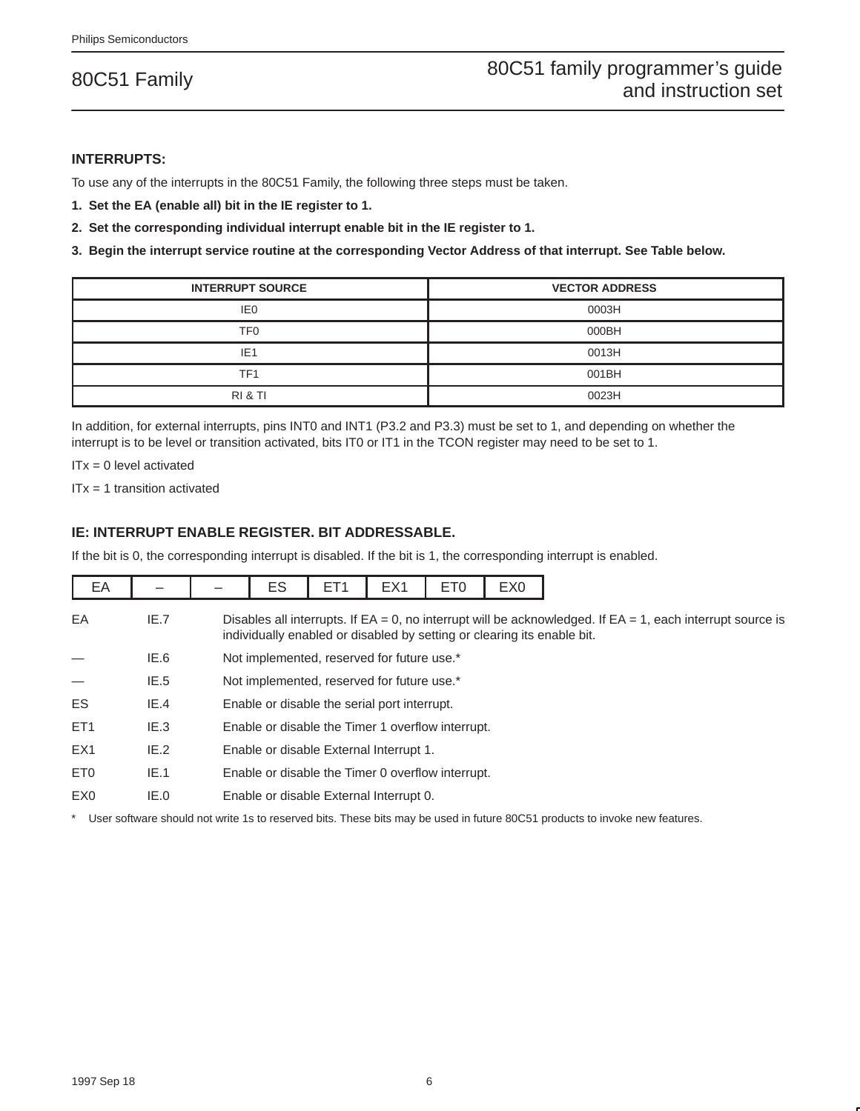#### **INTERRUPTS:**

To use any of the interrupts in the 80C51 Family, the following three steps must be taken.

- **1. Set the EA (enable all) bit in the IE register to 1.**
- **2. Set the corresponding individual interrupt enable bit in the IE register to 1.**

**3. Begin the interrupt service routine at the corresponding Vector Address of that interrupt. See Table below.**

| <b>INTERRUPT SOURCE</b> | <b>VECTOR ADDRESS</b> |
|-------------------------|-----------------------|
| IE <sub>0</sub>         | 0003H                 |
| TF0                     | 000BH                 |
| IE <sub>1</sub>         | 0013H                 |
| TF <sub>1</sub>         | 001BH                 |
| RI & TI                 | 0023H                 |

In addition, for external interrupts, pins INT0 and INT1 (P3.2 and P3.3) must be set to 1, and depending on whether the interrupt is to be level or transition activated, bits IT0 or IT1 in the TCON register may need to be set to 1.

 $ITx = 0$  level activated

ITx = 1 transition activated

#### **IE: INTERRUPT ENABLE REGISTER. BIT ADDRESSABLE.**

If the bit is 0, the corresponding interrupt is disabled. If the bit is 1, the corresponding interrupt is enabled.

| EA              |      | ES                                                                                                                                                                                          | ET <sub>1</sub> | EX <sub>1</sub> | ET <sub>0</sub> | EX <sub>0</sub> |
|-----------------|------|---------------------------------------------------------------------------------------------------------------------------------------------------------------------------------------------|-----------------|-----------------|-----------------|-----------------|
| EA              | IE.7 | Disables all interrupts. If $EA = 0$ , no interrupt will be acknowledged. If $EA = 1$ , each interrupt source is<br>individually enabled or disabled by setting or clearing its enable bit. |                 |                 |                 |                 |
|                 | IE.6 | Not implemented, reserved for future use.*                                                                                                                                                  |                 |                 |                 |                 |
|                 | IE.5 | Not implemented, reserved for future use.*                                                                                                                                                  |                 |                 |                 |                 |
| ES.             | IE.4 | Enable or disable the serial port interrupt.                                                                                                                                                |                 |                 |                 |                 |
| ET <sub>1</sub> | IE.3 | Enable or disable the Timer 1 overflow interrupt.                                                                                                                                           |                 |                 |                 |                 |
| EX <sub>1</sub> | IE.2 | Enable or disable External Interrupt 1.                                                                                                                                                     |                 |                 |                 |                 |
| ET0             | IE.1 | Enable or disable the Timer 0 overflow interrupt.                                                                                                                                           |                 |                 |                 |                 |
| EX <sub>0</sub> | IE.0 | Enable or disable External Interrupt 0.                                                                                                                                                     |                 |                 |                 |                 |

\* User software should not write 1s to reserved bits. These bits may be used in future 80C51 products to invoke new features.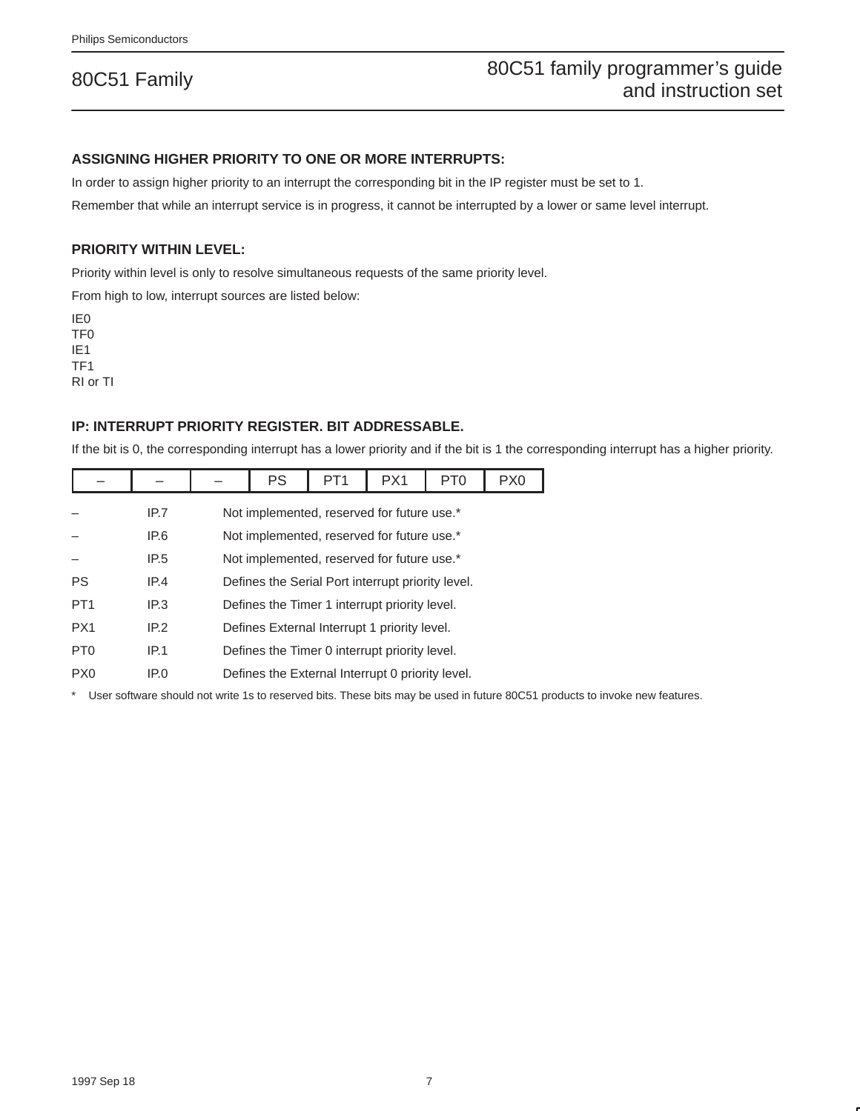#### **ASSIGNING HIGHER PRIORITY TO ONE OR MORE INTERRUPTS:**

In order to assign higher priority to an interrupt the corresponding bit in the IP register must be set to 1.

Remember that while an interrupt service is in progress, it cannot be interrupted by a lower or same level interrupt.

#### **PRIORITY WITHIN LEVEL:**

Priority within level is only to resolve simultaneous requests of the same priority level.

From high to low, interrupt sources are listed below:

IE0 TF0 IE1 TF1 RI or TI

#### **IP: INTERRUPT PRIORITY REGISTER. BIT ADDRESSABLE.**

If the bit is 0, the corresponding interrupt has a lower priority and if the bit is 1 the corresponding interrupt has a higher priority.

|                 |      |                                                  | PS                                           | PT <sub>1</sub>                                   | PX <sub>1</sub> | PT <sub>0</sub> | PX <sub>0</sub> |  |  |
|-----------------|------|--------------------------------------------------|----------------------------------------------|---------------------------------------------------|-----------------|-----------------|-----------------|--|--|
|                 | IP.7 |                                                  | Not implemented, reserved for future use.*   |                                                   |                 |                 |                 |  |  |
|                 | IP.6 |                                                  |                                              | Not implemented, reserved for future use.*        |                 |                 |                 |  |  |
|                 | IP.5 |                                                  |                                              | Not implemented, reserved for future use.*        |                 |                 |                 |  |  |
| PS              | IP.4 |                                                  |                                              | Defines the Serial Port interrupt priority level. |                 |                 |                 |  |  |
| PT <sub>1</sub> | IP.3 |                                                  |                                              | Defines the Timer 1 interrupt priority level.     |                 |                 |                 |  |  |
| PX <sub>1</sub> | IP.2 |                                                  | Defines External Interrupt 1 priority level. |                                                   |                 |                 |                 |  |  |
| PT <sub>0</sub> | IP.1 | Defines the Timer 0 interrupt priority level.    |                                              |                                                   |                 |                 |                 |  |  |
| P <sub>X0</sub> | IP.O | Defines the External Interrupt 0 priority level. |                                              |                                                   |                 |                 |                 |  |  |

\* User software should not write 1s to reserved bits. These bits may be used in future 80C51 products to invoke new features.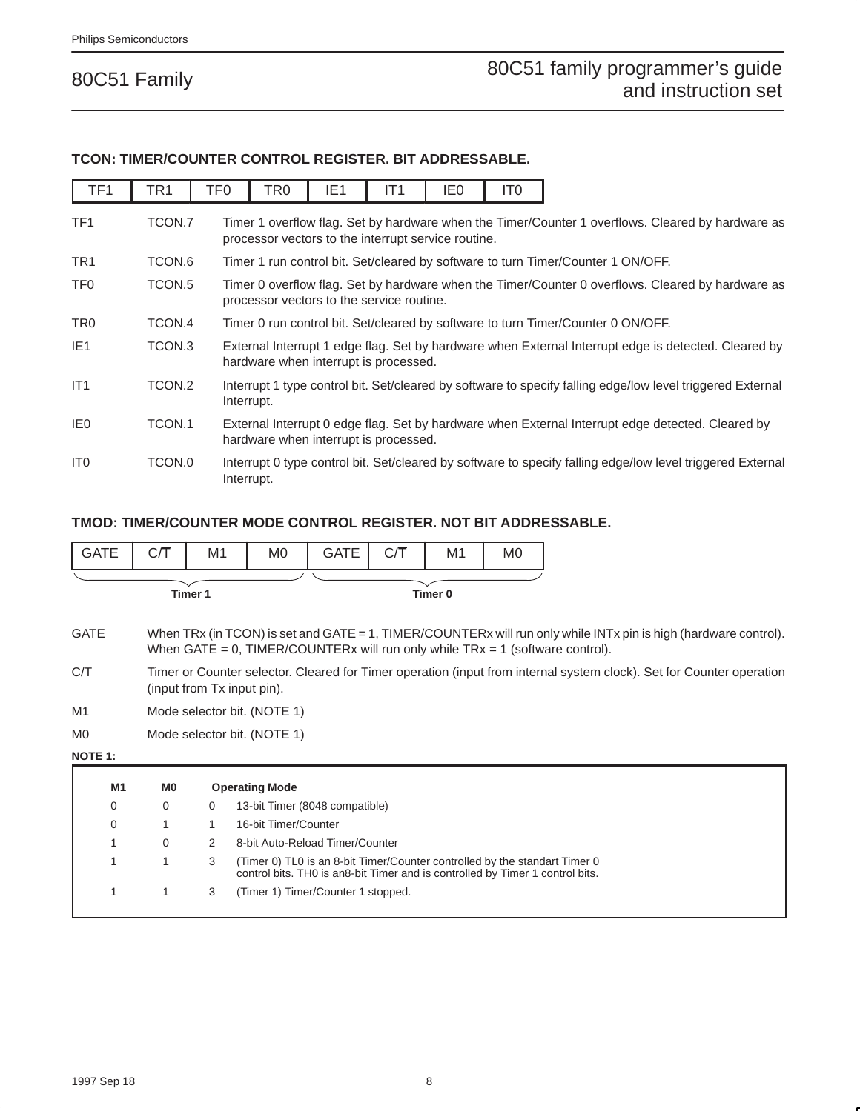#### **TCON: TIMER/COUNTER CONTROL REGISTER. BIT ADDRESSABLE.**

| TF <sub>1</sub> | TR <sub>1</sub> | TF <sub>0</sub> | TR0                                                 | IE <sub>1</sub> | IT <sub>1</sub> | IE0 | IT0 |                                                                                                            |
|-----------------|-----------------|-----------------|-----------------------------------------------------|-----------------|-----------------|-----|-----|------------------------------------------------------------------------------------------------------------|
| TF <sub>1</sub> | TCON.7          |                 | processor vectors to the interrupt service routine. |                 |                 |     |     | Timer 1 overflow flag. Set by hardware when the Timer/Counter 1 overflows. Cleared by hardware as          |
| TR <sub>1</sub> | TCON.6          |                 |                                                     |                 |                 |     |     | Timer 1 run control bit. Set/cleared by software to turn Timer/Counter 1 ON/OFF.                           |
| TF <sub>0</sub> | TCON.5          |                 | processor vectors to the service routine.           |                 |                 |     |     | Timer 0 overflow flag. Set by hardware when the Timer/Counter 0 overflows. Cleared by hardware as          |
| TR <sub>0</sub> | TCON.4          |                 |                                                     |                 |                 |     |     | Timer 0 run control bit. Set/cleared by software to turn Timer/Counter 0 ON/OFF.                           |
| IE <sub>1</sub> | TCON.3          |                 | hardware when interrupt is processed.               |                 |                 |     |     | External Interrupt 1 edge flag. Set by hardware when External Interrupt edge is detected. Cleared by       |
| IT1             | TCON.2          |                 | Interrupt.                                          |                 |                 |     |     | Interrupt 1 type control bit. Set/cleared by software to specify falling edge/low level triggered External |
| IE <sub>0</sub> | TCON.1          |                 | hardware when interrupt is processed.               |                 |                 |     |     | External Interrupt 0 edge flag. Set by hardware when External Interrupt edge detected. Cleared by          |
| IT <sub>0</sub> | TCON.0          | Interrupt.      |                                                     |                 |                 |     |     | Interrupt 0 type control bit. Set/cleared by software to specify falling edge/low level triggered External |

#### **TMOD: TIMER/COUNTER MODE CONTROL REGISTER. NOT BIT ADDRESSABLE.**

| <b>GATE</b>    | C/T            | M1          | M0                                                                                                                                                          | <b>GATE</b> | СÆ | M1                 | M0 |                                                                                                                                                                                                    |
|----------------|----------------|-------------|-------------------------------------------------------------------------------------------------------------------------------------------------------------|-------------|----|--------------------|----|----------------------------------------------------------------------------------------------------------------------------------------------------------------------------------------------------|
|                |                | Timer 1     |                                                                                                                                                             |             |    | Timer <sub>0</sub> |    |                                                                                                                                                                                                    |
| <b>GATE</b>    |                |             |                                                                                                                                                             |             |    |                    |    | When TRx (in TCON) is set and GATE = 1, TIMER/COUNTERx will run only while INTx pin is high (hardware control).<br>When GATE = 0, TIMER/COUNTERx will run only while $TRx = 1$ (software control). |
| C/T            |                |             | (input from Tx input pin).                                                                                                                                  |             |    |                    |    | Timer or Counter selector. Cleared for Timer operation (input from internal system clock). Set for Counter operation                                                                               |
| M1             |                |             | Mode selector bit. (NOTE 1)                                                                                                                                 |             |    |                    |    |                                                                                                                                                                                                    |
| M <sub>0</sub> |                |             | Mode selector bit. (NOTE 1)                                                                                                                                 |             |    |                    |    |                                                                                                                                                                                                    |
| <b>NOTE 1:</b> |                |             |                                                                                                                                                             |             |    |                    |    |                                                                                                                                                                                                    |
| M <sub>1</sub> | M <sub>0</sub> |             | <b>Operating Mode</b>                                                                                                                                       |             |    |                    |    |                                                                                                                                                                                                    |
| 0              | 0              | $\mathbf 0$ | 13-bit Timer (8048 compatible)                                                                                                                              |             |    |                    |    |                                                                                                                                                                                                    |
| 0              | 1              | 1           | 16-bit Timer/Counter                                                                                                                                        |             |    |                    |    |                                                                                                                                                                                                    |
| 1              | $\Omega$       | 2           | 8-bit Auto-Reload Timer/Counter                                                                                                                             |             |    |                    |    |                                                                                                                                                                                                    |
| 1              | 1              | 3           | (Timer 0) TL0 is an 8-bit Timer/Counter controlled by the standart Timer 0<br>control bits. THO is an8-bit Timer and is controlled by Timer 1 control bits. |             |    |                    |    |                                                                                                                                                                                                    |
| 1              | 1              | 3           | (Timer 1) Timer/Counter 1 stopped.                                                                                                                          |             |    |                    |    |                                                                                                                                                                                                    |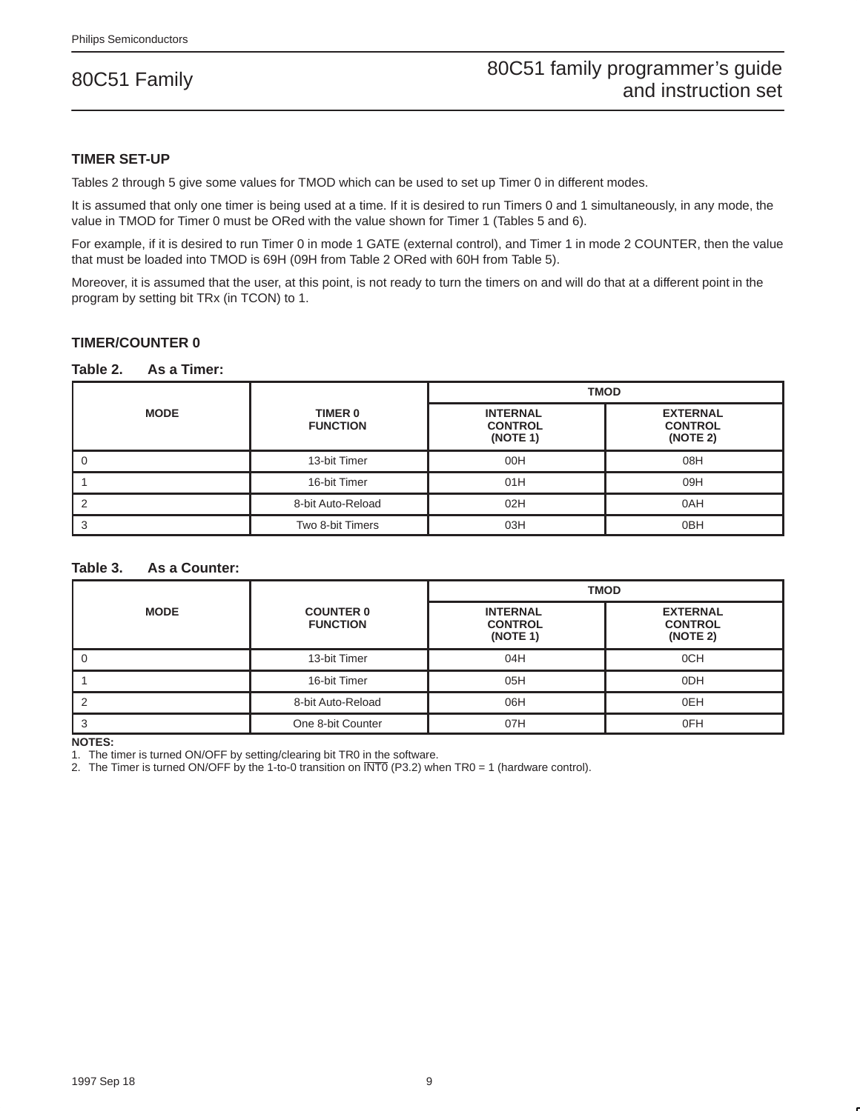#### **TIMER SET-UP**

Tables 2 through 5 give some values for TMOD which can be used to set up Timer 0 in different modes.

It is assumed that only one timer is being used at a time. If it is desired to run Timers 0 and 1 simultaneously, in any mode, the value in TMOD for Timer 0 must be ORed with the value shown for Timer 1 (Tables 5 and 6).

For example, if it is desired to run Timer 0 in mode 1 GATE (external control), and Timer 1 in mode 2 COUNTER, then the value that must be loaded into TMOD is 69H (09H from Table 2 ORed with 60H from Table 5).

Moreover, it is assumed that the user, at this point, is not ready to turn the timers on and will do that at a different point in the program by setting bit TRx (in TCON) to 1.

#### **TIMER/COUNTER 0**

#### **Table 2. As a Timer:**

|             |                            | <b>TMOD</b> |                                               |  |  |  |
|-------------|----------------------------|-------------|-----------------------------------------------|--|--|--|
| <b>MODE</b> | TIMER 0<br><b>FUNCTION</b> |             | <b>EXTERNAL</b><br><b>CONTROL</b><br>(NOTE 2) |  |  |  |
|             | 13-bit Timer               | 00H         | 08H                                           |  |  |  |
|             | 16-bit Timer               | 01H         | 09H                                           |  |  |  |
|             | 8-bit Auto-Reload          | 02H         | 0AH                                           |  |  |  |
|             | Two 8-bit Timers           | 03H         | 0 <sub>BH</sub>                               |  |  |  |

#### **Table 3. As a Counter:**

|             |                                     | <b>TMOD</b>                                   |                                               |  |  |  |
|-------------|-------------------------------------|-----------------------------------------------|-----------------------------------------------|--|--|--|
| <b>MODE</b> | <b>COUNTER 0</b><br><b>FUNCTION</b> | <b>INTERNAL</b><br><b>CONTROL</b><br>(NOTE 1) | <b>EXTERNAL</b><br><b>CONTROL</b><br>(NOTE 2) |  |  |  |
|             | 13-bit Timer                        | 04H                                           | 0CH                                           |  |  |  |
|             | 16-bit Timer                        | 05H                                           | 0 <sub>DH</sub>                               |  |  |  |
|             | 8-bit Auto-Reload                   | 06H                                           | 0EH                                           |  |  |  |
|             | One 8-bit Counter                   | 07H                                           | 0FH                                           |  |  |  |

**NOTES:**

1. The timer is turned ON/OFF by setting/clearing bit TR0 in the software.

2. The Timer is turned ON/OFF by the 1-to-0 transition on INT0 (P3.2) when TR0 = 1 (hardware control).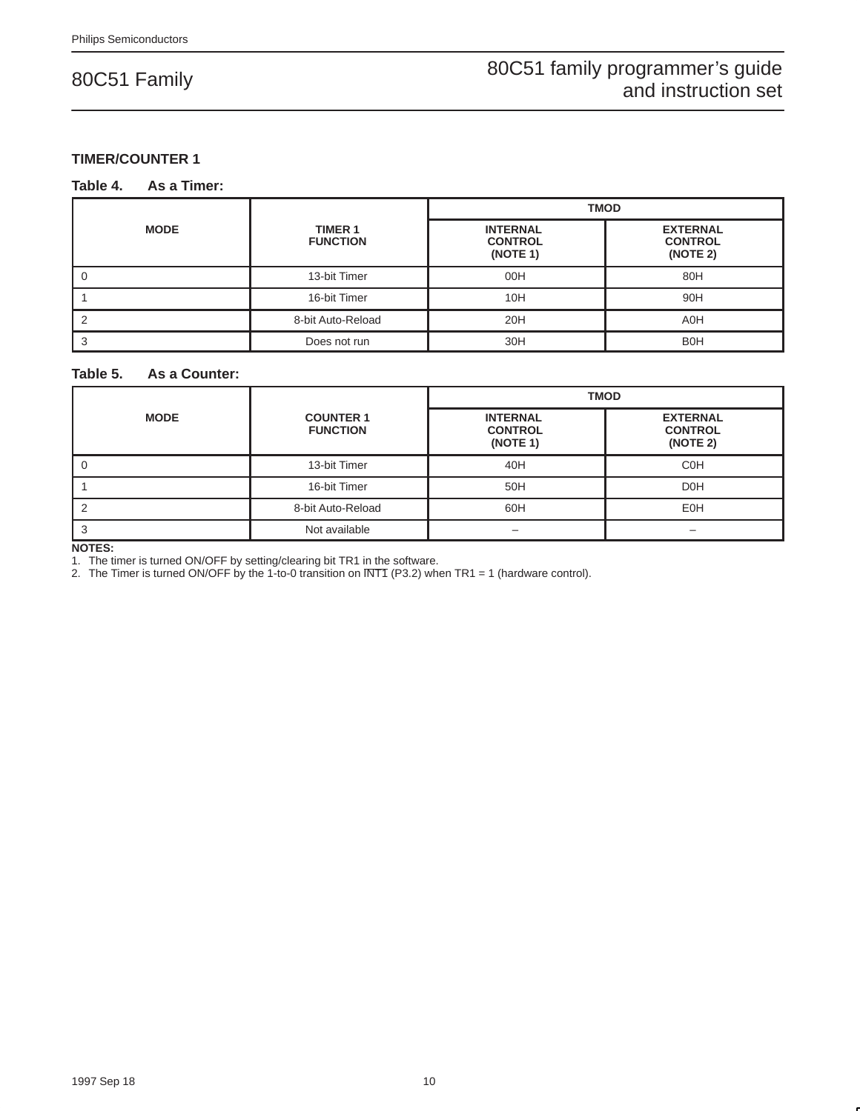#### **TIMER/COUNTER 1**

#### **Table 4. As a Timer:**

|             |                                   | <b>TMOD</b>                                   |                                               |  |  |  |
|-------------|-----------------------------------|-----------------------------------------------|-----------------------------------------------|--|--|--|
| <b>MODE</b> | <b>TIMER 1</b><br><b>FUNCTION</b> | <b>INTERNAL</b><br><b>CONTROL</b><br>(NOTE 1) | <b>EXTERNAL</b><br><b>CONTROL</b><br>(NOTE 2) |  |  |  |
|             | 13-bit Timer                      | 00H                                           | 80H                                           |  |  |  |
|             | 16-bit Timer                      | 10H                                           | 90H                                           |  |  |  |
|             | 8-bit Auto-Reload                 | 20H                                           | A <sub>0</sub> H                              |  |  |  |
|             | Does not run                      | 30H                                           | <b>B0H</b>                                    |  |  |  |

#### **Table 5. As a Counter:**

|             |                                     | <b>TMOD</b>                                   |                                               |  |  |
|-------------|-------------------------------------|-----------------------------------------------|-----------------------------------------------|--|--|
| <b>MODE</b> | <b>COUNTER 1</b><br><b>FUNCTION</b> | <b>INTERNAL</b><br><b>CONTROL</b><br>(NOTE 1) | <b>EXTERNAL</b><br><b>CONTROL</b><br>(NOTE 2) |  |  |
|             | 13-bit Timer                        | 40H                                           | <b>COH</b>                                    |  |  |
|             | 16-bit Timer                        | 50H                                           | D <sub>OH</sub>                               |  |  |
|             | 8-bit Auto-Reload                   | 60H                                           | <b>E0H</b>                                    |  |  |
|             | Not available                       |                                               |                                               |  |  |

**NOTES:**

1. The timer is turned ON/OFF by setting/clearing bit TR1 in the software.

2. The Timer is turned ON/OFF by the 1-to-0 transition on INT1 (P3.2) when TR1 = 1 (hardware control).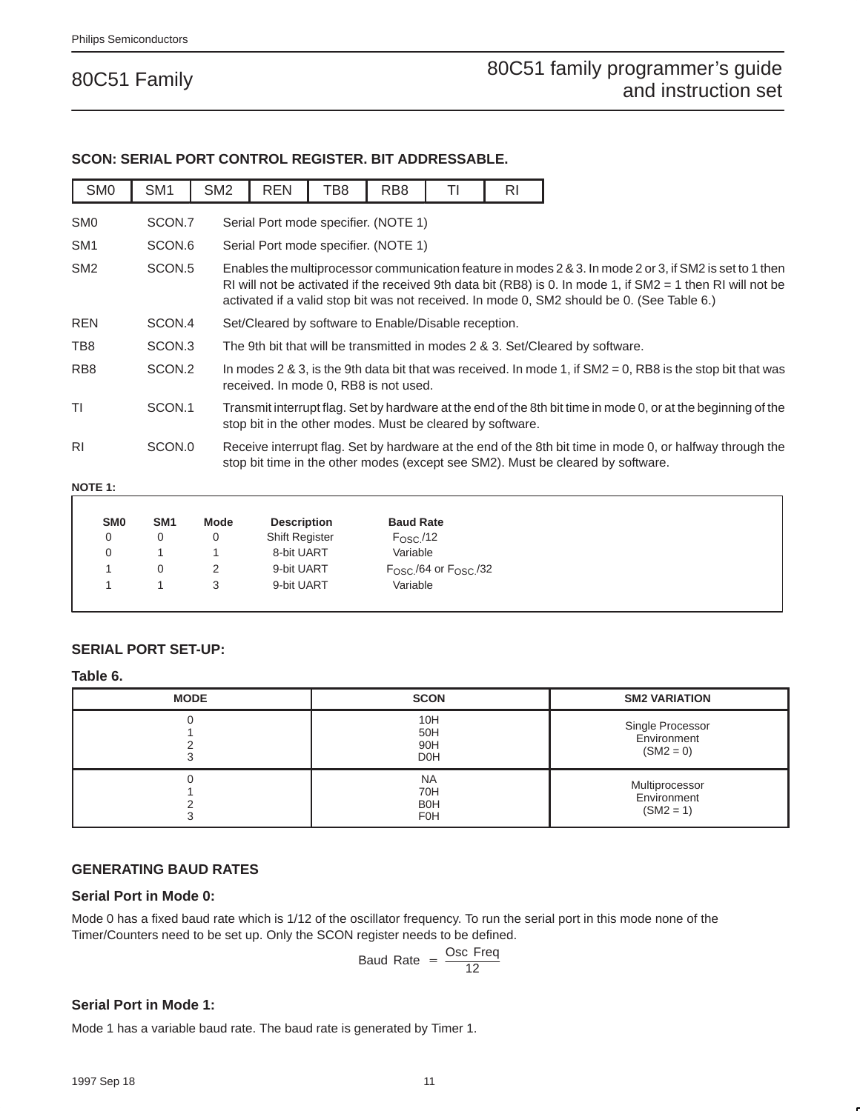### **SCON: SERIAL PORT CONTROL REGISTER. BIT ADDRESSABLE.**

| SM <sub>0</sub> | SM <sub>1</sub> | SM <sub>2</sub> | <b>REN</b> | TB8 | RB <sub>8</sub>                                                                                                                                                                                                                                                                                                         | TI | RI |
|-----------------|-----------------|-----------------|------------|-----|-------------------------------------------------------------------------------------------------------------------------------------------------------------------------------------------------------------------------------------------------------------------------------------------------------------------------|----|----|
| SM <sub>0</sub> | SCON.7          |                 |            |     | Serial Port mode specifier. (NOTE 1)                                                                                                                                                                                                                                                                                    |    |    |
| SM <sub>1</sub> | SCON.6          |                 |            |     | Serial Port mode specifier. (NOTE 1)                                                                                                                                                                                                                                                                                    |    |    |
| SM <sub>2</sub> | SCON.5          |                 |            |     | Enables the multiprocessor communication feature in modes 2 & 3. In mode 2 or 3, if SM2 is set to 1 then<br>RI will not be activated if the received 9th data bit (RB8) is 0. In mode 1, if $SM2 = 1$ then RI will not be<br>activated if a valid stop bit was not received. In mode 0, SM2 should be 0. (See Table 6.) |    |    |
| <b>REN</b>      | SCON.4          |                 |            |     | Set/Cleared by software to Enable/Disable reception.                                                                                                                                                                                                                                                                    |    |    |
| TB8             | SCON.3          |                 |            |     | The 9th bit that will be transmitted in modes 2 & 3. Set/Cleared by software.                                                                                                                                                                                                                                           |    |    |
| RB <sub>8</sub> | SCON.2          |                 |            |     | In modes 2 & 3, is the 9th data bit that was received. In mode 1, if $SM2 = 0$ , RB8 is the stop bit that was<br>received. In mode 0, RB8 is not used.                                                                                                                                                                  |    |    |
| ΤI              | SCON.1          |                 |            |     | Transmit interrupt flag. Set by hardware at the end of the 8th bit time in mode 0, or at the beginning of the<br>stop bit in the other modes. Must be cleared by software.                                                                                                                                              |    |    |
| R <sub>1</sub>  | SCON.0          |                 |            |     | Receive interrupt flag. Set by hardware at the end of the 8th bit time in mode 0, or halfway through the<br>stop bit time in the other modes (except see SM2). Must be cleared by software.                                                                                                                             |    |    |

#### **NOTE 1:**

| SM <sub>0</sub> | SM <sub>1</sub> | Mode | <b>Description</b>    | <b>Baud Rate</b>                       |
|-----------------|-----------------|------|-----------------------|----------------------------------------|
| 0               | 0               |      | <b>Shift Register</b> | $F_{\rm OSC}$ /12                      |
| 0               |                 |      | 8-bit UART            | Variable                               |
|                 |                 | 2    | 9-bit UART            | $F_{\rm OSC}$ /64 or $F_{\rm OSC}$ /32 |
|                 |                 |      | 9-bit UART            | Variable                               |

#### **SERIAL PORT SET-UP:**

#### **Table 6.**

| <b>MODE</b> | <b>SCON</b>                                  | <b>SM2 VARIATION</b>                           |
|-------------|----------------------------------------------|------------------------------------------------|
|             | 10H<br>50H<br>90H<br>D <sub>O</sub> H        | Single Processor<br>Environment<br>$(SM2 = 0)$ |
|             | <b>NA</b><br>70H<br><b>BOH</b><br><b>F0H</b> | Multiprocessor<br>Environment<br>$(SM2 = 1)$   |

#### **GENERATING BAUD RATES**

#### **Serial Port in Mode 0:**

Mode 0 has a fixed baud rate which is 1/12 of the oscillator frequency. To run the serial port in this mode none of the Timer/Counters need to be set up. Only the SCON register needs to be defined.

$$
Baud Rate = \frac{Osc Freq}{12}
$$

#### **Serial Port in Mode 1:**

Mode 1 has a variable baud rate. The baud rate is generated by Timer 1.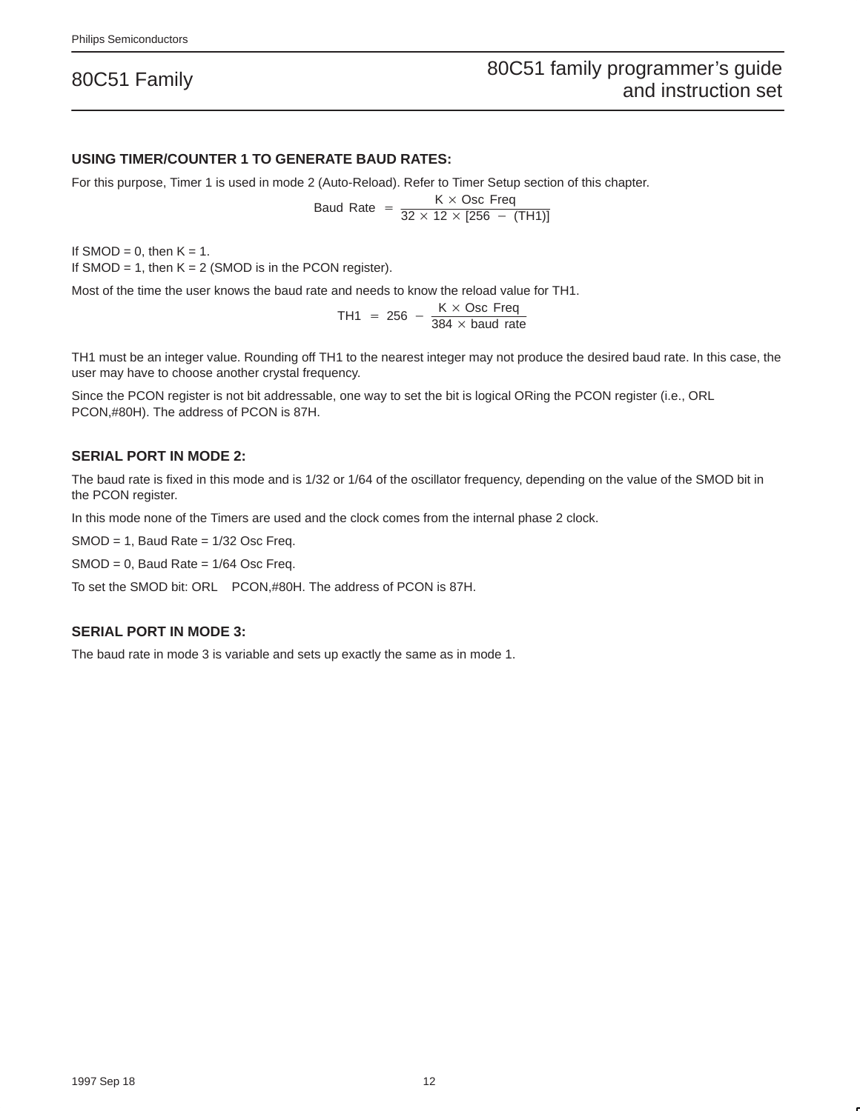#### **USING TIMER/COUNTER 1 TO GENERATE BAUD RATES:**

For this purpose, Timer 1 is used in mode 2 (Auto-Reload). Refer to Timer Setup section of this chapter.

$$
(\text{Auto-Reioad).}
$$

If SMOD = 0, then  $K = 1$ . If SMOD = 1, then  $K = 2$  (SMOD is in the PCON register).

Most of the time the user knows the baud rate and needs to know the reload value for TH1.

TH1 = 256 -  $\frac{K \times \text{Osc } \text{Freq}}{384 \times \text{baud rate}}$ 

TH1 must be an integer value. Rounding off TH1 to the nearest integer may not produce the desired baud rate. In this case, the user may have to choose another crystal frequency.

Since the PCON register is not bit addressable, one way to set the bit is logical ORing the PCON register (i.e., ORL PCON,#80H). The address of PCON is 87H.

#### **SERIAL PORT IN MODE 2:**

The baud rate is fixed in this mode and is 1/32 or 1/64 of the oscillator frequency, depending on the value of the SMOD bit in the PCON register.

In this mode none of the Timers are used and the clock comes from the internal phase 2 clock.

 $SMOD = 1$ , Baud Rate =  $1/32$  Osc Freq.

 $SMOD = 0$ , Baud Rate =  $1/64$  Osc Freq.

To set the SMOD bit: ORL PCON,#80H. The address of PCON is 87H.

#### **SERIAL PORT IN MODE 3:**

The baud rate in mode 3 is variable and sets up exactly the same as in mode 1.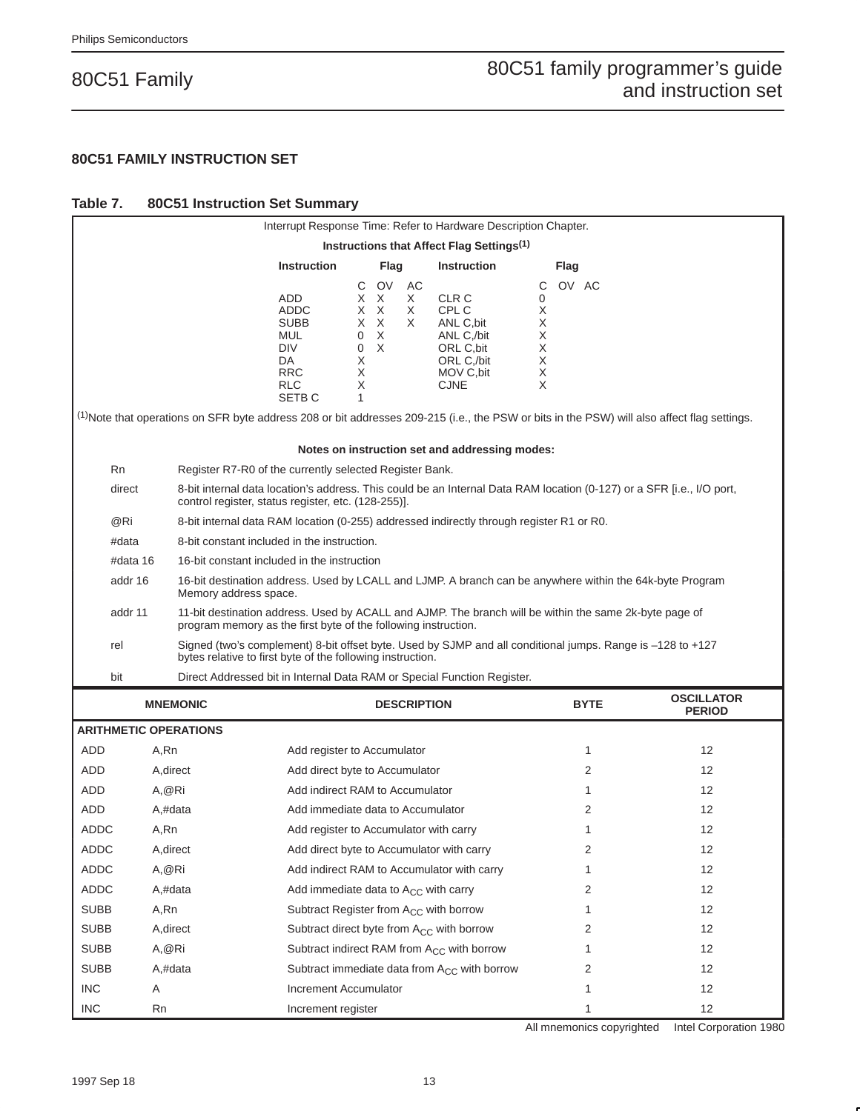#### **80C51 FAMILY INSTRUCTION SET**

#### **Table 7. 80C51 Instruction Set Summary**

|                                       |                                                                                                                                                                                     |                                                                                          |                                                                                                                       |                                        |                                                |                                    | Interrupt Response Time: Refer to Hardware Description Chapter.                                     |                                                     |       |                                                                                                                                                         |
|---------------------------------------|-------------------------------------------------------------------------------------------------------------------------------------------------------------------------------------|------------------------------------------------------------------------------------------|-----------------------------------------------------------------------------------------------------------------------|----------------------------------------|------------------------------------------------|------------------------------------|-----------------------------------------------------------------------------------------------------|-----------------------------------------------------|-------|---------------------------------------------------------------------------------------------------------------------------------------------------------|
|                                       |                                                                                                                                                                                     |                                                                                          |                                                                                                                       |                                        |                                                |                                    | Instructions that Affect Flag Settings <sup>(1)</sup>                                               |                                                     |       |                                                                                                                                                         |
|                                       |                                                                                                                                                                                     |                                                                                          | <b>Instruction</b>                                                                                                    |                                        | Flag                                           |                                    | <b>Instruction</b>                                                                                  |                                                     | Flag  |                                                                                                                                                         |
|                                       |                                                                                                                                                                                     |                                                                                          | ADD<br><b>ADDC</b><br><b>SUBB</b><br><b>MUL</b><br><b>DIV</b><br>DA.<br><b>RRC</b><br><b>RLC</b><br>SETB <sub>C</sub> | C<br>X.<br>0<br>0<br>X<br>Χ<br>Χ<br>1. | <b>OV</b><br>X<br>$X \times X$<br>XX<br>X<br>X | AC<br>X<br>X<br>X                  | CLR C<br>CPL C<br>ANL C, bit<br>ANL C,/bit<br>ORL C, bit<br>ORL C./bit<br>MOV C, bit<br><b>CJNE</b> | С<br>0<br>Χ<br>Χ<br>Χ<br>Χ<br>Χ<br>$\mathsf X$<br>X | OV AC |                                                                                                                                                         |
|                                       |                                                                                                                                                                                     |                                                                                          |                                                                                                                       |                                        |                                                |                                    |                                                                                                     |                                                     |       | <sup>(1)</sup> Note that operations on SFR byte address 208 or bit addresses 209-215 (i.e., the PSW or bits in the PSW) will also affect flag settings. |
|                                       |                                                                                                                                                                                     |                                                                                          |                                                                                                                       |                                        |                                                |                                    | Notes on instruction set and addressing modes:                                                      |                                                     |       |                                                                                                                                                         |
| Rn                                    |                                                                                                                                                                                     | Register R7-R0 of the currently selected Register Bank.                                  |                                                                                                                       |                                        |                                                |                                    |                                                                                                     |                                                     |       |                                                                                                                                                         |
| direct                                |                                                                                                                                                                                     | control register, status register, etc. (128-255)].                                      |                                                                                                                       |                                        |                                                |                                    |                                                                                                     |                                                     |       | 8-bit internal data location's address. This could be an Internal Data RAM location (0-127) or a SFR [i.e., I/O port,                                   |
| @Ri                                   |                                                                                                                                                                                     | 8-bit internal data RAM location (0-255) addressed indirectly through register R1 or R0. |                                                                                                                       |                                        |                                                |                                    |                                                                                                     |                                                     |       |                                                                                                                                                         |
| #data                                 |                                                                                                                                                                                     | 8-bit constant included in the instruction.                                              |                                                                                                                       |                                        |                                                |                                    |                                                                                                     |                                                     |       |                                                                                                                                                         |
|                                       | #data 16                                                                                                                                                                            | 16-bit constant included in the instruction                                              |                                                                                                                       |                                        |                                                |                                    |                                                                                                     |                                                     |       |                                                                                                                                                         |
|                                       | 16-bit destination address. Used by LCALL and LJMP. A branch can be anywhere within the 64k-byte Program<br>addr 16<br>Memory address space.                                        |                                                                                          |                                                                                                                       |                                        |                                                |                                    |                                                                                                     |                                                     |       |                                                                                                                                                         |
|                                       | 11-bit destination address. Used by ACALL and AJMP. The branch will be within the same 2k-byte page of<br>addr 11<br>program memory as the first byte of the following instruction. |                                                                                          |                                                                                                                       |                                        |                                                |                                    |                                                                                                     |                                                     |       |                                                                                                                                                         |
| rel                                   | Signed (two's complement) 8-bit offset byte. Used by SJMP and all conditional jumps. Range is -128 to +127<br>bytes relative to first byte of the following instruction.            |                                                                                          |                                                                                                                       |                                        |                                                |                                    |                                                                                                     |                                                     |       |                                                                                                                                                         |
| bit                                   |                                                                                                                                                                                     | Direct Addressed bit in Internal Data RAM or Special Function Register.                  |                                                                                                                       |                                        |                                                |                                    |                                                                                                     |                                                     |       |                                                                                                                                                         |
| <b>MNEMONIC</b><br><b>DESCRIPTION</b> |                                                                                                                                                                                     |                                                                                          |                                                                                                                       |                                        | <b>BYTE</b>                                    | <b>OSCILLATOR</b><br><b>PERIOD</b> |                                                                                                     |                                                     |       |                                                                                                                                                         |
|                                       |                                                                                                                                                                                     | <b>ARITHMETIC OPERATIONS</b>                                                             |                                                                                                                       |                                        |                                                |                                    |                                                                                                     |                                                     |       |                                                                                                                                                         |
| <b>ADD</b>                            | A,Rn                                                                                                                                                                                |                                                                                          | Add register to Accumulator                                                                                           |                                        |                                                |                                    |                                                                                                     |                                                     | 1     | $12 \overline{ }$                                                                                                                                       |
| ADD                                   |                                                                                                                                                                                     | A, direct                                                                                | Add direct byte to Accumulator                                                                                        |                                        |                                                |                                    |                                                                                                     |                                                     | 2     | 12                                                                                                                                                      |
| ADD                                   | A, @Ri                                                                                                                                                                              |                                                                                          | Add indirect RAM to Accumulator                                                                                       |                                        |                                                |                                    |                                                                                                     |                                                     | 1     | $12 \overline{ }$                                                                                                                                       |
| <b>ADD</b>                            |                                                                                                                                                                                     | A,#data                                                                                  | Add immediate data to Accumulator                                                                                     |                                        |                                                |                                    |                                                                                                     |                                                     | 2     | 12                                                                                                                                                      |
| ADDC                                  | A,Rn                                                                                                                                                                                |                                                                                          | Add register to Accumulator with carry                                                                                |                                        |                                                |                                    |                                                                                                     |                                                     | 1     | 12                                                                                                                                                      |
| ADDC                                  |                                                                                                                                                                                     | A, direct                                                                                | Add direct byte to Accumulator with carry                                                                             |                                        |                                                |                                    |                                                                                                     |                                                     | 2     | 12                                                                                                                                                      |
| ADDC<br>A,@Ri                         |                                                                                                                                                                                     |                                                                                          | Add indirect RAM to Accumulator with carry                                                                            |                                        |                                                |                                    | 1                                                                                                   | 12                                                  |       |                                                                                                                                                         |
| ADDC                                  | A,#data                                                                                                                                                                             |                                                                                          | Add immediate data to A <sub>CC</sub> with carry                                                                      |                                        |                                                |                                    |                                                                                                     |                                                     | 2     | 12                                                                                                                                                      |
| <b>SUBB</b>                           | A,Rn                                                                                                                                                                                |                                                                                          | Subtract Register from A <sub>CC</sub> with borrow                                                                    |                                        |                                                |                                    |                                                                                                     |                                                     | 1     | 12                                                                                                                                                      |
| <b>SUBB</b>                           |                                                                                                                                                                                     | A, direct                                                                                | Subtract direct byte from A <sub>CC</sub> with borrow                                                                 |                                        |                                                |                                    |                                                                                                     |                                                     | 2     | 12                                                                                                                                                      |
| <b>SUBB</b>                           | A,@Ri                                                                                                                                                                               |                                                                                          |                                                                                                                       |                                        |                                                |                                    | Subtract indirect RAM from A <sub>CC</sub> with borrow                                              |                                                     | 1     | $12 \overline{ }$                                                                                                                                       |
| <b>SUBB</b>                           |                                                                                                                                                                                     | A,#data                                                                                  |                                                                                                                       |                                        |                                                |                                    | Subtract immediate data from A <sub>CC</sub> with borrow                                            |                                                     | 2     | 12                                                                                                                                                      |
| <b>INC</b>                            | A                                                                                                                                                                                   |                                                                                          | Increment Accumulator                                                                                                 |                                        |                                                |                                    |                                                                                                     |                                                     | 1     | 12                                                                                                                                                      |
| <b>INC</b>                            | Rn                                                                                                                                                                                  |                                                                                          | Increment register                                                                                                    |                                        |                                                |                                    |                                                                                                     |                                                     | 1     | 12                                                                                                                                                      |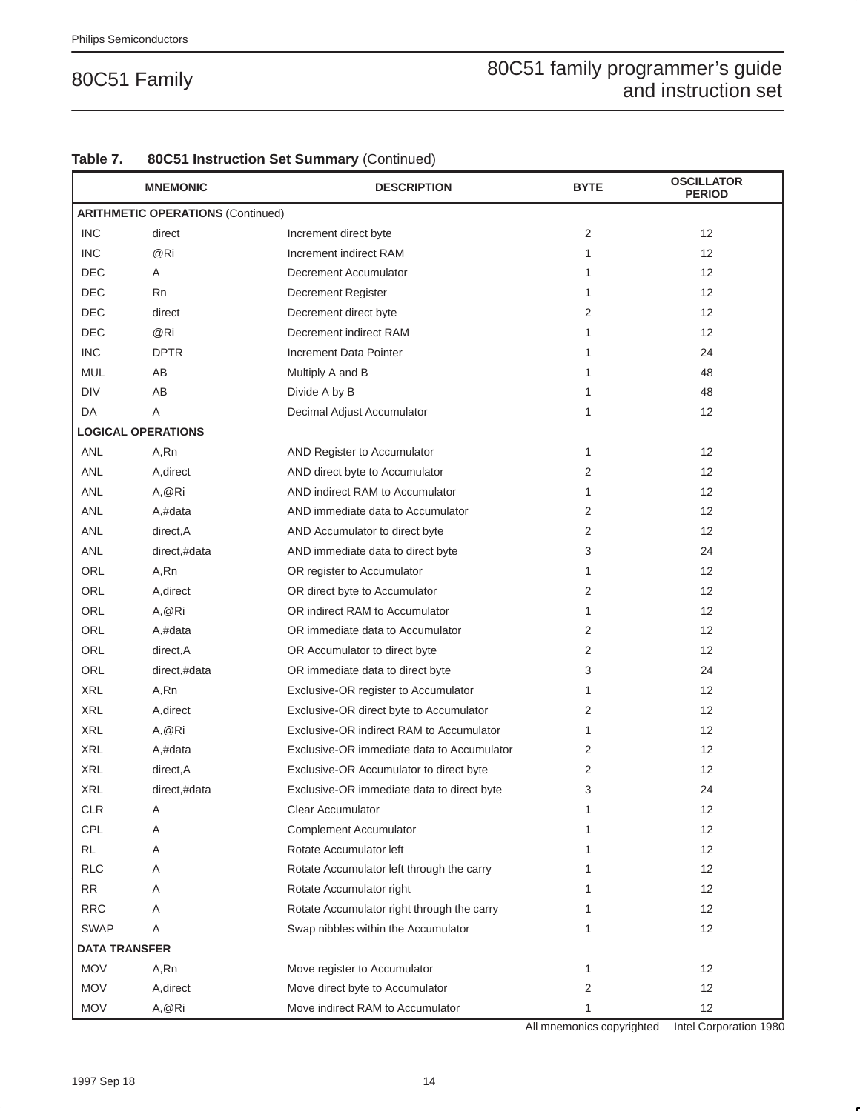|                      | <b>MNEMONIC</b>                          | <b>DESCRIPTION</b>                         | <b>BYTE</b>  | <b>OSCILLATOR</b><br><b>PERIOD</b> |
|----------------------|------------------------------------------|--------------------------------------------|--------------|------------------------------------|
|                      | <b>ARITHMETIC OPERATIONS (Continued)</b> |                                            |              |                                    |
| <b>INC</b>           | direct                                   | Increment direct byte                      | 2            | 12                                 |
| <b>INC</b>           | @Ri                                      | Increment indirect RAM                     | 1            | 12                                 |
| <b>DEC</b>           | Α                                        | Decrement Accumulator                      | 1            | 12                                 |
| <b>DEC</b>           | Rn                                       | <b>Decrement Register</b>                  | 1            | 12                                 |
| <b>DEC</b>           | direct                                   | Decrement direct byte                      | 2            | 12                                 |
| <b>DEC</b>           | @Ri                                      | Decrement indirect RAM                     | 1            | 12                                 |
| <b>INC</b>           | <b>DPTR</b>                              | Increment Data Pointer                     | 1            | 24                                 |
| <b>MUL</b>           | AB                                       | Multiply A and B                           | 1            | 48                                 |
| <b>DIV</b>           | AB                                       | Divide A by B                              | 1            | 48                                 |
| DA                   | A                                        | Decimal Adjust Accumulator                 | 1            | $12 \overline{ }$                  |
|                      | <b>LOGICAL OPERATIONS</b>                |                                            |              |                                    |
| <b>ANL</b>           | A,Rn                                     | AND Register to Accumulator                | 1            | 12                                 |
| <b>ANL</b>           | A, direct                                | AND direct byte to Accumulator             | 2            | 12                                 |
| <b>ANL</b>           | A, @Ri                                   | AND indirect RAM to Accumulator            | 1            | 12                                 |
| <b>ANL</b>           | A,#data                                  | AND immediate data to Accumulator          | 2            | 12                                 |
| <b>ANL</b>           | direct, A                                | AND Accumulator to direct byte             | 2            | 12                                 |
| <b>ANL</b>           | direct,#data                             | AND immediate data to direct byte          | 3            | 24                                 |
| ORL                  | A,Rn                                     | OR register to Accumulator                 | 1            | 12                                 |
| ORL                  | A, direct                                | OR direct byte to Accumulator              | 2            | $12 \overline{ }$                  |
| ORL                  | A, @Ri                                   | OR indirect RAM to Accumulator             | $\mathbf{1}$ | 12                                 |
| ORL                  | A,#data                                  | OR immediate data to Accumulator           | 2            | 12                                 |
| ORL                  | direct, A                                | OR Accumulator to direct byte              | 2            | 12                                 |
| ORL                  | direct,#data                             | OR immediate data to direct byte           | 3            | 24                                 |
| <b>XRL</b>           | A,Rn                                     | Exclusive-OR register to Accumulator       | 1            | 12                                 |
| <b>XRL</b>           | A, direct                                | Exclusive-OR direct byte to Accumulator    | 2            | 12                                 |
| <b>XRL</b>           | A, @Ri                                   | Exclusive-OR indirect RAM to Accumulator   | 1            | $12 \overline{ }$                  |
| <b>XRL</b>           | A,#data                                  | Exclusive-OR immediate data to Accumulator | 2            | 12                                 |
| <b>XRL</b>           | direct, A                                | Exclusive-OR Accumulator to direct byte    | 2            | 12                                 |
| <b>XRL</b>           | direct,#data                             | Exclusive-OR immediate data to direct byte | 3            | 24                                 |
| <b>CLR</b>           | Α                                        | Clear Accumulator                          | 1            | 12                                 |
| CPL                  | Α                                        | <b>Complement Accumulator</b>              | 1            | 12                                 |
| <b>RL</b>            | Α                                        | Rotate Accumulator left                    | 1            | 12                                 |
| <b>RLC</b>           | Α                                        | Rotate Accumulator left through the carry  | 1            | 12                                 |
| <b>RR</b>            | Α                                        | Rotate Accumulator right                   | 1            | 12                                 |
| <b>RRC</b>           | Α                                        | Rotate Accumulator right through the carry | 1            | 12                                 |
| <b>SWAP</b>          | A                                        | Swap nibbles within the Accumulator        | 1            | 12                                 |
| <b>DATA TRANSFER</b> |                                          |                                            |              |                                    |
| <b>MOV</b>           | A,Rn                                     | Move register to Accumulator               | 1            | 12                                 |
| <b>MOV</b>           | A, direct                                | Move direct byte to Accumulator            | 2            | 12                                 |
| <b>MOV</b>           | A, @Ri                                   | Move indirect RAM to Accumulator           | 1            | 12                                 |

#### **Table 7. 80C51 Instruction Set Summary** (Continued)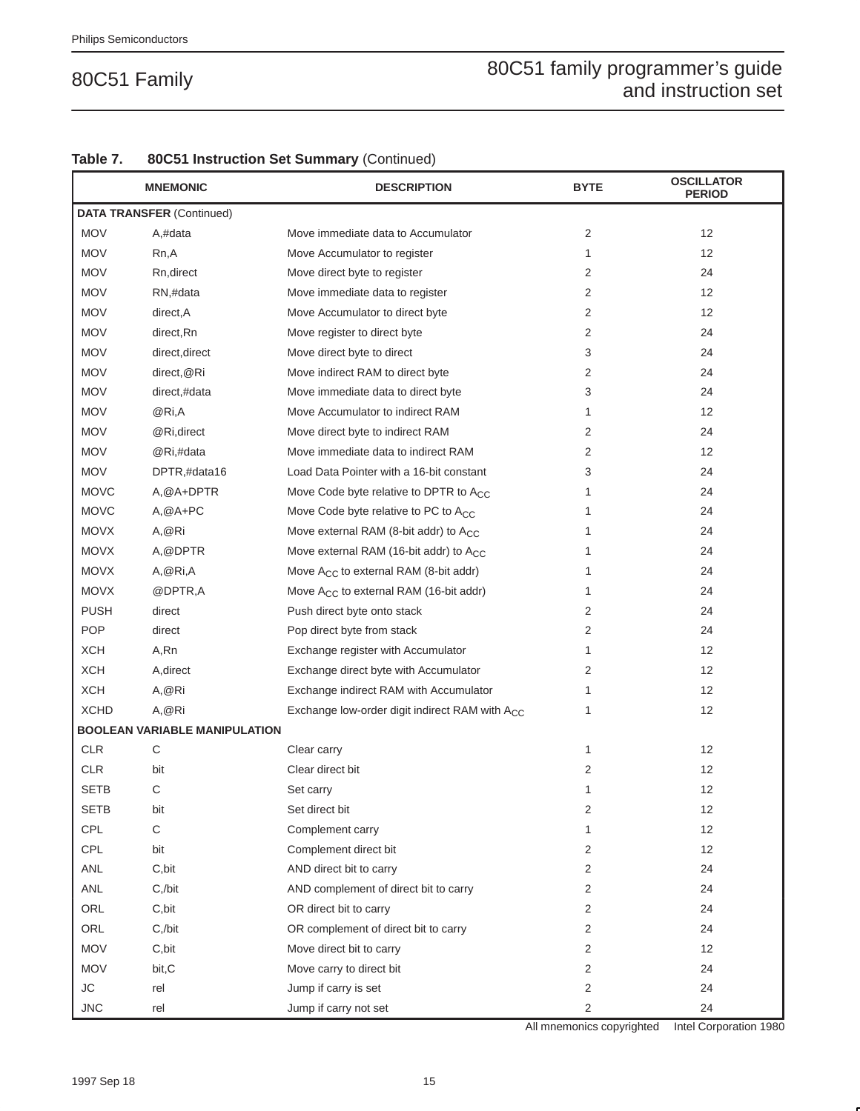|             | <b>MNEMONIC</b>                      | <b>DESCRIPTION</b>                                         | <b>BYTE</b>    | <b>OSCILLATOR</b><br><b>PERIOD</b> |
|-------------|--------------------------------------|------------------------------------------------------------|----------------|------------------------------------|
|             | <b>DATA TRANSFER (Continued)</b>     |                                                            |                |                                    |
| <b>MOV</b>  | A,#data                              | Move immediate data to Accumulator                         | 2              | 12                                 |
| <b>MOV</b>  | Rn,A                                 | Move Accumulator to register                               | 1              | 12                                 |
| <b>MOV</b>  | Rn, direct                           | Move direct byte to register                               | 2              | 24                                 |
| <b>MOV</b>  | RN,#data                             | Move immediate data to register                            | $\overline{2}$ | 12                                 |
| <b>MOV</b>  | direct, A                            | Move Accumulator to direct byte                            | 2              | 12                                 |
| <b>MOV</b>  | direct, Rn                           | Move register to direct byte                               | 2              | 24                                 |
| <b>MOV</b>  | direct, direct                       | Move direct byte to direct                                 | 3              | 24                                 |
| <b>MOV</b>  | direct, @Ri                          | Move indirect RAM to direct byte                           | 2              | 24                                 |
| <b>MOV</b>  | direct,#data                         | Move immediate data to direct byte                         | 3              | 24                                 |
| <b>MOV</b>  | @Ri,A                                | Move Accumulator to indirect RAM                           | 1              | 12                                 |
| <b>MOV</b>  | @Ri,direct                           | Move direct byte to indirect RAM                           | 2              | 24                                 |
| <b>MOV</b>  | @Ri,#data                            | Move immediate data to indirect RAM                        | 2              | 12                                 |
| <b>MOV</b>  | DPTR,#data16                         | Load Data Pointer with a 16-bit constant                   | 3              | 24                                 |
| <b>MOVC</b> | A, @A+DPTR                           | Move Code byte relative to DPTR to A <sub>CC</sub>         | 1              | 24                                 |
| <b>MOVC</b> | $A, @A+PC$                           | Move Code byte relative to PC to A <sub>CC</sub>           | 1              | 24                                 |
| <b>MOVX</b> | A, @Ri                               | Move external RAM (8-bit addr) to A <sub>CC</sub>          | 1              | 24                                 |
| <b>MOVX</b> | A, @DPTR                             | Move external RAM (16-bit addr) to A <sub>CC</sub>         | 1              | 24                                 |
| <b>MOVX</b> | A, @ Ri, A                           | Move $A_{CC}$ to external RAM (8-bit addr)                 | 1              | 24                                 |
| <b>MOVX</b> | @DPTR,A                              | Move A <sub>CC</sub> to external RAM (16-bit addr)         | 1              | 24                                 |
| <b>PUSH</b> | direct                               | Push direct byte onto stack                                | 2              | 24                                 |
| <b>POP</b>  | direct                               | Pop direct byte from stack                                 | 2              | 24                                 |
| <b>XCH</b>  | A,Rn                                 | Exchange register with Accumulator                         | $\mathbf{1}$   | 12                                 |
| <b>XCH</b>  | A, direct                            | Exchange direct byte with Accumulator                      | 2              | 12                                 |
| <b>XCH</b>  | A,@Ri                                | Exchange indirect RAM with Accumulator                     | 1              | 12                                 |
| <b>XCHD</b> | A, @Ri                               | Exchange low-order digit indirect RAM with A <sub>CC</sub> | 1              | 12                                 |
|             | <b>BOOLEAN VARIABLE MANIPULATION</b> |                                                            |                |                                    |
| CLR         | $\mathsf C$                          | Clear carry                                                | 1              | 12                                 |
| <b>CLR</b>  | bit                                  | Clear direct bit                                           | $\overline{2}$ | 12                                 |
| <b>SETB</b> | С                                    | Set carry                                                  | 1              | 12                                 |
| <b>SETB</b> | bit                                  | Set direct bit                                             | 2              | 12                                 |
| CPL         | $\mathbf C$                          | Complement carry                                           | $\mathbf{1}$   | 12                                 |
| CPL         | bit                                  | Complement direct bit                                      | $\overline{2}$ | 12                                 |
| ANL         | C, bit                               | AND direct bit to carry                                    | $\overline{2}$ | 24                                 |
| ANL         | $C$ ,/bit                            | AND complement of direct bit to carry                      | 2              | 24                                 |
| ORL         | C, bit                               | OR direct bit to carry                                     | $\overline{2}$ | 24                                 |
| ORL         | $C$ ,/bit                            | OR complement of direct bit to carry                       | $\overline{2}$ | 24                                 |
| <b>MOV</b>  | C, bit                               | Move direct bit to carry                                   | $\overline{2}$ | 12                                 |
| <b>MOV</b>  | bit, C                               | Move carry to direct bit                                   | 2              | 24                                 |
| ${\sf JC}$  | rel                                  | Jump if carry is set                                       | $\overline{2}$ | 24                                 |
| <b>JNC</b>  | rel                                  | Jump if carry not set                                      | 2              | 24                                 |

#### **Table 7. 80C51 Instruction Set Summary** (Continued)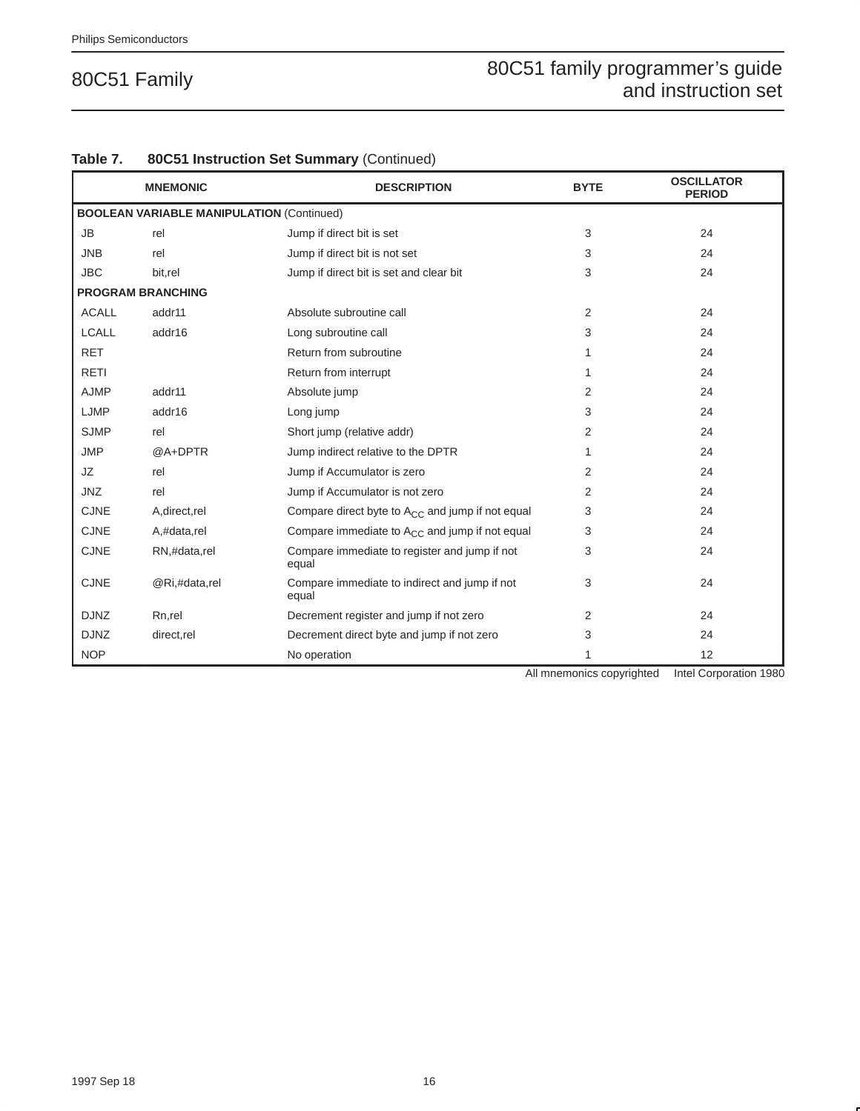|              | <b>MNEMONIC</b>                                  | <b>DESCRIPTION</b>                                     | <b>BYTE</b>    | <b>OSCILLATOR</b><br><b>PERIOD</b> |
|--------------|--------------------------------------------------|--------------------------------------------------------|----------------|------------------------------------|
|              | <b>BOOLEAN VARIABLE MANIPULATION (Continued)</b> |                                                        |                |                                    |
| <b>JB</b>    | rel                                              | Jump if direct bit is set                              | 3              | 24                                 |
| <b>JNB</b>   | rel                                              | Jump if direct bit is not set                          | 3              | 24                                 |
| <b>JBC</b>   | bit.rel                                          | Jump if direct bit is set and clear bit                | 3              | 24                                 |
|              | <b>PROGRAM BRANCHING</b>                         |                                                        |                |                                    |
| <b>ACALL</b> | addr11                                           | Absolute subroutine call                               | $\overline{2}$ | 24                                 |
| <b>LCALL</b> | addr16                                           | Long subroutine call                                   | 3              | 24                                 |
| <b>RET</b>   |                                                  | Return from subroutine                                 | 1              | 24                                 |
| <b>RETI</b>  |                                                  | Return from interrupt                                  | 1              | 24                                 |
| <b>AJMP</b>  | addr11                                           | Absolute jump                                          | $\overline{2}$ | 24                                 |
| LJMP         | addr16                                           | Long jump                                              | 3              | 24                                 |
| <b>SJMP</b>  | rel                                              | Short jump (relative addr)                             | 2              | 24                                 |
| <b>JMP</b>   | @A+DPTR                                          | Jump indirect relative to the DPTR                     | 1              | 24                                 |
| JZ           | rel                                              | Jump if Accumulator is zero                            | 2              | 24                                 |
| <b>JNZ</b>   | rel                                              | Jump if Accumulator is not zero                        | 2              | 24                                 |
| <b>CJNE</b>  | A, direct, rel                                   | Compare direct byte to $A_{CC}$ and jump if not equal  | 3              | 24                                 |
| <b>CJNE</b>  | A,#data,rel                                      | Compare immediate to $A_{CC}$ and jump if not equal    | 3              | 24                                 |
| <b>CJNE</b>  | RN,#data,rel                                     | Compare immediate to register and jump if not<br>equal | 3              | 24                                 |
| <b>CJNE</b>  | @Ri,#data,rel                                    | Compare immediate to indirect and jump if not<br>equal | 3              | 24                                 |
| <b>DJNZ</b>  | Rn,rel                                           | Decrement register and jump if not zero                | 2              | 24                                 |
| <b>DJNZ</b>  | direct,rel                                       | Decrement direct byte and jump if not zero             | 3              | 24                                 |
| <b>NOP</b>   |                                                  | No operation                                           | 1              | 12                                 |

#### **Table 7. 80C51 Instruction Set Summary** (Continued)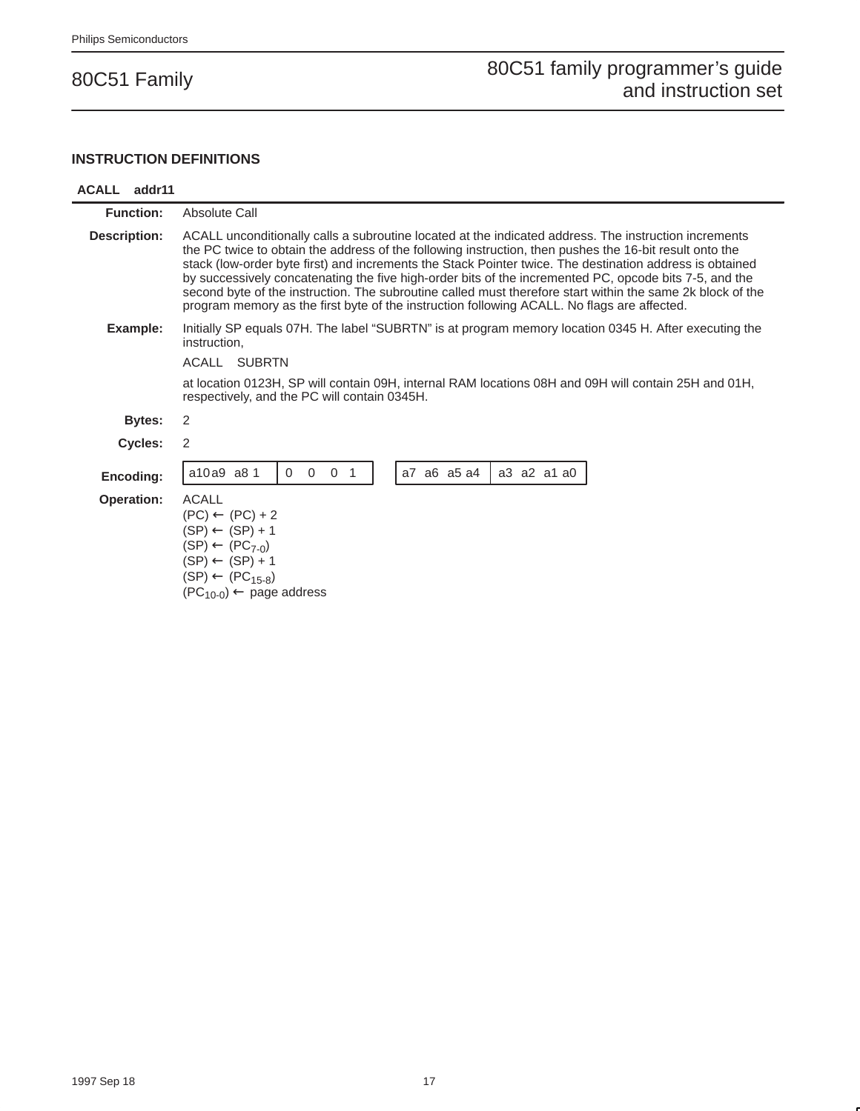#### **INSTRUCTION DEFINITIONS**

#### **ACALL addr11**

| <b>Function:</b>    | Absolute Call                                                                                                                                                                                                                                                                                                                                                                                                                                                                                                                                                                                                                                       |
|---------------------|-----------------------------------------------------------------------------------------------------------------------------------------------------------------------------------------------------------------------------------------------------------------------------------------------------------------------------------------------------------------------------------------------------------------------------------------------------------------------------------------------------------------------------------------------------------------------------------------------------------------------------------------------------|
| <b>Description:</b> | ACALL unconditionally calls a subroutine located at the indicated address. The instruction increments<br>the PC twice to obtain the address of the following instruction, then pushes the 16-bit result onto the<br>stack (low-order byte first) and increments the Stack Pointer twice. The destination address is obtained<br>by successively concatenating the five high-order bits of the incremented PC, opcode bits 7-5, and the<br>second byte of the instruction. The subroutine called must therefore start within the same 2k block of the<br>program memory as the first byte of the instruction following ACALL. No flags are affected. |
| Example:            | Initially SP equals 07H. The label "SUBRTN" is at program memory location 0345 H. After executing the<br>instruction.                                                                                                                                                                                                                                                                                                                                                                                                                                                                                                                               |
|                     | ACALL<br><b>SUBRTN</b>                                                                                                                                                                                                                                                                                                                                                                                                                                                                                                                                                                                                                              |
|                     | at location 0123H, SP will contain 09H, internal RAM locations 08H and 09H will contain 25H and 01H,<br>respectively, and the PC will contain 0345H.                                                                                                                                                                                                                                                                                                                                                                                                                                                                                                |
| Bytes:              | 2                                                                                                                                                                                                                                                                                                                                                                                                                                                                                                                                                                                                                                                   |
| Cycles:             | 2                                                                                                                                                                                                                                                                                                                                                                                                                                                                                                                                                                                                                                                   |
| Encoding:           | a7 a6 a5 a4<br>a3 a2 a1 a0<br>a10a9 a8 1<br>$\mathbf 0$<br>$\Omega$<br>$\overline{0}$<br>$\overline{1}$                                                                                                                                                                                                                                                                                                                                                                                                                                                                                                                                             |
| <b>Operation:</b>   | <b>ACALL</b><br>$(PC) \leftarrow (PC) + 2$<br>$(SP) \leftarrow (SP) + 1$<br>$(SP) \leftarrow (PC_{7-0})$<br>$(SP) \leftarrow (SP) + 1$<br>$(SP) \leftarrow (PC_{15-8})$<br>$(PC_{10-0}) \leftarrow$ page address                                                                                                                                                                                                                                                                                                                                                                                                                                    |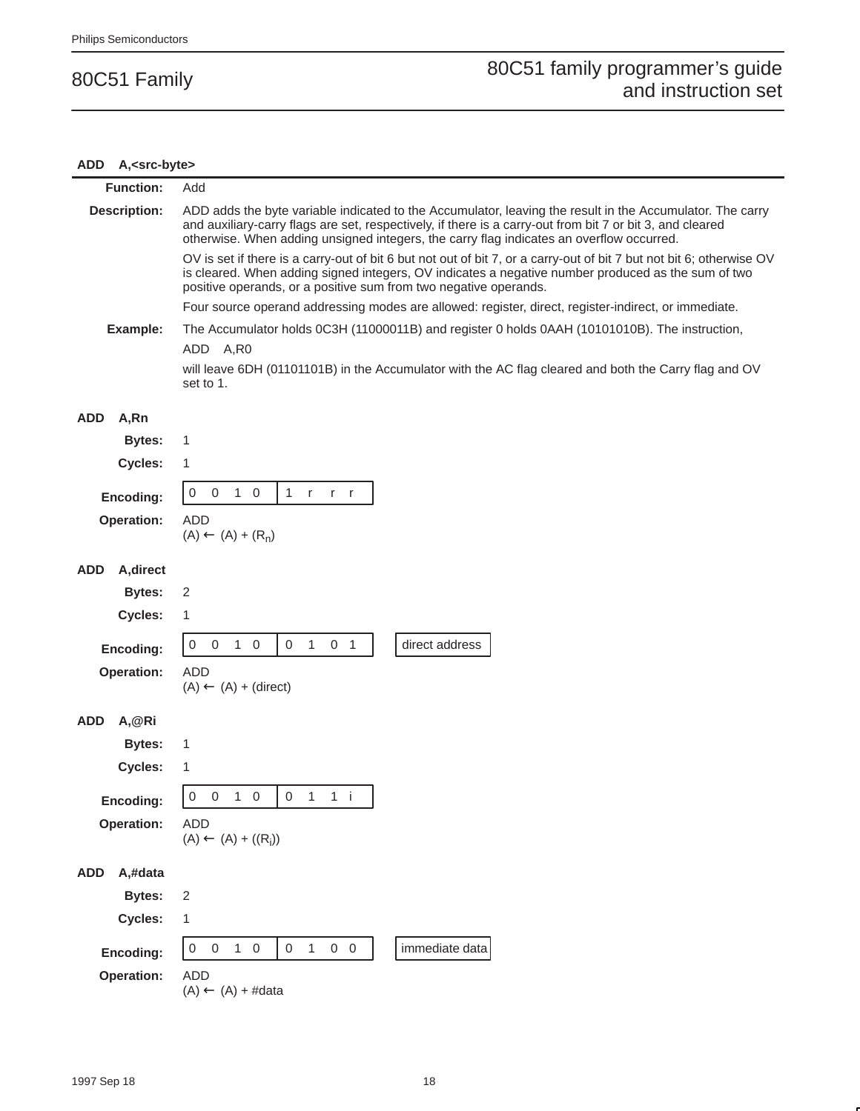# **ADD A,<src-byte>**

| <b>Function:</b>                                                                                           | Add                                                                                                                                                                                                                                                                                                                |  |  |  |  |  |
|------------------------------------------------------------------------------------------------------------|--------------------------------------------------------------------------------------------------------------------------------------------------------------------------------------------------------------------------------------------------------------------------------------------------------------------|--|--|--|--|--|
| <b>Description:</b>                                                                                        | ADD adds the byte variable indicated to the Accumulator, leaving the result in the Accumulator. The carry<br>and auxiliary-carry flags are set, respectively, if there is a carry-out from bit 7 or bit 3, and cleared<br>otherwise. When adding unsigned integers, the carry flag indicates an overflow occurred. |  |  |  |  |  |
|                                                                                                            | OV is set if there is a carry-out of bit 6 but not out of bit 7, or a carry-out of bit 7 but not bit 6; otherwise OV<br>is cleared. When adding signed integers, OV indicates a negative number produced as the sum of two<br>positive operands, or a positive sum from two negative operands.                     |  |  |  |  |  |
|                                                                                                            | Four source operand addressing modes are allowed: register, direct, register-indirect, or immediate.                                                                                                                                                                                                               |  |  |  |  |  |
| Example:<br>The Accumulator holds 0C3H (11000011B) and register 0 holds 0AAH (10101010B). The instruction, |                                                                                                                                                                                                                                                                                                                    |  |  |  |  |  |
|                                                                                                            | ADD A,R0                                                                                                                                                                                                                                                                                                           |  |  |  |  |  |
|                                                                                                            | will leave 6DH (01101101B) in the Accumulator with the AC flag cleared and both the Carry flag and OV<br>set to 1.                                                                                                                                                                                                 |  |  |  |  |  |
| <b>ADD</b><br>A,Rn                                                                                         |                                                                                                                                                                                                                                                                                                                    |  |  |  |  |  |
| <b>Bytes:</b>                                                                                              | 1                                                                                                                                                                                                                                                                                                                  |  |  |  |  |  |
| Cycles:                                                                                                    | 1                                                                                                                                                                                                                                                                                                                  |  |  |  |  |  |
| Encoding:                                                                                                  | $\,0\,$<br>$\mathbf{1}$<br>0<br>$\mathbf{1}$<br>$\overline{0}$<br>$\mathsf{r}$<br>$r - r$                                                                                                                                                                                                                          |  |  |  |  |  |
| Operation:                                                                                                 | <b>ADD</b>                                                                                                                                                                                                                                                                                                         |  |  |  |  |  |
|                                                                                                            | $(A) \leftarrow (A) + (R_n)$                                                                                                                                                                                                                                                                                       |  |  |  |  |  |
|                                                                                                            |                                                                                                                                                                                                                                                                                                                    |  |  |  |  |  |
| A, direct<br>ADD                                                                                           |                                                                                                                                                                                                                                                                                                                    |  |  |  |  |  |
| <b>Bytes:</b>                                                                                              | 2                                                                                                                                                                                                                                                                                                                  |  |  |  |  |  |
| Cycles:                                                                                                    | 1                                                                                                                                                                                                                                                                                                                  |  |  |  |  |  |
| Encoding:                                                                                                  | $1\quad 0$<br>$\mathbf 0$<br>$\mathbf{1}$<br>0 <sub>1</sub><br>direct address<br>$\pmb{0}$<br>$\overline{0}$                                                                                                                                                                                                       |  |  |  |  |  |
| Operation:                                                                                                 | <b>ADD</b>                                                                                                                                                                                                                                                                                                         |  |  |  |  |  |
|                                                                                                            | $(A) \leftarrow (A) + (direct)$                                                                                                                                                                                                                                                                                    |  |  |  |  |  |
| <b>ADD</b><br>A, @Ri                                                                                       |                                                                                                                                                                                                                                                                                                                    |  |  |  |  |  |
| <b>Bytes:</b>                                                                                              | 1                                                                                                                                                                                                                                                                                                                  |  |  |  |  |  |
| Cycles:                                                                                                    | 1                                                                                                                                                                                                                                                                                                                  |  |  |  |  |  |
|                                                                                                            | 0<br>$0 \quad 1 \quad 0$<br>$\overline{0}$<br>$1 \quad 1 \quad i$                                                                                                                                                                                                                                                  |  |  |  |  |  |
| Encoding:<br>Operation:                                                                                    | <b>ADD</b>                                                                                                                                                                                                                                                                                                         |  |  |  |  |  |
|                                                                                                            | $(A) \leftarrow (A) + ((R_i))$                                                                                                                                                                                                                                                                                     |  |  |  |  |  |
|                                                                                                            |                                                                                                                                                                                                                                                                                                                    |  |  |  |  |  |
| <b>ADD</b><br>A,#data                                                                                      |                                                                                                                                                                                                                                                                                                                    |  |  |  |  |  |
| <b>Bytes:</b>                                                                                              | $\sqrt{2}$                                                                                                                                                                                                                                                                                                         |  |  |  |  |  |
| Cycles:                                                                                                    | 1                                                                                                                                                                                                                                                                                                                  |  |  |  |  |  |
| Encoding:                                                                                                  | immediate data<br>$\mathbf 0$<br>$\mathsf{O}\xspace$<br>$1\quad 0$<br>$\mathbf 0$<br>$1 -$<br>$0\quad 0$                                                                                                                                                                                                           |  |  |  |  |  |
| Operation:                                                                                                 | <b>ADD</b>                                                                                                                                                                                                                                                                                                         |  |  |  |  |  |
|                                                                                                            | $(A) \leftarrow (A) + #data$                                                                                                                                                                                                                                                                                       |  |  |  |  |  |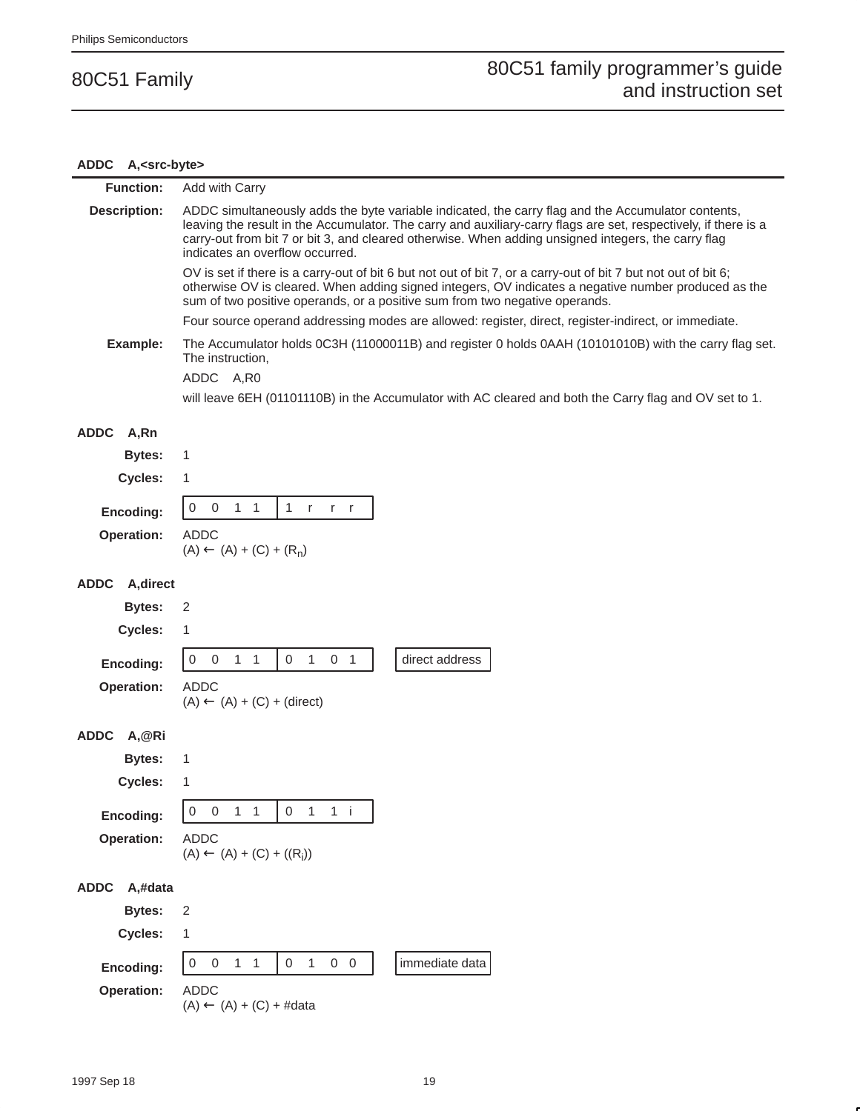# **ADDC A,<src-byte>**

| <b>Function:</b>         | Add with Carry                                                                                                                                                                                                                                                                                                                                                  |
|--------------------------|-----------------------------------------------------------------------------------------------------------------------------------------------------------------------------------------------------------------------------------------------------------------------------------------------------------------------------------------------------------------|
| <b>Description:</b>      | ADDC simultaneously adds the byte variable indicated, the carry flag and the Accumulator contents,<br>leaving the result in the Accumulator. The carry and auxiliary-carry flags are set, respectively, if there is a<br>carry-out from bit 7 or bit 3, and cleared otherwise. When adding unsigned integers, the carry flag<br>indicates an overflow occurred. |
|                          | OV is set if there is a carry-out of bit 6 but not out of bit 7, or a carry-out of bit 7 but not out of bit 6;<br>otherwise OV is cleared. When adding signed integers, OV indicates a negative number produced as the<br>sum of two positive operands, or a positive sum from two negative operands.                                                           |
|                          | Four source operand addressing modes are allowed: register, direct, register-indirect, or immediate.                                                                                                                                                                                                                                                            |
| Example:                 | The Accumulator holds 0C3H (11000011B) and register 0 holds 0AAH (10101010B) with the carry flag set.<br>The instruction,                                                                                                                                                                                                                                       |
|                          | ADDC A,R0                                                                                                                                                                                                                                                                                                                                                       |
|                          | will leave 6EH (01101110B) in the Accumulator with AC cleared and both the Carry flag and OV set to 1.                                                                                                                                                                                                                                                          |
| <b>ADDC</b><br>A,Rn      |                                                                                                                                                                                                                                                                                                                                                                 |
| <b>Bytes:</b>            | 1                                                                                                                                                                                                                                                                                                                                                               |
| Cycles:                  | 1                                                                                                                                                                                                                                                                                                                                                               |
| Encoding:                | $\boldsymbol{0}$<br>$\overline{0}$<br>$1\quad1$<br>1 r<br>$r - r$                                                                                                                                                                                                                                                                                               |
| <b>Operation:</b>        | ADDC<br>$(A) \leftarrow (A) + (C) + (R_n)$                                                                                                                                                                                                                                                                                                                      |
| <b>ADDC</b><br>A, direct |                                                                                                                                                                                                                                                                                                                                                                 |
| <b>Bytes:</b>            | 2                                                                                                                                                                                                                                                                                                                                                               |
| Cycles:                  | 1                                                                                                                                                                                                                                                                                                                                                               |
| Encoding:                | $\mathbf{1}$<br>0 <sub>1</sub><br>$\boldsymbol{0}$<br>$\boldsymbol{0}$<br>$1\quad1$<br>$\mathbf 0$<br>direct address                                                                                                                                                                                                                                            |
| <b>Operation:</b>        | <b>ADDC</b>                                                                                                                                                                                                                                                                                                                                                     |
|                          | $(A) \leftarrow (A) + (C) + (direct)$                                                                                                                                                                                                                                                                                                                           |
| <b>ADDC</b><br>A,@Ri     |                                                                                                                                                                                                                                                                                                                                                                 |
| <b>Bytes:</b>            | 1                                                                                                                                                                                                                                                                                                                                                               |
| Cycles:                  | 1                                                                                                                                                                                                                                                                                                                                                               |
| Encoding:                | $\overline{0}$<br>$1 \quad 1$<br>$\mathbf 0$<br>$\mathbf{1}$<br>$\,0\,$<br>$1$ i                                                                                                                                                                                                                                                                                |
| <b>Operation:</b>        | <b>ADDC</b><br>$(A) \leftarrow (A) + (C) + ((R_i))$                                                                                                                                                                                                                                                                                                             |
|                          |                                                                                                                                                                                                                                                                                                                                                                 |
| <b>ADDC</b><br>A,#data   |                                                                                                                                                                                                                                                                                                                                                                 |
| <b>Bytes:</b>            | $\sqrt{2}$                                                                                                                                                                                                                                                                                                                                                      |
| Cycles:                  | 1                                                                                                                                                                                                                                                                                                                                                               |
| Encoding:                | $0\quad 0$<br>immediate data<br>$\boldsymbol{0}$<br>$\boldsymbol{0}$<br>$1 \quad 1$<br>0<br>$\mathbf{1}$                                                                                                                                                                                                                                                        |
| Operation:               | <b>ADDC</b><br>$(A) \leftarrow (A) + (C) + #data$                                                                                                                                                                                                                                                                                                               |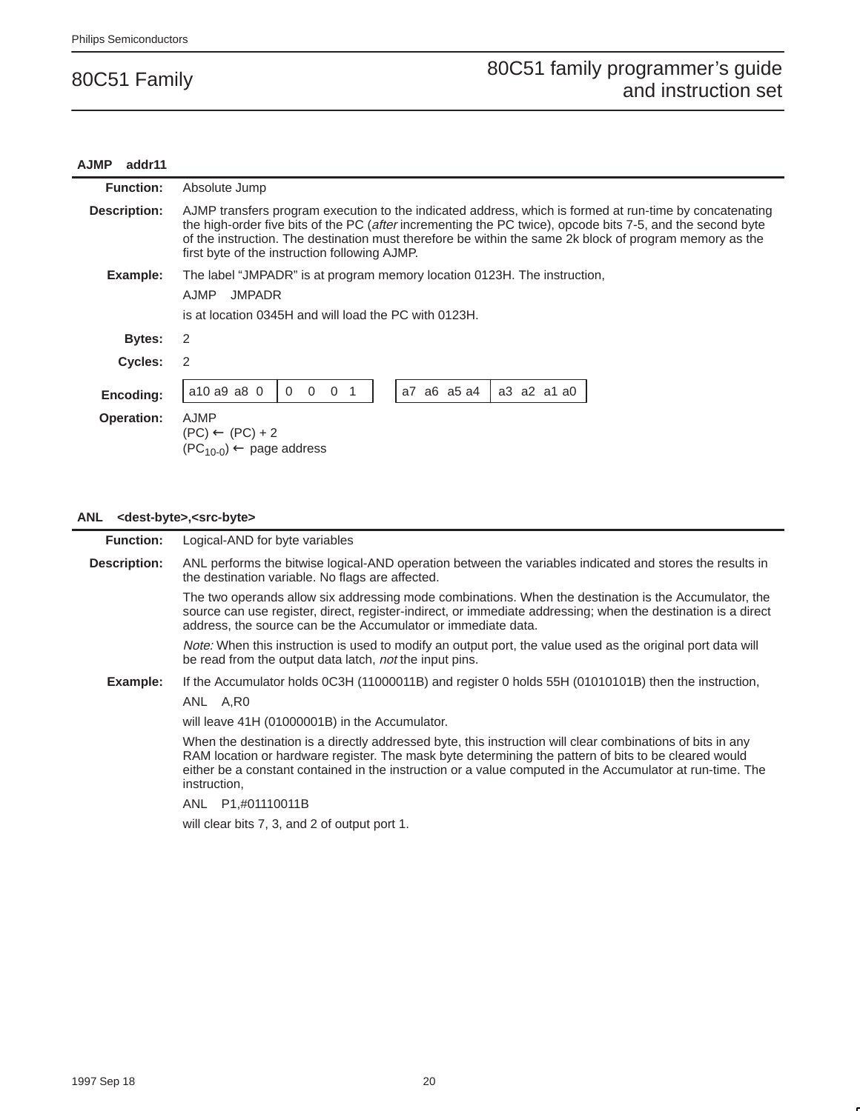### **AJMP addr11 Function:** Absolute Jump **Description:** AJMP transfers program execution to the indicated address, which is formed at run-time by concatenating the high-order five bits of the PC (after incrementing the PC twice), opcode bits 7-5, and the second byte of the instruction. The destination must therefore be within the same 2k block of program memory as the first byte of the instruction following AJMP. **Example:** The label "JMPADR" is at program memory location 0123H. The instruction, AJMP JMPADR is at location 0345H and will load the PC with 0123H. **Bytes:** 2 **Cycles:** 2 **Encoding:**  $\begin{bmatrix} a^{10} & a^9 & a^8 & 0 \end{bmatrix}$  0 0 0 1  $\begin{bmatrix} a^7 & a^6 & a^5 & a^4 \end{bmatrix}$  a 3 a 2 a 1 a 0 **Operation:** AJMP  $(PC) \leftarrow (PC) + 2$  $(PC_{10-0}) \leftarrow$  page address

#### **ANL <dest-byte>,<src-byte>**

| <b>Function:</b>    | Logical-AND for byte variables                                                                                                                                                                                                                                                                                                                  |  |  |  |  |  |
|---------------------|-------------------------------------------------------------------------------------------------------------------------------------------------------------------------------------------------------------------------------------------------------------------------------------------------------------------------------------------------|--|--|--|--|--|
| <b>Description:</b> | ANL performs the bitwise logical-AND operation between the variables indicated and stores the results in<br>the destination variable. No flags are affected.                                                                                                                                                                                    |  |  |  |  |  |
|                     | The two operands allow six addressing mode combinations. When the destination is the Accumulator, the<br>source can use register, direct, register-indirect, or immediate addressing; when the destination is a direct<br>address, the source can be the Accumulator or immediate data.                                                         |  |  |  |  |  |
|                     | <i>Note:</i> When this instruction is used to modify an output port, the value used as the original port data will<br>be read from the output data latch, not the input pins.                                                                                                                                                                   |  |  |  |  |  |
| Example:            | If the Accumulator holds 0C3H (11000011B) and register 0 holds 55H (01010101B) then the instruction,                                                                                                                                                                                                                                            |  |  |  |  |  |
|                     | ANL A,R0                                                                                                                                                                                                                                                                                                                                        |  |  |  |  |  |
|                     | will leave 41H (01000001B) in the Accumulator.                                                                                                                                                                                                                                                                                                  |  |  |  |  |  |
|                     | When the destination is a directly addressed byte, this instruction will clear combinations of bits in any<br>RAM location or hardware register. The mask byte determining the pattern of bits to be cleared would<br>either be a constant contained in the instruction or a value computed in the Accumulator at run-time. The<br>instruction, |  |  |  |  |  |
|                     | P1,#01110011B<br>ANL                                                                                                                                                                                                                                                                                                                            |  |  |  |  |  |

will clear bits 7, 3, and 2 of output port 1.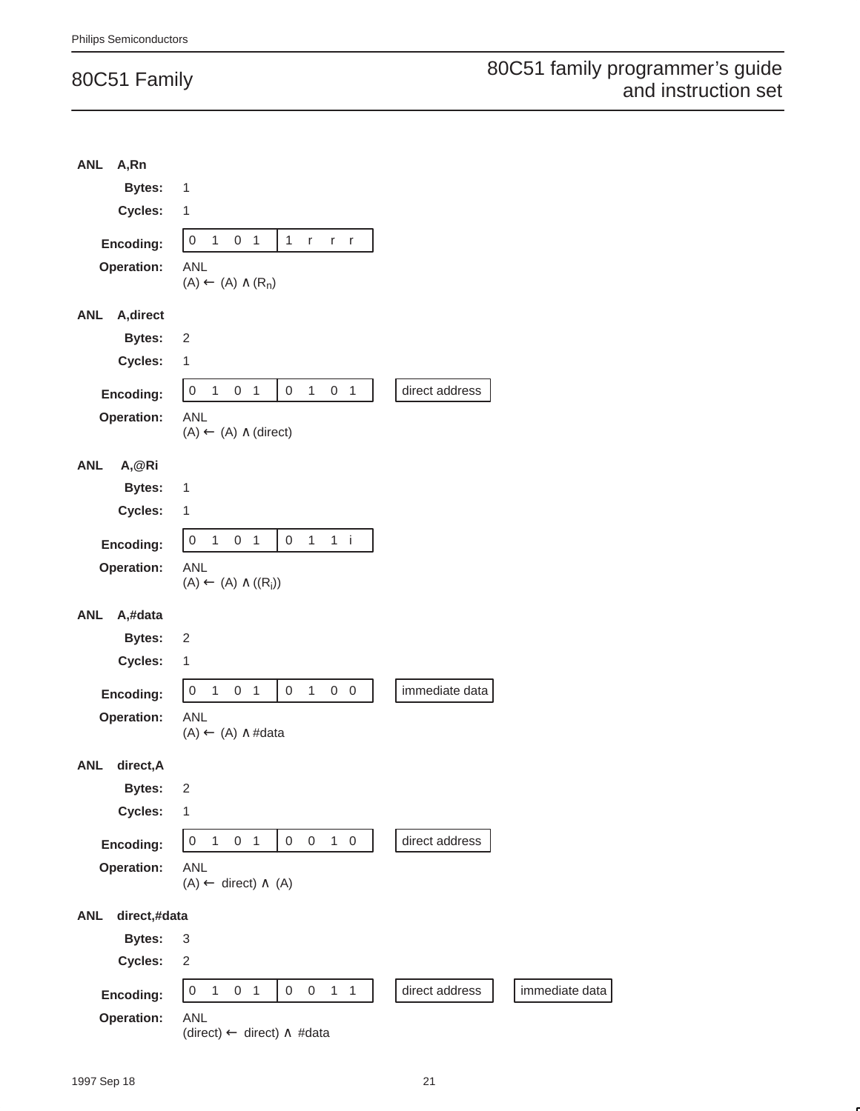| <b>ANL</b><br>A,Rn         |                                                                                                                  |                |                |
|----------------------------|------------------------------------------------------------------------------------------------------------------|----------------|----------------|
| <b>Bytes:</b>              | 1                                                                                                                |                |                |
| Cycles:                    | 1                                                                                                                |                |                |
| Encoding:                  | $\,0\,$<br>$\mathbf{1}$<br>0 <sub>1</sub><br>$\mathbf{1}$<br>$r_{\parallel}$<br>$r - r$                          |                |                |
| Operation:                 | <b>ANL</b>                                                                                                       |                |                |
|                            | $(A) \leftarrow (A) \wedge (R_n)$                                                                                |                |                |
| <b>ANL</b><br>A, direct    |                                                                                                                  |                |                |
| <b>Bytes:</b>              | 2                                                                                                                |                |                |
| Cycles:                    | $\mathbf{1}$                                                                                                     |                |                |
| Encoding:                  | $\mathbf{1}$<br>$\,0\,$<br>$\mathbf{1}$<br>0 <sub>1</sub><br>$\mathsf 0$<br>0 <sub>1</sub>                       | direct address |                |
| Operation:                 | <b>ANL</b><br>$(A) \leftarrow (A) \wedge (direct)$                                                               |                |                |
| <b>ANL</b><br>A,@Ri        |                                                                                                                  |                |                |
| <b>Bytes:</b>              | 1                                                                                                                |                |                |
| Cycles:                    | 1                                                                                                                |                |                |
| Encoding:                  | $\boldsymbol{0}$<br>$\boldsymbol{0}$<br>$\mathbf{1}$<br>1<br>0 <sub>1</sub><br>$1$ i                             |                |                |
| Operation:                 | <b>ANL</b><br>$(A) \leftarrow (A) \wedge ((R_i))$                                                                |                |                |
|                            |                                                                                                                  |                |                |
| <b>ANL</b><br>A,#data      |                                                                                                                  |                |                |
| <b>Bytes:</b>              | $\sqrt{2}$                                                                                                       |                |                |
| Cycles:                    | 1                                                                                                                |                |                |
| Encoding:                  | $\mathbf{1}$<br>$\,0\,$<br>$\mathbf{1}$<br>0 <sub>1</sub><br>0<br>$0\quad 0$                                     | immediate data |                |
| Operation:                 | <b>ANL</b>                                                                                                       |                |                |
|                            | $(A) \leftarrow (A) \wedge #data$                                                                                |                |                |
| <b>ANL</b><br>direct, A    |                                                                                                                  |                |                |
| <b>Bytes:</b>              | $\overline{c}$                                                                                                   |                |                |
| Cycles:                    | 1                                                                                                                |                |                |
| Encoding:                  | $\mathbf 0$<br>$\mathbf{1}$<br>0 <sub>1</sub><br>$\mathsf{O}\xspace$<br>$\mathsf{O}\xspace$<br>$1\quad 0$        | direct address |                |
| Operation:                 | <b>ANL</b><br>$(A) \leftarrow \langle$ direct) $\wedge$ (A)                                                      |                |                |
|                            |                                                                                                                  |                |                |
| <b>ANL</b><br>direct,#data |                                                                                                                  |                |                |
| <b>Bytes:</b>              | 3<br>2                                                                                                           |                |                |
| Cycles:                    |                                                                                                                  |                |                |
| Encoding:<br>Operation:    | $\mathbf 0$<br>$\mathsf{O}\xspace$<br>$\mathbf 0$<br>$1 \quad 1$<br>$\mathbf{1}$<br>0 <sub>1</sub><br><b>ANL</b> | direct address | immediate data |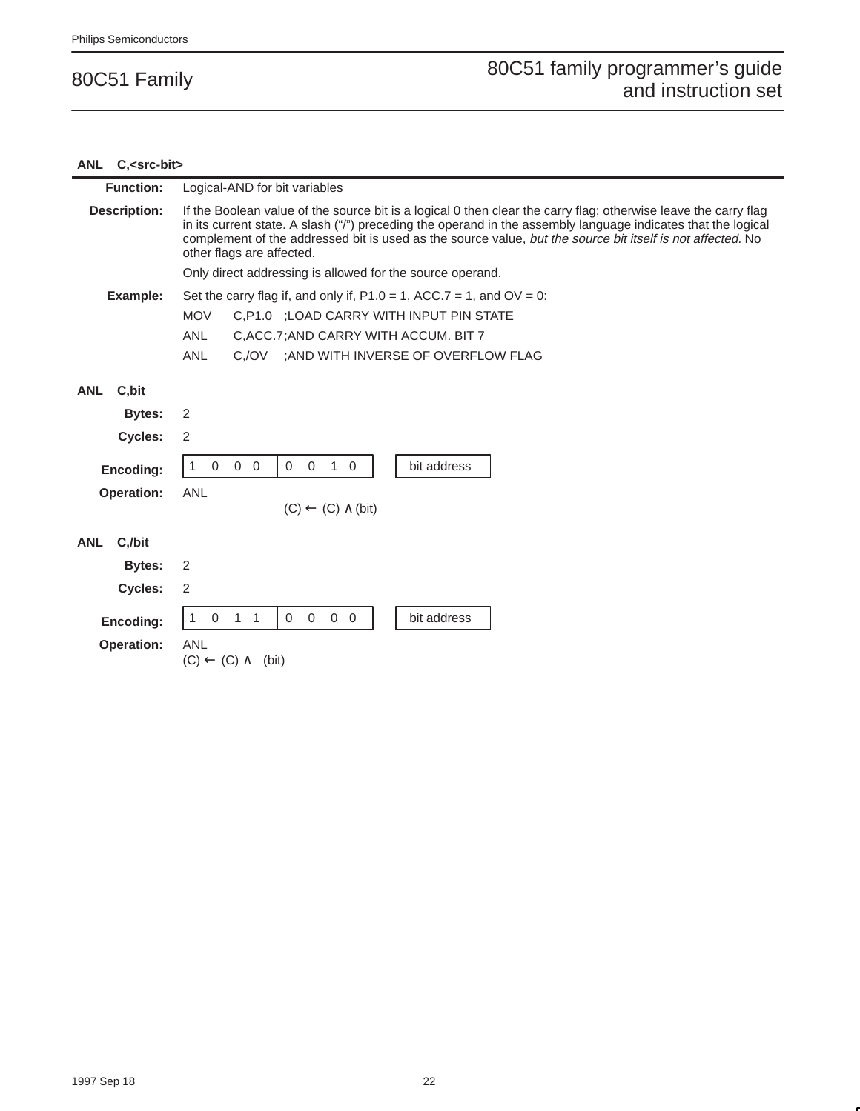### **ANL C,<src-bit> Function:** Logical-AND for bit variables **Description:** If the Boolean value of the source bit is a logical 0 then clear the carry flag; otherwise leave the carry flag in its current state. A slash ("/") preceding the operand in the assembly language indicates that the logical complement of the addressed bit is used as the source value, but the source bit itself is not affected. No other flags are affected. Only direct addressing is allowed for the source operand. **Example:** Set the carry flag if, and only if,  $P1.0 = 1$ ,  $ACC.7 = 1$ , and  $OV = 0$ : MOV C,P1.0 ;LOAD CARRY WITH INPUT PIN STATE ANL C,ACC.7;AND CARRY WITH ACCUM. BIT 7 ANL C,/OV ;AND WITH INVERSE OF OVERFLOW FLAG **ANL C,bit Bytes:** 2 **Cycles:** 2 **Encoding:** 1 0 0 0 0 0 1 0 bit address **Operation:** ANL  $(C) \leftarrow (C) \wedge (bit)$ **ANL C,/bit Bytes:** 2 **Cycles:** 2 **Encoding:**  $\begin{vmatrix} 1 & 0 & 1 & 1 \end{vmatrix}$  0 0 0 0 0 bit address **Operation:** ANL  $(C) \leftarrow (C) \wedge \overline{\phantom{a}}$  (bit)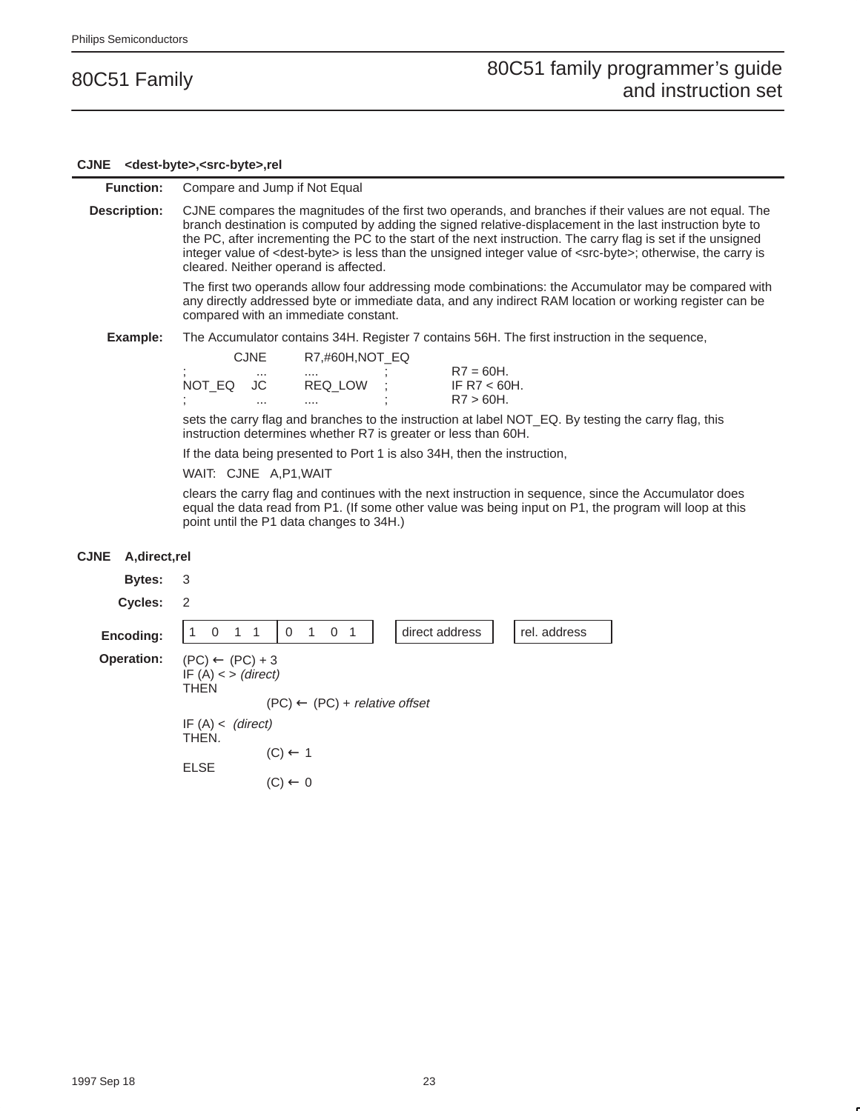#### **CJNE <dest-byte>,<src-byte>,rel**

#### **Function:** Compare and Jump if Not Equal

**Description:** CJNE compares the magnitudes of the first two operands, and branches if their values are not equal. The branch destination is computed by adding the signed relative-displacement in the last instruction byte to the PC, after incrementing the PC to the start of the next instruction. The carry flag is set if the unsigned integer value of <dest-byte> is less than the unsigned integer value of <src-byte>; otherwise, the carry is cleared. Neither operand is affected.

> The first two operands allow four addressing mode combinations: the Accumulator may be compared with any directly addressed byte or immediate data, and any indirect RAM location or working register can be compared with an immediate constant.

**Example:** The Accumulator contains 34H. Register 7 contains 56H. The first instruction in the sequence,

| <b>CJNE</b>    | R7,#60H,NOT EQ |                |  |  |  |  |  |
|----------------|----------------|----------------|--|--|--|--|--|
| ٠<br>$\cdots$  |                | $R7 = 60H$ .   |  |  |  |  |  |
| NOT EQ<br>- JC | REQ LOW        | IF R7 $<$ 60H. |  |  |  |  |  |
| ٠<br>          | ٠<br>          | $R7 > 60H$ .   |  |  |  |  |  |

sets the carry flag and branches to the instruction at label NOT\_EQ. By testing the carry flag, this instruction determines whether R7 is greater or less than 60H.

If the data being presented to Port 1 is also 34H, then the instruction,

#### WAIT: CJNE A,P1,WAIT

clears the carry flag and continues with the next instruction in sequence, since the Accumulator does equal the data read from P1. (If some other value was being input on P1, the program will loop at this point until the P1 data changes to 34H.)

#### **CJNE A,direct,rel**

| Bytes:            | $\overline{\mathbf{3}}$                                            |                                             |                |              |
|-------------------|--------------------------------------------------------------------|---------------------------------------------|----------------|--------------|
| Cycles:           | $\overline{2}$                                                     |                                             |                |              |
| Encoding:         | $0 \t1 \t1$<br>1                                                   | $0 \t1 \t0 \t1$                             | direct address | rel. address |
| <b>Operation:</b> | $(PC) \leftarrow (PC) + 3$<br>IF $(A)$ < > (direct)<br><b>THEN</b> |                                             |                |              |
|                   |                                                                    | $(PC) \leftarrow (PC) + relative \; offset$ |                |              |
|                   | IF $(A) < (direct)$<br>THEN.                                       |                                             |                |              |
|                   |                                                                    | $(C) \leftarrow 1$                          |                |              |
|                   | <b>ELSE</b>                                                        | $(C) \leftarrow 0$                          |                |              |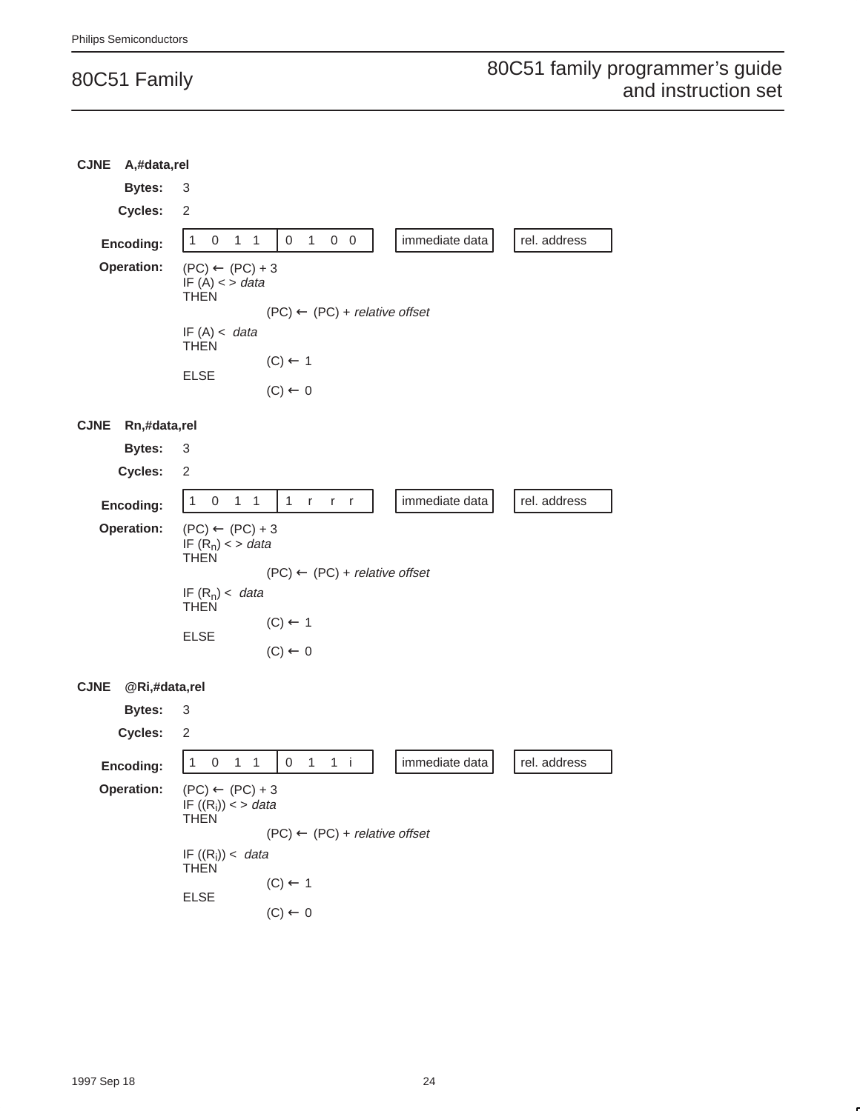| <b>CJNE</b>       | A,#data,rel    |                                                                                       |   |              |                                                     |                                          |              |            |                                             |              |
|-------------------|----------------|---------------------------------------------------------------------------------------|---|--------------|-----------------------------------------------------|------------------------------------------|--------------|------------|---------------------------------------------|--------------|
|                   | <b>Bytes:</b>  | 3                                                                                     |   |              |                                                     |                                          |              |            |                                             |              |
|                   | <b>Cycles:</b> | 2                                                                                     |   |              |                                                     |                                          |              |            |                                             |              |
| Encoding:         |                | $\mathbf{1}$                                                                          | 0 | $\mathbf{1}$ | 1                                                   | 0                                        | $\mathbf{1}$ | $0\quad 0$ | immediate data                              | rel. address |
| Operation:        |                | IF $(A)$ < > data<br><b>THEN</b><br>IF(A) < data<br><b>THEN</b><br><b>ELSE</b>        |   |              | $(PC) \leftarrow (PC) + 3$                          | $(C) \leftarrow 1$<br>$(C) \leftarrow 0$ |              |            | $(PC) \leftarrow (PC) + relative \; offset$ |              |
| <b>CJNE</b>       | Rn,#data,rel   |                                                                                       |   |              |                                                     |                                          |              |            |                                             |              |
|                   | <b>Bytes:</b>  | 3                                                                                     |   |              |                                                     |                                          |              |            |                                             |              |
|                   | Cycles:        | 2                                                                                     |   |              |                                                     |                                          |              |            |                                             |              |
| Encoding:         |                | $\mathbf{1}$                                                                          | 0 | $\mathbf{1}$ | 1                                                   | $\mathbf{1}$                             | r.           | r r        | immediate data                              | rel. address |
| <b>Operation:</b> |                | IF $(R_n)$ < > data<br><b>THEN</b><br>IF $(R_n)$ < data<br><b>THEN</b><br><b>ELSE</b> |   |              | $(PC) \leftarrow (PC) + 3$                          | $(C) \leftarrow 1$<br>$(C) \leftarrow 0$ |              |            | $(PC) \leftarrow (PC) + relative \; offset$ |              |
| <b>CJNE</b>       | @Ri,#data,rel  |                                                                                       |   |              |                                                     |                                          |              |            |                                             |              |
|                   | <b>Bytes:</b>  | 3                                                                                     |   |              |                                                     |                                          |              |            |                                             |              |
|                   | Cycles:        | 2                                                                                     |   |              |                                                     |                                          |              |            |                                             |              |
| Encoding:         |                | 1                                                                                     | 0 | $\mathbf{1}$ | 1                                                   | 0                                        | $\mathbf{1}$ | $1$ i      | immediate data                              | rel. address |
| <b>Operation:</b> |                | <b>THEN</b>                                                                           |   |              | $(PC) \leftarrow (PC) + 3$<br>IF $((R_i)) < > data$ |                                          |              |            | $(PC) \leftarrow (PC) + relative \; offset$ |              |
|                   |                | IF $((R_i)) <$ data<br><b>THEN</b>                                                    |   |              |                                                     |                                          |              |            |                                             |              |
|                   |                | <b>ELSE</b>                                                                           |   |              |                                                     | $(C) \leftarrow 1$                       |              |            |                                             |              |
|                   |                |                                                                                       |   |              |                                                     | $(C) \leftarrow 0$                       |              |            |                                             |              |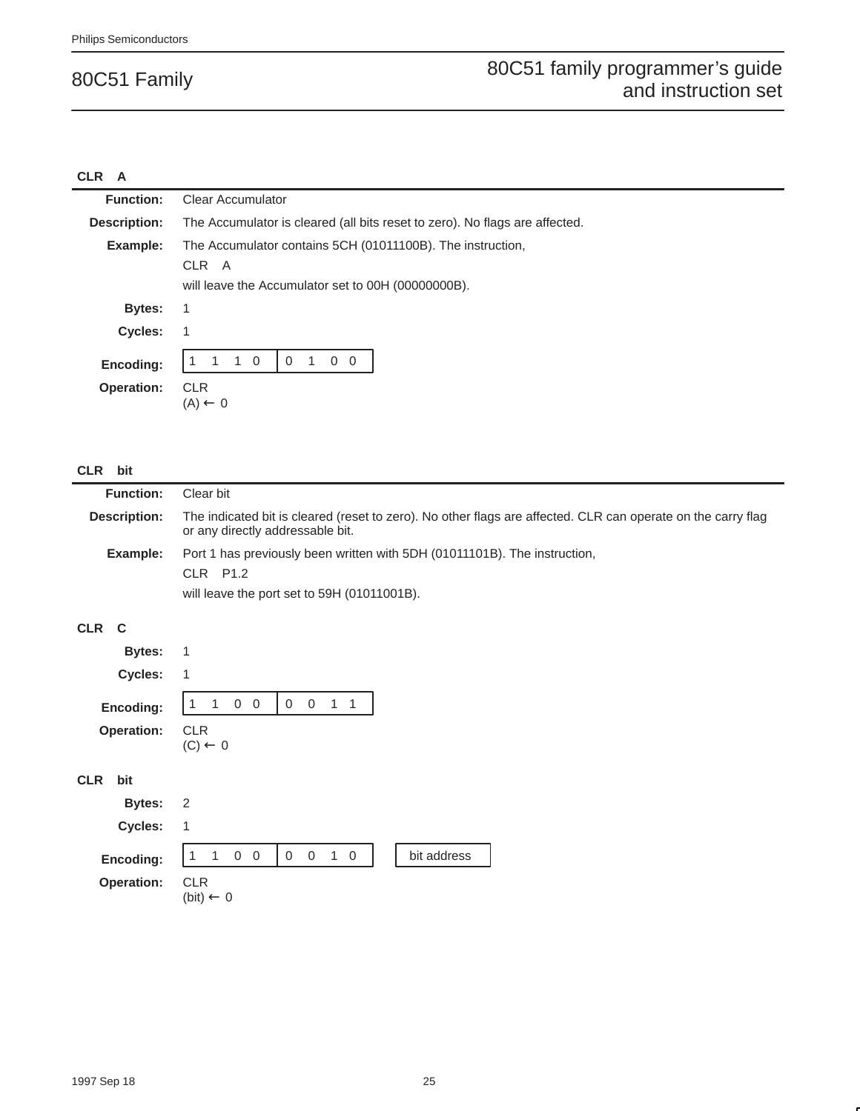## **CLR A**

| <b>Function:</b>               | <b>Clear Accumulator</b>                                                                                                  |  |  |  |
|--------------------------------|---------------------------------------------------------------------------------------------------------------------------|--|--|--|
| <b>Description:</b>            | The Accumulator is cleared (all bits reset to zero). No flags are affected.                                               |  |  |  |
| Example:                       | The Accumulator contains 5CH (01011100B). The instruction,<br>CLR A<br>will leave the Accumulator set to 00H (00000000B). |  |  |  |
| Bytes:                         | 1                                                                                                                         |  |  |  |
| Cycles:                        |                                                                                                                           |  |  |  |
| Encoding:<br><b>Operation:</b> | $1\quad 0$<br>$\mathbf 0$<br>$\overline{0}$<br>$\overline{0}$<br>$\overline{1}$<br><b>CLR</b><br>$(A) \leftarrow 0$       |  |  |  |

## **CLR bit**

| <b>Function:</b> | Clear bit                                                                                                                                        |
|------------------|--------------------------------------------------------------------------------------------------------------------------------------------------|
| Description:     | The indicated bit is cleared (reset to zero). No other flags are affected. CLR can operate on the carry flag<br>or any directly addressable bit. |
| Example:         | Port 1 has previously been written with 5DH (01011101B). The instruction,                                                                        |
|                  | $CLR$ $P1.2$                                                                                                                                     |
|                  | will leave the port set to 59H (01011001B).                                                                                                      |

#### **CLR C**

|            | <b>Bytes: 1</b> |                    |                 |  |  |  |
|------------|-----------------|--------------------|-----------------|--|--|--|
|            | Cycles: 1       |                    |                 |  |  |  |
|            | Encoding:       |                    | 1 1 0 0 0 0 1 1 |  |  |  |
|            | Operation: CLR  | $(C) \leftarrow 0$ |                 |  |  |  |
| <b>CLR</b> | bit             |                    |                 |  |  |  |
|            | <b>Bytes: 2</b> |                    |                 |  |  |  |
|            | ____            |                    |                 |  |  |  |

| Cycles:               |          |                      |  |   |  |  |             |
|-----------------------|----------|----------------------|--|---|--|--|-------------|
| <b>Encoding:</b>      | 11 1 0 0 |                      |  | 0 |  |  | bit address |
| <b>Operation: CLR</b> |          | $(bit) \leftarrow 0$ |  |   |  |  |             |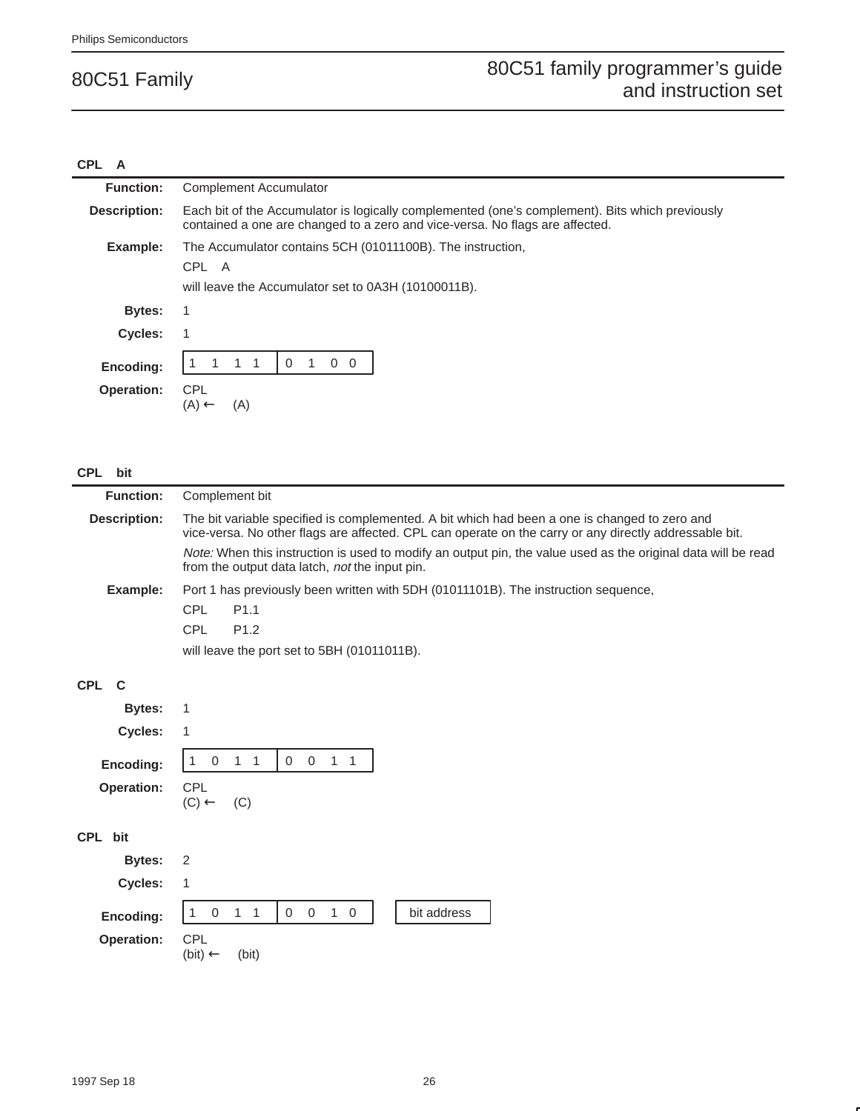#### **CPL A**

| <b>Function:</b><br><b>Complement Accumulator</b><br>Description:<br>Each bit of the Accumulator is logically complemented (one's complement). Bits which previously<br>contained a one are changed to a zero and vice-versa. No flags are affected.<br>Example:<br>The Accumulator contains 5CH (01011100B). The instruction,<br>CPL A<br>will leave the Accumulator set to 0A3H (10100011B).<br><b>Bytes:</b><br><b>Cycles:</b><br>$\Omega$<br>$\Omega$<br>0<br>Encoding:<br><b>CPL</b><br><b>Operation:</b> |  |  |  |  |  |  |
|----------------------------------------------------------------------------------------------------------------------------------------------------------------------------------------------------------------------------------------------------------------------------------------------------------------------------------------------------------------------------------------------------------------------------------------------------------------------------------------------------------------|--|--|--|--|--|--|
|                                                                                                                                                                                                                                                                                                                                                                                                                                                                                                                |  |  |  |  |  |  |
|                                                                                                                                                                                                                                                                                                                                                                                                                                                                                                                |  |  |  |  |  |  |
|                                                                                                                                                                                                                                                                                                                                                                                                                                                                                                                |  |  |  |  |  |  |
|                                                                                                                                                                                                                                                                                                                                                                                                                                                                                                                |  |  |  |  |  |  |
|                                                                                                                                                                                                                                                                                                                                                                                                                                                                                                                |  |  |  |  |  |  |
|                                                                                                                                                                                                                                                                                                                                                                                                                                                                                                                |  |  |  |  |  |  |
|                                                                                                                                                                                                                                                                                                                                                                                                                                                                                                                |  |  |  |  |  |  |
|                                                                                                                                                                                                                                                                                                                                                                                                                                                                                                                |  |  |  |  |  |  |
|                                                                                                                                                                                                                                                                                                                                                                                                                                                                                                                |  |  |  |  |  |  |

## **CPL bit**

| <b>Function:</b>    | Complement bit                                                                                                                                                                                          |  |  |  |  |  |
|---------------------|---------------------------------------------------------------------------------------------------------------------------------------------------------------------------------------------------------|--|--|--|--|--|
| <b>Description:</b> | The bit variable specified is complemented. A bit which had been a one is changed to zero and<br>vice-versa. No other flags are affected. CPL can operate on the carry or any directly addressable bit. |  |  |  |  |  |
|                     | Note: When this instruction is used to modify an output pin, the value used as the original data will be read<br>from the output data latch, not the input pin.                                         |  |  |  |  |  |
| Example:            | Port 1 has previously been written with 5DH (01011101B). The instruction sequence,<br><b>CPL</b><br>P <sub>1.1</sub><br><b>CPL</b><br>P <sub>1.2</sub><br>will leave the port set to 5BH (01011011B).   |  |  |  |  |  |
| CPL C               |                                                                                                                                                                                                         |  |  |  |  |  |
| Bytes:              |                                                                                                                                                                                                         |  |  |  |  |  |
| Cycles:             |                                                                                                                                                                                                         |  |  |  |  |  |
| Encoding:           | $\mathbf 0$<br>$\Omega$<br>$\Omega$<br>$1 \quad 1$                                                                                                                                                      |  |  |  |  |  |
| <b>Operation:</b>   | <b>CPL</b><br>$(C) \leftarrow$ (C)                                                                                                                                                                      |  |  |  |  |  |
| CPL<br>bit          |                                                                                                                                                                                                         |  |  |  |  |  |

| Bytes: 2<br>Cycles: 1          |                                                                   |
|--------------------------------|-------------------------------------------------------------------|
| Encoding:<br><b>Operation:</b> | 10110010<br>bit address<br><b>CPL</b><br>$(bit) \leftarrow$ (bit) |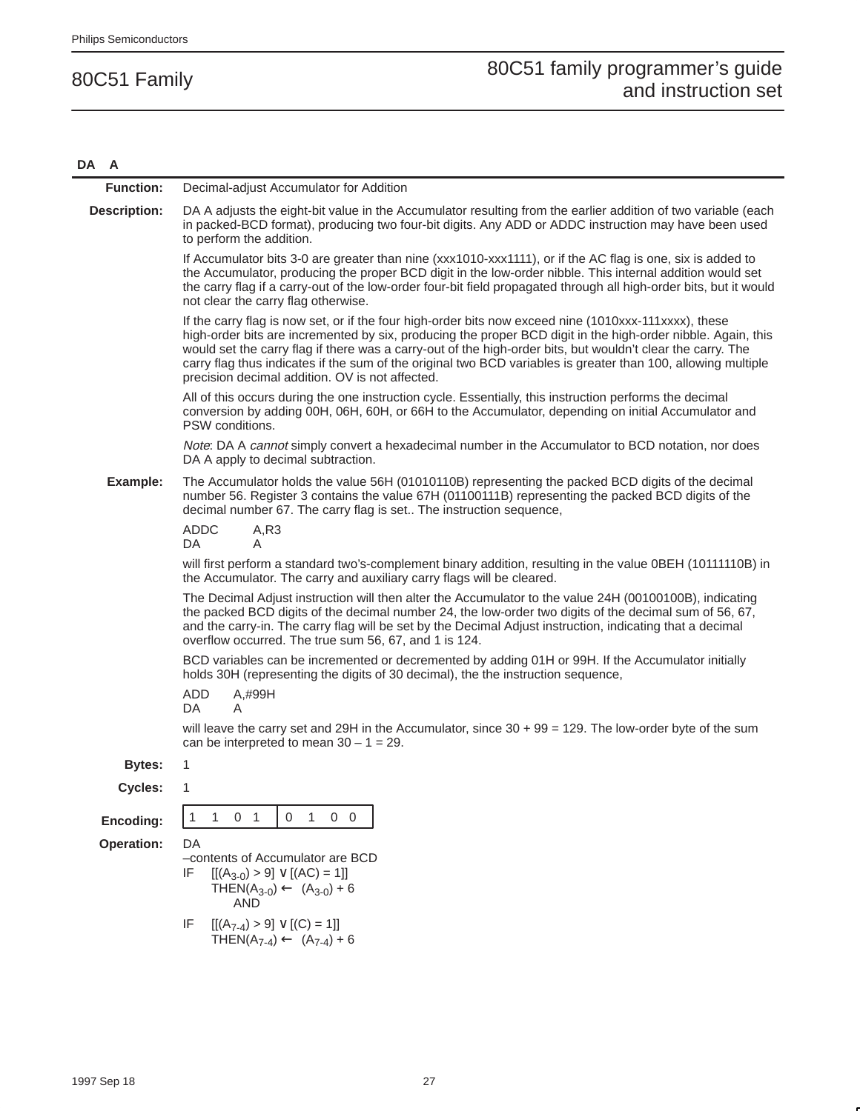#### **DA A**

| <b>Function:</b>    | Decimal-adjust Accumulator for Addition                                                                                                                                                                                                                                                                                                                                                                                                                                                                  |
|---------------------|----------------------------------------------------------------------------------------------------------------------------------------------------------------------------------------------------------------------------------------------------------------------------------------------------------------------------------------------------------------------------------------------------------------------------------------------------------------------------------------------------------|
| <b>Description:</b> | DA A adjusts the eight-bit value in the Accumulator resulting from the earlier addition of two variable (each<br>in packed-BCD format), producing two four-bit digits. Any ADD or ADDC instruction may have been used<br>to perform the addition.                                                                                                                                                                                                                                                        |
|                     | If Accumulator bits 3-0 are greater than nine (xxx1010-xxx1111), or if the AC flag is one, six is added to<br>the Accumulator, producing the proper BCD digit in the low-order nibble. This internal addition would set<br>the carry flag if a carry-out of the low-order four-bit field propagated through all high-order bits, but it would<br>not clear the carry flag otherwise.                                                                                                                     |
|                     | If the carry flag is now set, or if the four high-order bits now exceed nine (1010xxx-111xxxx), these<br>high-order bits are incremented by six, producing the proper BCD digit in the high-order nibble. Again, this<br>would set the carry flag if there was a carry-out of the high-order bits, but wouldn't clear the carry. The<br>carry flag thus indicates if the sum of the original two BCD variables is greater than 100, allowing multiple<br>precision decimal addition. OV is not affected. |
|                     | All of this occurs during the one instruction cycle. Essentially, this instruction performs the decimal<br>conversion by adding 00H, 06H, 60H, or 66H to the Accumulator, depending on initial Accumulator and<br>PSW conditions.                                                                                                                                                                                                                                                                        |
|                     | Note: DA A cannot simply convert a hexadecimal number in the Accumulator to BCD notation, nor does<br>DA A apply to decimal subtraction.                                                                                                                                                                                                                                                                                                                                                                 |
| Example:            | The Accumulator holds the value 56H (01010110B) representing the packed BCD digits of the decimal<br>number 56. Register 3 contains the value 67H (01100111B) representing the packed BCD digits of the<br>decimal number 67. The carry flag is set The instruction sequence,                                                                                                                                                                                                                            |
|                     | <b>ADDC</b><br>A, R3<br>DA<br>A                                                                                                                                                                                                                                                                                                                                                                                                                                                                          |
|                     | will first perform a standard two's-complement binary addition, resulting in the value 0BEH (10111110B) in<br>the Accumulator. The carry and auxiliary carry flags will be cleared.                                                                                                                                                                                                                                                                                                                      |
|                     | The Decimal Adjust instruction will then alter the Accumulator to the value 24H (00100100B), indicating<br>the packed BCD digits of the decimal number 24, the low-order two digits of the decimal sum of 56, 67,<br>and the carry-in. The carry flag will be set by the Decimal Adjust instruction, indicating that a decimal<br>overflow occurred. The true sum 56, 67, and 1 is 124.                                                                                                                  |
|                     | BCD variables can be incremented or decremented by adding 01H or 99H. If the Accumulator initially<br>holds 30H (representing the digits of 30 decimal), the the instruction sequence,                                                                                                                                                                                                                                                                                                                   |
|                     | ADD<br>A,#99H<br>DA<br>A                                                                                                                                                                                                                                                                                                                                                                                                                                                                                 |
|                     | will leave the carry set and 29H in the Accumulator, since $30 + 99 = 129$ . The low-order byte of the sum<br>can be interpreted to mean $30 - 1 = 29$ .                                                                                                                                                                                                                                                                                                                                                 |
| <b>Bytes:</b>       | 1                                                                                                                                                                                                                                                                                                                                                                                                                                                                                                        |
| Cycles:             | 1                                                                                                                                                                                                                                                                                                                                                                                                                                                                                                        |
| Encoding:           | 0 <sub>1</sub><br>$\mathbf{0}$<br>$\mathbf{1}$<br>1<br>1<br>$0\quad 0$                                                                                                                                                                                                                                                                                                                                                                                                                                   |
| Operation:          | DA                                                                                                                                                                                                                                                                                                                                                                                                                                                                                                       |
|                     | -contents of Accumulator are BCD<br>$[[(A_{3-0}) > 9] \vee [(AC) = 1]]$<br>IF<br>THEN(A <sub>3-0</sub> ) $\leftarrow$ (A <sub>3-0</sub> ) + 6<br><b>AND</b>                                                                                                                                                                                                                                                                                                                                              |
|                     | IF<br>$[[(A_{7-4}) > 9] \vee [(C) = 1]]$<br>THEN(A <sub>7-4</sub> ) $\leftarrow$ (A <sub>7-4</sub> ) + 6                                                                                                                                                                                                                                                                                                                                                                                                 |
|                     |                                                                                                                                                                                                                                                                                                                                                                                                                                                                                                          |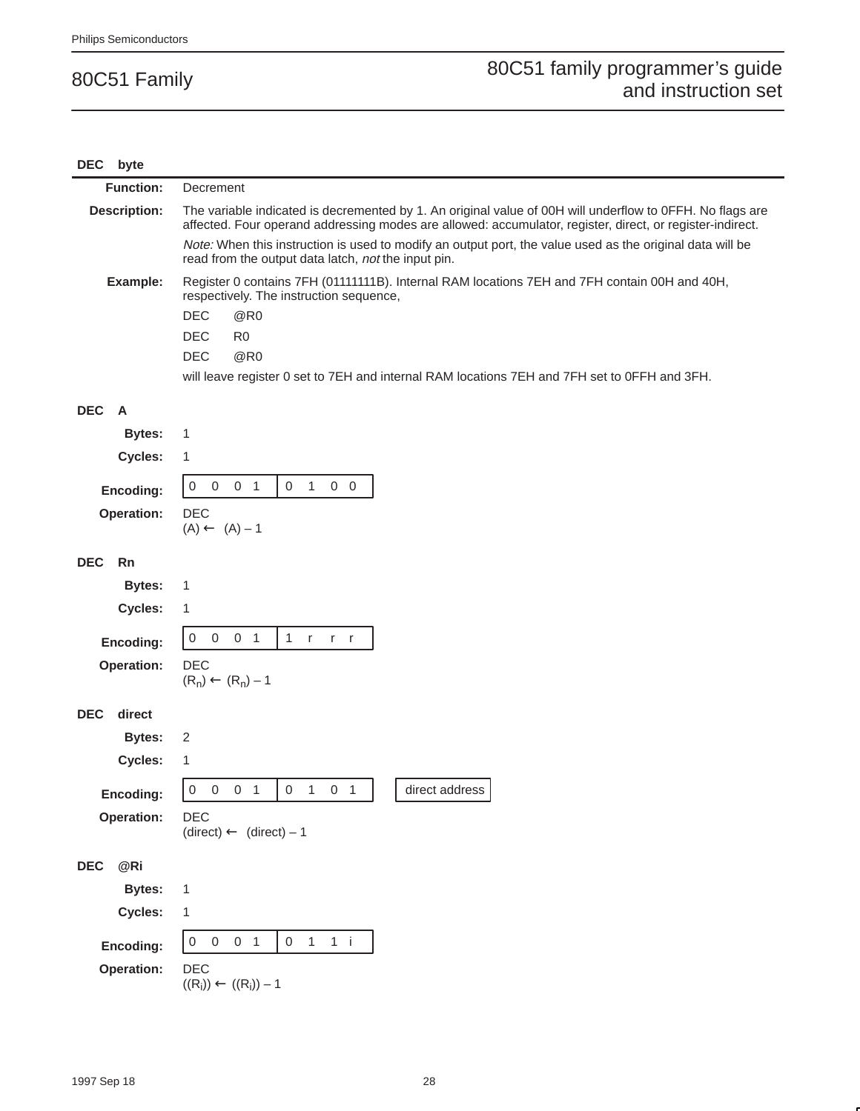| byte<br>DEC          |                                                                                                                                                                                                                        |  |
|----------------------|------------------------------------------------------------------------------------------------------------------------------------------------------------------------------------------------------------------------|--|
| <b>Function:</b>     | Decrement                                                                                                                                                                                                              |  |
| <b>Description:</b>  | The variable indicated is decremented by 1. An original value of 00H will underflow to 0FFH. No flags are<br>affected. Four operand addressing modes are allowed: accumulator, register, direct, or register-indirect. |  |
|                      | Note: When this instruction is used to modify an output port, the value used as the original data will be<br>read from the output data latch, not the input pin.                                                       |  |
| Example:             | Register 0 contains 7FH (01111111B). Internal RAM locations 7EH and 7FH contain 00H and 40H,<br>respectively. The instruction sequence,                                                                                |  |
|                      | <b>DEC</b><br>@R0                                                                                                                                                                                                      |  |
|                      | <b>DEC</b><br>R <sub>0</sub><br><b>DEC</b><br>@R0                                                                                                                                                                      |  |
|                      | will leave register 0 set to 7EH and internal RAM locations 7EH and 7FH set to 0FFH and 3FH.                                                                                                                           |  |
|                      |                                                                                                                                                                                                                        |  |
| <b>DEC</b><br>A      |                                                                                                                                                                                                                        |  |
| <b>Bytes:</b>        | 1                                                                                                                                                                                                                      |  |
| Cycles:              | 1                                                                                                                                                                                                                      |  |
| Encoding:            | $\overline{0}$<br>1<br>0<br>$\overline{0}$<br>0 <sub>1</sub><br>$0\quad 0$                                                                                                                                             |  |
| Operation:           | <b>DEC</b>                                                                                                                                                                                                             |  |
|                      | $(A) \leftarrow (A) - 1$                                                                                                                                                                                               |  |
| <b>DEC</b><br>Rn     |                                                                                                                                                                                                                        |  |
| <b>Bytes:</b>        | 1                                                                                                                                                                                                                      |  |
| Cycles:              | 1                                                                                                                                                                                                                      |  |
| Encoding:            | $\,0\,$<br>0 <sub>1</sub><br>1<br>$\mathbf 0$<br>$r -$<br>$r - r$                                                                                                                                                      |  |
| Operation:           | <b>DEC</b><br>$(R_n) \leftarrow (R_n) - 1$                                                                                                                                                                             |  |
|                      |                                                                                                                                                                                                                        |  |
| <b>DEC</b><br>direct |                                                                                                                                                                                                                        |  |
| <b>Bytes:</b>        | 2                                                                                                                                                                                                                      |  |
| Cycles:              | 1                                                                                                                                                                                                                      |  |
| Encoding:            | $\boldsymbol{0}$<br>0 <sub>1</sub><br>$\boldsymbol{0}$<br>$\mathbf{1}$<br>direct address<br>0<br>0 <sub>1</sub>                                                                                                        |  |
| Operation:           | DEC                                                                                                                                                                                                                    |  |
|                      | $(direct) \leftarrow (direct) - 1$                                                                                                                                                                                     |  |
| @Ri<br><b>DEC</b>    |                                                                                                                                                                                                                        |  |
| <b>Bytes:</b>        | 1                                                                                                                                                                                                                      |  |
| Cycles:              | 1                                                                                                                                                                                                                      |  |
| Encoding:            | 1 i<br>$\overline{0}$<br>$\overline{0}$<br>0 <sub>1</sub><br>$\mathbf 0$<br>1                                                                                                                                          |  |
| Operation:           | DEC                                                                                                                                                                                                                    |  |
|                      | $((\mathsf{R_i})) \leftarrow ((\mathsf{R_i})) - 1$                                                                                                                                                                     |  |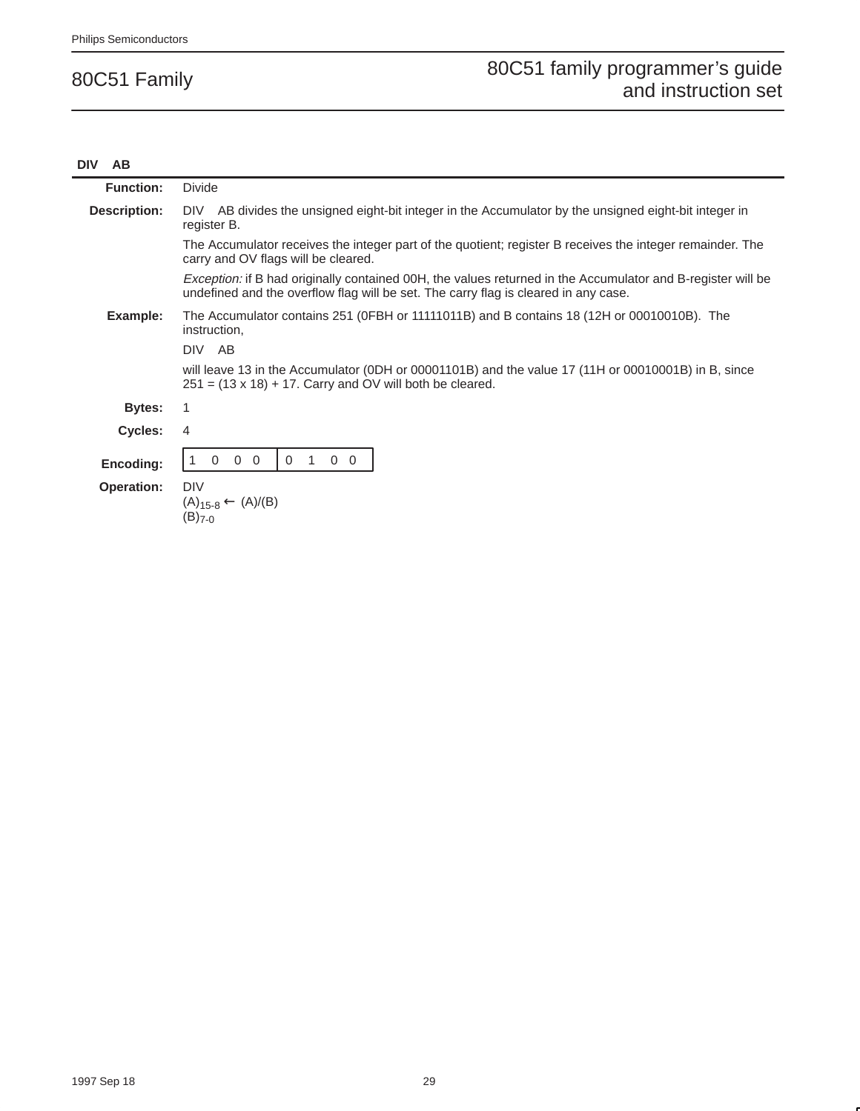#### **DIV AB**

| <b>Function:</b>  | <b>Divide</b>                                                                                                                                                                                             |  |
|-------------------|-----------------------------------------------------------------------------------------------------------------------------------------------------------------------------------------------------------|--|
| Description:      | DIV AB divides the unsigned eight-bit integer in the Accumulator by the unsigned eight-bit integer in<br>register B.                                                                                      |  |
|                   | The Accumulator receives the integer part of the quotient; register B receives the integer remainder. The<br>carry and OV flags will be cleared.                                                          |  |
|                   | <i>Exception:</i> if B had originally contained 00H, the values returned in the Accumulator and B-register will be<br>undefined and the overflow flag will be set. The carry flag is cleared in any case. |  |
| Example:          | The Accumulator contains 251 (OFBH or 11111011B) and B contains 18 (12H or 00010010B). The<br>instruction,                                                                                                |  |
|                   | DIV AB                                                                                                                                                                                                    |  |
|                   | will leave 13 in the Accumulator (ODH or 00001101B) and the value 17 (11H or 00010001B) in B, since<br>$251 = (13 \times 18) + 17$ . Carry and OV will both be cleared.                                   |  |
| <b>Bytes:</b>     | 1                                                                                                                                                                                                         |  |
| <b>Cycles:</b>    | 4                                                                                                                                                                                                         |  |
| Encoding:         | $\Omega$<br>$0\quad 0$<br>$\mathbf 0$<br>$0\quad 0$<br>1                                                                                                                                                  |  |
| <b>Operation:</b> | <b>DIV</b><br>$(A)_{15-8} \leftarrow (A)/(B)$<br>$(B)_{7-0}$                                                                                                                                              |  |
|                   |                                                                                                                                                                                                           |  |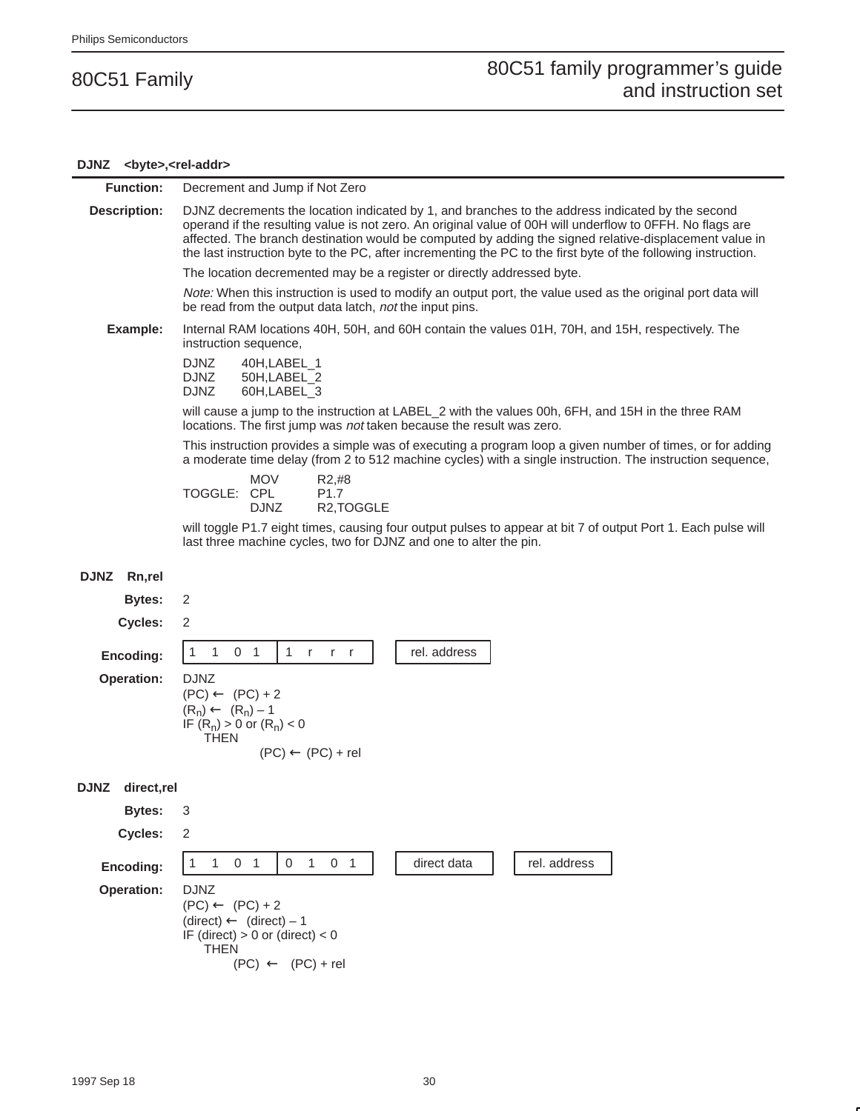#### **DJNZ <byte>,<rel-addr>**

| <b>Function:</b> | Decrement and Jump if Not Zero |
|------------------|--------------------------------|
|------------------|--------------------------------|

**Description:** DJNZ decrements the location indicated by 1, and branches to the address indicated by the second operand if the resulting value is not zero. An original value of 00H will underflow to 0FFH. No flags are affected. The branch destination would be computed by adding the signed relative-displacement value in the last instruction byte to the PC, after incrementing the PC to the first byte of the following instruction.

The location decremented may be a register or directly addressed byte.

Note: When this instruction is used to modify an output port, the value used as the original port data will be read from the output data latch, not the input pins.

**Example:** Internal RAM locations 40H, 50H, and 60H contain the values 01H, 70H, and 15H, respectively. The instruction sequence,

> DJNZ 40H,LABEL\_1 DJNZ 50H,LABEL\_2<br>DJNZ 60H,LABEL\_3 60H,LABEL\_3

will cause a jump to the instruction at LABEL\_2 with the values 00h, 6FH, and 15H in the three RAM locations. The first jump was not taken because the result was zero.

This instruction provides a simple was of executing a program loop a given number of times, or for adding a moderate time delay (from 2 to 512 machine cycles) with a single instruction. The instruction sequence,

|             | <b>MOV</b>  | R2,#8                   |
|-------------|-------------|-------------------------|
| TOGGLE: CPL |             | P <sub>1</sub> 7        |
|             | <b>DJNZ</b> | R <sub>2</sub> , TOGGLE |

will toggle P1.7 eight times, causing four output pulses to appear at bit 7 of output Port 1. Each pulse will last three machine cycles, two for DJNZ and one to alter the pin.

#### **DJNZ Rn,rel**

**Bytes:** 2

**Cycles:** 2

Encoding: 1 1 0 1 1 r r r r rel. address **Operation:** DJNZ

| $(PC) \leftarrow (PC) + 2$    |
|-------------------------------|
| $(R_n) \leftarrow (R_n) - 1$  |
| IF $(R_n) > 0$ or $(R_n) < 0$ |
| THEN                          |
| $(PC) \leftarrow$             |

#### **DJNZ direct,rel**

**Bytes:** 3 **Cycles:** 2 **Encoding:**  $\begin{bmatrix} 1 & 1 & 0 & 1 \end{bmatrix}$  0 1 0 1 direct data  $\begin{bmatrix} 1 & 0 & 0 & 0 \end{bmatrix}$  rel. address **Operation:** DJNZ  $(PC) \leftarrow (PC) + 2$  $(direct) \leftarrow (direct) - 1$ IF (direct)  $> 0$  or (direct)  $< 0$  THEN  $(PC) \leftarrow (PC) + rel$ 

 $(PC) + rel$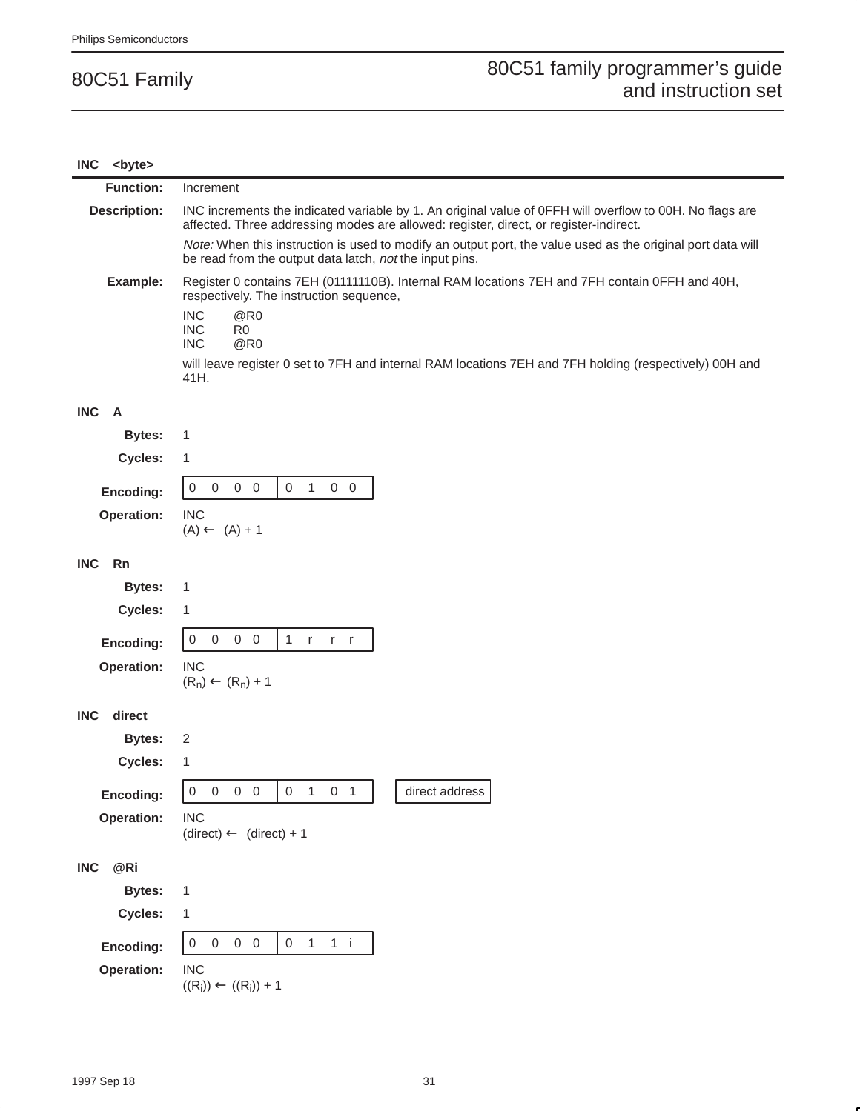| <b>INC</b> | <byte></byte>       |                                                                                                                                                                                                   |  |
|------------|---------------------|---------------------------------------------------------------------------------------------------------------------------------------------------------------------------------------------------|--|
|            | <b>Function:</b>    | Increment                                                                                                                                                                                         |  |
|            | <b>Description:</b> | INC increments the indicated variable by 1. An original value of OFFH will overflow to 00H. No flags are<br>affected. Three addressing modes are allowed: register, direct, or register-indirect. |  |
|            |                     | Note: When this instruction is used to modify an output port, the value used as the original port data will<br>be read from the output data latch, not the input pins.                            |  |
|            | Example:            | Register 0 contains 7EH (01111110B). Internal RAM locations 7EH and 7FH contain 0FFH and 40H,<br>respectively. The instruction sequence,                                                          |  |
|            |                     | <b>INC</b><br>@R0<br><b>INC</b><br>R0<br><b>INC</b><br>@R0                                                                                                                                        |  |
|            |                     | will leave register 0 set to 7FH and internal RAM locations 7EH and 7FH holding (respectively) 00H and<br>41H.                                                                                    |  |
| <b>INC</b> | $\overline{A}$      |                                                                                                                                                                                                   |  |
|            | <b>Bytes:</b>       | 1                                                                                                                                                                                                 |  |
|            | Cycles:             | 1                                                                                                                                                                                                 |  |
|            | Encoding:           | $0\quad 0$<br>$\mathbf{1}$<br>$\overline{0}$<br>$\mathbf 0$<br>$0\quad 0$<br>$\overline{0}$                                                                                                       |  |
|            | Operation:          | <b>INC</b>                                                                                                                                                                                        |  |
|            |                     | $(A) \leftarrow (A) + 1$                                                                                                                                                                          |  |
| <b>INC</b> | Rn                  |                                                                                                                                                                                                   |  |
|            | <b>Bytes:</b>       | 1                                                                                                                                                                                                 |  |
|            | Cycles:             | 1                                                                                                                                                                                                 |  |
|            | Encoding:           | $0\quad 0$<br>$\overline{0}$<br>$\mathbf{1}$<br>0<br>r<br>$r$ r                                                                                                                                   |  |
|            | Operation:          | <b>INC</b><br>$(R_n) \leftarrow (R_n) + 1$                                                                                                                                                        |  |
| <b>INC</b> | direct              |                                                                                                                                                                                                   |  |
|            | <b>Bytes:</b>       | 2                                                                                                                                                                                                 |  |
|            | Cycles:             | 1                                                                                                                                                                                                 |  |
|            | Encoding:           | $0\quad 0\quad 0\quad 0$<br>$0 \quad 1 \quad 0 \quad 1$<br>direct address                                                                                                                         |  |
|            | Operation:          | <b>INC</b><br>$(direct) \leftarrow (direct) + 1$                                                                                                                                                  |  |
| <b>INC</b> | @Ri                 |                                                                                                                                                                                                   |  |
|            | <b>Bytes:</b>       | $\mathbf{1}$                                                                                                                                                                                      |  |
|            | Cycles:             | 1                                                                                                                                                                                                 |  |
|            | Encoding:           | $0\quad 0$<br>$\mathsf{O}\xspace$<br>$\mathsf{O}\xspace$<br>$\mathbf{1}$<br>$1$ i<br>$\boldsymbol{0}$                                                                                             |  |
|            | <b>Operation:</b>   | <b>INC</b><br>$((R_i)) \leftarrow ((R_i)) + 1$                                                                                                                                                    |  |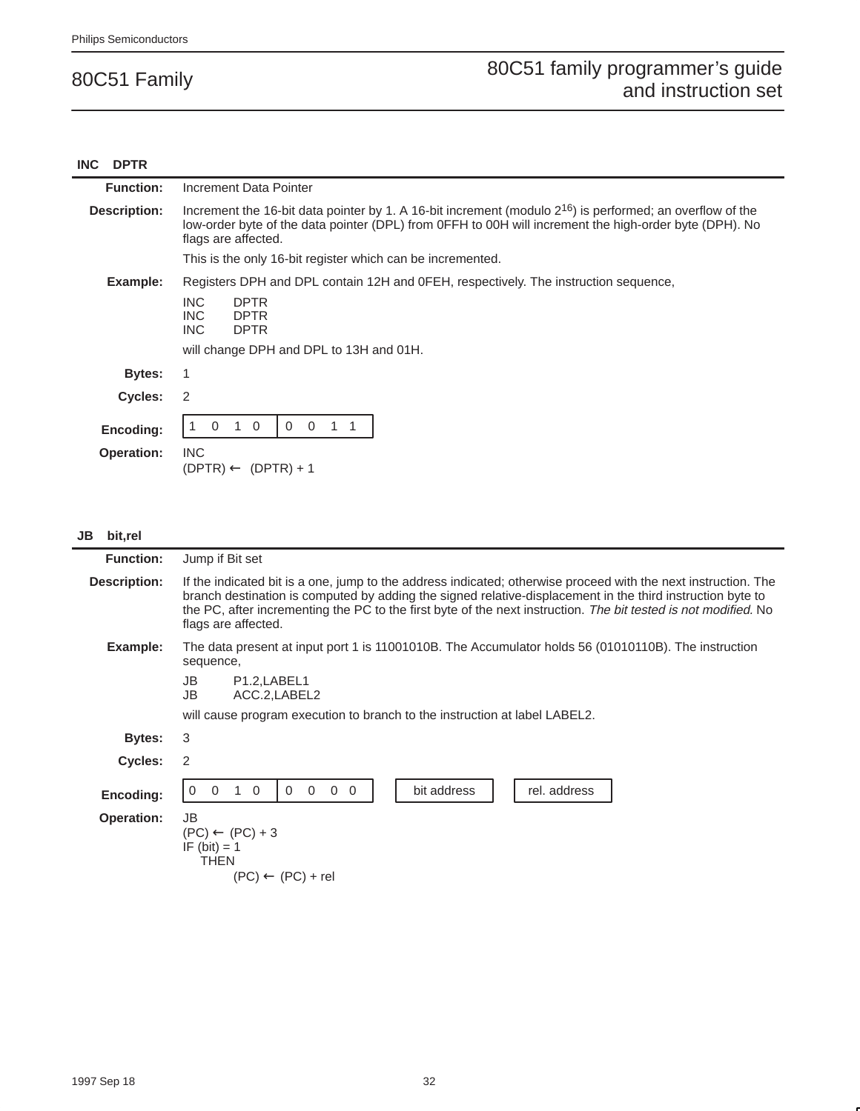#### **INC DPTR**

| <b>Function:</b>               | Increment Data Pointer                                                                                                                                                                                                                          |  |
|--------------------------------|-------------------------------------------------------------------------------------------------------------------------------------------------------------------------------------------------------------------------------------------------|--|
| Description:                   | Increment the 16-bit data pointer by 1. A 16-bit increment (modulo $2^{16}$ ) is performed; an overflow of the<br>low-order byte of the data pointer (DPL) from OFFH to 00H will increment the high-order byte (DPH). No<br>flags are affected. |  |
|                                | This is the only 16-bit register which can be incremented.                                                                                                                                                                                      |  |
| Example:                       | Registers DPH and DPL contain 12H and OFEH, respectively. The instruction sequence,<br><b>INC</b><br><b>DPTR</b><br>INC.<br><b>DPTR</b><br>INC.<br><b>DPTR</b><br>will change DPH and DPL to 13H and 01H.                                       |  |
| <b>Bytes:</b>                  |                                                                                                                                                                                                                                                 |  |
| Cycles:                        | 2                                                                                                                                                                                                                                               |  |
| Encoding:<br><b>Operation:</b> | $\overline{0}$<br>$\overline{0}$<br>$\mathbf 0$<br>$\Omega$<br><b>INC</b><br>$(DPTR) \leftarrow (DPTR) + 1$                                                                                                                                     |  |

#### **JB bit,rel**

| <b>Function:</b>  | Jump if Bit set                                                                                                                                                                                                                                                                                                                                                        |  |
|-------------------|------------------------------------------------------------------------------------------------------------------------------------------------------------------------------------------------------------------------------------------------------------------------------------------------------------------------------------------------------------------------|--|
| Description:      | If the indicated bit is a one, jump to the address indicated; otherwise proceed with the next instruction. The<br>branch destination is computed by adding the signed relative-displacement in the third instruction byte to<br>the PC, after incrementing the PC to the first byte of the next instruction. The bit tested is not modified. No<br>flags are affected. |  |
| Example:          | The data present at input port 1 is 11001010B. The Accumulator holds 56 (01010110B). The instruction<br>sequence,                                                                                                                                                                                                                                                      |  |
|                   | JB<br>P <sub>1.2</sub> , LABEL <sub>1</sub><br>ACC.2, LABEL2<br>JB                                                                                                                                                                                                                                                                                                     |  |
|                   | will cause program execution to branch to the instruction at label LABEL2.                                                                                                                                                                                                                                                                                             |  |
| Bytes:            | 3                                                                                                                                                                                                                                                                                                                                                                      |  |
| <b>Cycles:</b>    | 2                                                                                                                                                                                                                                                                                                                                                                      |  |
| Encoding:         | bit address<br>$\overline{0}$<br>$\overline{0}$<br>$\Omega$<br>$\mathbf 0$<br>$\overline{0}$<br>rel. address<br>$\overline{0}$<br>$\Omega$                                                                                                                                                                                                                             |  |
| <b>Operation:</b> | JB<br>$(PC) \leftarrow (PC) + 3$<br>IF $(bit) = 1$<br>THEN<br>$(PC) \leftarrow (PC) + rel$                                                                                                                                                                                                                                                                             |  |
|                   |                                                                                                                                                                                                                                                                                                                                                                        |  |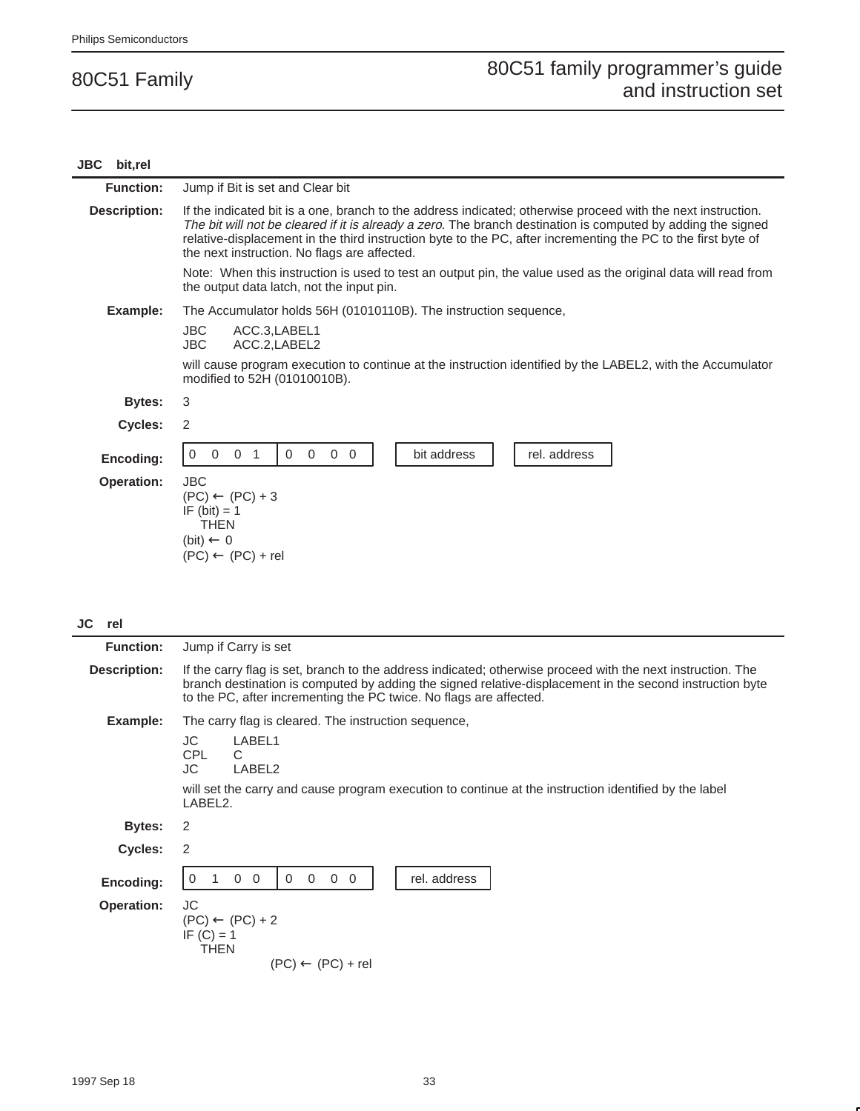| <b>JBC</b><br>bit,rel |                                                                                                                                                                                                                                                                                                                                                                                               |  |
|-----------------------|-----------------------------------------------------------------------------------------------------------------------------------------------------------------------------------------------------------------------------------------------------------------------------------------------------------------------------------------------------------------------------------------------|--|
| <b>Function:</b>      | Jump if Bit is set and Clear bit                                                                                                                                                                                                                                                                                                                                                              |  |
| <b>Description:</b>   | If the indicated bit is a one, branch to the address indicated; otherwise proceed with the next instruction.<br>The bit will not be cleared if it is already a zero. The branch destination is computed by adding the signed<br>relative-displacement in the third instruction byte to the PC, after incrementing the PC to the first byte of<br>the next instruction. No flags are affected. |  |
|                       | Note: When this instruction is used to test an output pin, the value used as the original data will read from<br>the output data latch, not the input pin.                                                                                                                                                                                                                                    |  |
| Example:              | The Accumulator holds 56H (01010110B). The instruction sequence,                                                                                                                                                                                                                                                                                                                              |  |
|                       | <b>JBC</b><br>ACC.3, LABEL1<br>JBC.<br>ACC.2, LABEL2                                                                                                                                                                                                                                                                                                                                          |  |
|                       | will cause program execution to continue at the instruction identified by the LABEL2, with the Accumulator<br>modified to 52H (01010010B).                                                                                                                                                                                                                                                    |  |
| Bytes:                | 3                                                                                                                                                                                                                                                                                                                                                                                             |  |
| <b>Cycles:</b>        | 2                                                                                                                                                                                                                                                                                                                                                                                             |  |
| Encoding:             | 0 <sub>1</sub><br>$\mathbf 0$<br>$\overline{0}$<br>$\overline{0}$<br>bit address<br>rel. address<br>$\mathbf{0}$<br>$\mathbf 0$<br>$\Omega$                                                                                                                                                                                                                                                   |  |
| <b>Operation:</b>     | <b>JBC</b><br>$(PC) \leftarrow (PC) + 3$<br>IF $(bit) = 1$<br><b>THEN</b><br>(bit) $\leftarrow$ 0<br>$(PC) \leftarrow (PC) + rel$                                                                                                                                                                                                                                                             |  |

**JC rel**

| <b>Function:</b>    | Jump if Carry is set                                                                                                                                                                                                                                                                          |  |
|---------------------|-----------------------------------------------------------------------------------------------------------------------------------------------------------------------------------------------------------------------------------------------------------------------------------------------|--|
| <b>Description:</b> | If the carry flag is set, branch to the address indicated; otherwise proceed with the next instruction. The<br>branch destination is computed by adding the signed relative-displacement in the second instruction byte<br>to the PC, after incrementing the PC twice. No flags are affected. |  |
| Example:            | The carry flag is cleared. The instruction sequence,                                                                                                                                                                                                                                          |  |
|                     | JC<br>LABEL1<br>CPL<br>C.<br>JC.<br>LABEL2                                                                                                                                                                                                                                                    |  |
|                     | will set the carry and cause program execution to continue at the instruction identified by the label<br>LABEL2.                                                                                                                                                                              |  |
| Bytes:              | 2                                                                                                                                                                                                                                                                                             |  |
| Cycles:             | 2                                                                                                                                                                                                                                                                                             |  |
| Encoding:           | rel. address<br>$\Omega$<br>$\Omega$<br>$\overline{0}$<br>$\mathbf 0$<br>$\mathbf 0$<br>$\overline{0}$                                                                                                                                                                                        |  |
| <b>Operation:</b>   | JC<br>$(PC) \leftarrow (PC) + 2$<br>IF $(C) = 1$<br>THEN<br>$(PC) \leftarrow (PC) + rel$                                                                                                                                                                                                      |  |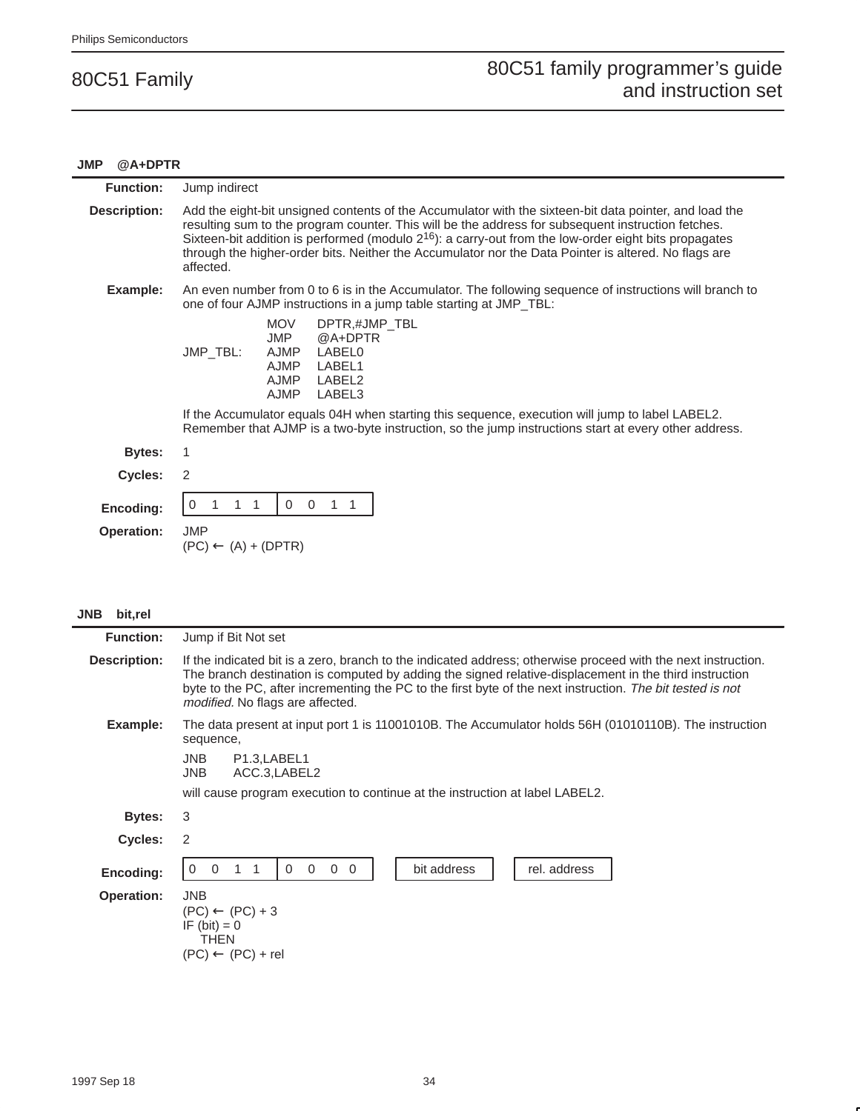#### **JMP @A+DPTR**

| <b>Function:</b>               | Jump indirect                                                                                                                                                                                                                                                                                                                                                                                                                                   |  |
|--------------------------------|-------------------------------------------------------------------------------------------------------------------------------------------------------------------------------------------------------------------------------------------------------------------------------------------------------------------------------------------------------------------------------------------------------------------------------------------------|--|
| <b>Description:</b>            | Add the eight-bit unsigned contents of the Accumulator with the sixteen-bit data pointer, and load the<br>resulting sum to the program counter. This will be the address for subsequent instruction fetches.<br>Sixteen-bit addition is performed (modulo $2^{16}$ ): a carry-out from the low-order eight bits propagates<br>through the higher-order bits. Neither the Accumulator nor the Data Pointer is altered. No flags are<br>affected. |  |
| Example:                       | An even number from 0 to 6 is in the Accumulator. The following sequence of instructions will branch to<br>one of four AJMP instructions in a jump table starting at JMP_TBL:                                                                                                                                                                                                                                                                   |  |
|                                | <b>MOV</b><br>DPTR,#JMP_TBL<br>@A+DPTR<br><b>JMP</b><br>JMP_TBL:<br>AJMP<br>LABEL0<br><b>AJMP</b><br>LABEL1<br><b>AJMP</b><br>LABEL2<br><b>AJMP</b><br>LABEL3                                                                                                                                                                                                                                                                                   |  |
|                                | If the Accumulator equals 04H when starting this sequence, execution will jump to label LABEL2.<br>Remember that AJMP is a two-byte instruction, so the jump instructions start at every other address.                                                                                                                                                                                                                                         |  |
| Bytes:                         | 1                                                                                                                                                                                                                                                                                                                                                                                                                                               |  |
| Cycles:                        | $\overline{2}$                                                                                                                                                                                                                                                                                                                                                                                                                                  |  |
| Encoding:<br><b>Operation:</b> | $\Omega$<br>$\Omega$<br>1<br>0<br><b>JMP</b><br>$(PC) \leftarrow (A) + (DPTR)$                                                                                                                                                                                                                                                                                                                                                                  |  |
|                                |                                                                                                                                                                                                                                                                                                                                                                                                                                                 |  |

| <b>JNB</b> | bit,rel |
|------------|---------|
|------------|---------|

| <b>Function:</b>  | Jump if Bit Not set                                                                                                                                                                                                                                                                                                                                                              |  |  |  |  |  |  |
|-------------------|----------------------------------------------------------------------------------------------------------------------------------------------------------------------------------------------------------------------------------------------------------------------------------------------------------------------------------------------------------------------------------|--|--|--|--|--|--|
| Description:      | If the indicated bit is a zero, branch to the indicated address; otherwise proceed with the next instruction.<br>The branch destination is computed by adding the signed relative-displacement in the third instruction<br>byte to the PC, after incrementing the PC to the first byte of the next instruction. The bit tested is not<br><i>modified.</i> No flags are affected. |  |  |  |  |  |  |
| Example:          | The data present at input port 1 is 11001010B. The Accumulator holds 56H (01010110B). The instruction<br>sequence,                                                                                                                                                                                                                                                               |  |  |  |  |  |  |
|                   | <b>JNB</b><br>P <sub>1.3</sub> , LABEL <sub>1</sub><br><b>JNB</b><br>ACC.3, LABEL2                                                                                                                                                                                                                                                                                               |  |  |  |  |  |  |
|                   | will cause program execution to continue at the instruction at label LABEL2.                                                                                                                                                                                                                                                                                                     |  |  |  |  |  |  |
| <b>Bytes:</b>     | 3                                                                                                                                                                                                                                                                                                                                                                                |  |  |  |  |  |  |
| <b>Cycles:</b>    | 2                                                                                                                                                                                                                                                                                                                                                                                |  |  |  |  |  |  |
| Encoding:         | $\overline{0}$<br>bit address<br>rel. address<br>0<br>$\mathbf 0$<br>$\Omega$<br>$\Omega$<br>0                                                                                                                                                                                                                                                                                   |  |  |  |  |  |  |
| <b>Operation:</b> | <b>JNB</b><br>$(PC) \leftarrow (PC) + 3$<br>IF $(bit) = 0$<br><b>THEN</b><br>$(PC) \leftarrow (PC) + rel$                                                                                                                                                                                                                                                                        |  |  |  |  |  |  |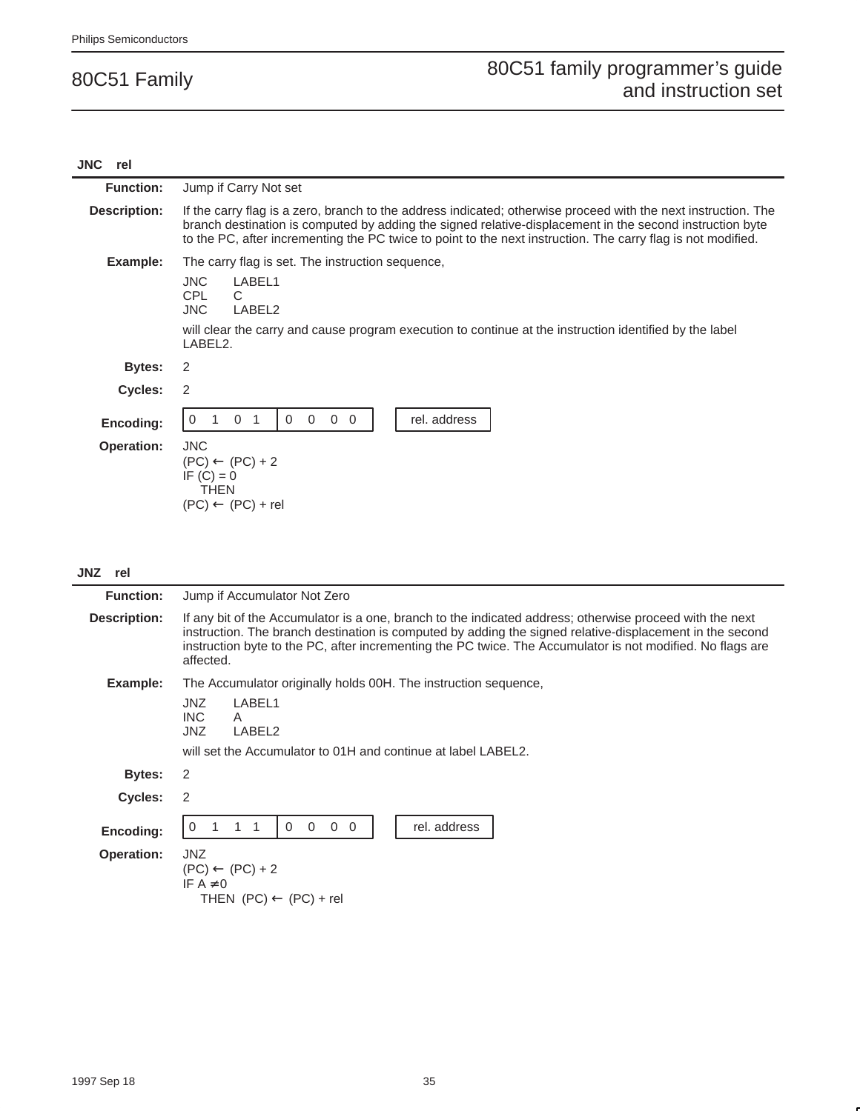| <b>JNC</b><br>rel |                                                                                                                                                                                                                                                                                                                                            |  |  |  |  |  |
|-------------------|--------------------------------------------------------------------------------------------------------------------------------------------------------------------------------------------------------------------------------------------------------------------------------------------------------------------------------------------|--|--|--|--|--|
| <b>Function:</b>  | Jump if Carry Not set                                                                                                                                                                                                                                                                                                                      |  |  |  |  |  |
| Description:      | If the carry flag is a zero, branch to the address indicated; otherwise proceed with the next instruction. The<br>branch destination is computed by adding the signed relative-displacement in the second instruction byte<br>to the PC, after incrementing the PC twice to point to the next instruction. The carry flag is not modified. |  |  |  |  |  |
| Example:          | The carry flag is set. The instruction sequence,<br><b>JNC</b><br>LABEL1<br>CPL<br>C.<br><b>JNC</b><br>LABEL2<br>will clear the carry and cause program execution to continue at the instruction identified by the label<br>LABEL2.                                                                                                        |  |  |  |  |  |
| <b>Bytes:</b>     | 2                                                                                                                                                                                                                                                                                                                                          |  |  |  |  |  |
| Cycles:           | 2                                                                                                                                                                                                                                                                                                                                          |  |  |  |  |  |
| Encoding:         | rel. address<br>$\Omega$<br>$\Omega$<br>$\Omega$<br>$\Omega$<br>$\Omega$<br>-1<br>$\Omega$                                                                                                                                                                                                                                                 |  |  |  |  |  |
| <b>Operation:</b> | <b>JNC</b><br>$(PC) \leftarrow (PC) + 2$<br>IF $(C) = 0$<br><b>THEN</b><br>$(PC) \leftarrow (PC) + rel$                                                                                                                                                                                                                                    |  |  |  |  |  |

#### **JNZ rel**

| <b>Function:</b>  | Jump if Accumulator Not Zero                                                                                                                                                                                                                                                                                                                    |  |  |  |  |  |
|-------------------|-------------------------------------------------------------------------------------------------------------------------------------------------------------------------------------------------------------------------------------------------------------------------------------------------------------------------------------------------|--|--|--|--|--|
| Description:      | If any bit of the Accumulator is a one, branch to the indicated address; otherwise proceed with the next<br>instruction. The branch destination is computed by adding the signed relative-displacement in the second<br>instruction byte to the PC, after incrementing the PC twice. The Accumulator is not modified. No flags are<br>affected. |  |  |  |  |  |
| Example:          | The Accumulator originally holds 00H. The instruction sequence,                                                                                                                                                                                                                                                                                 |  |  |  |  |  |
|                   | JNZ.<br>LABEL1<br>INC.<br>A<br>JNZ<br>LABEL2                                                                                                                                                                                                                                                                                                    |  |  |  |  |  |
|                   | will set the Accumulator to 01H and continue at label LABEL2.                                                                                                                                                                                                                                                                                   |  |  |  |  |  |
| Bytes:            | 2                                                                                                                                                                                                                                                                                                                                               |  |  |  |  |  |
| Cycles:           | 2                                                                                                                                                                                                                                                                                                                                               |  |  |  |  |  |
| Encoding:         | $\Omega$<br>rel. address<br>$\overline{0}$<br>$\overline{0}$<br>$\Omega$<br><sup>0</sup>                                                                                                                                                                                                                                                        |  |  |  |  |  |
| <b>Operation:</b> | <b>JNZ</b><br>$(PC) \leftarrow (PC) + 2$<br>IF $A \neq 0$<br>THEN $(PC) \leftarrow (PC) + rel$                                                                                                                                                                                                                                                  |  |  |  |  |  |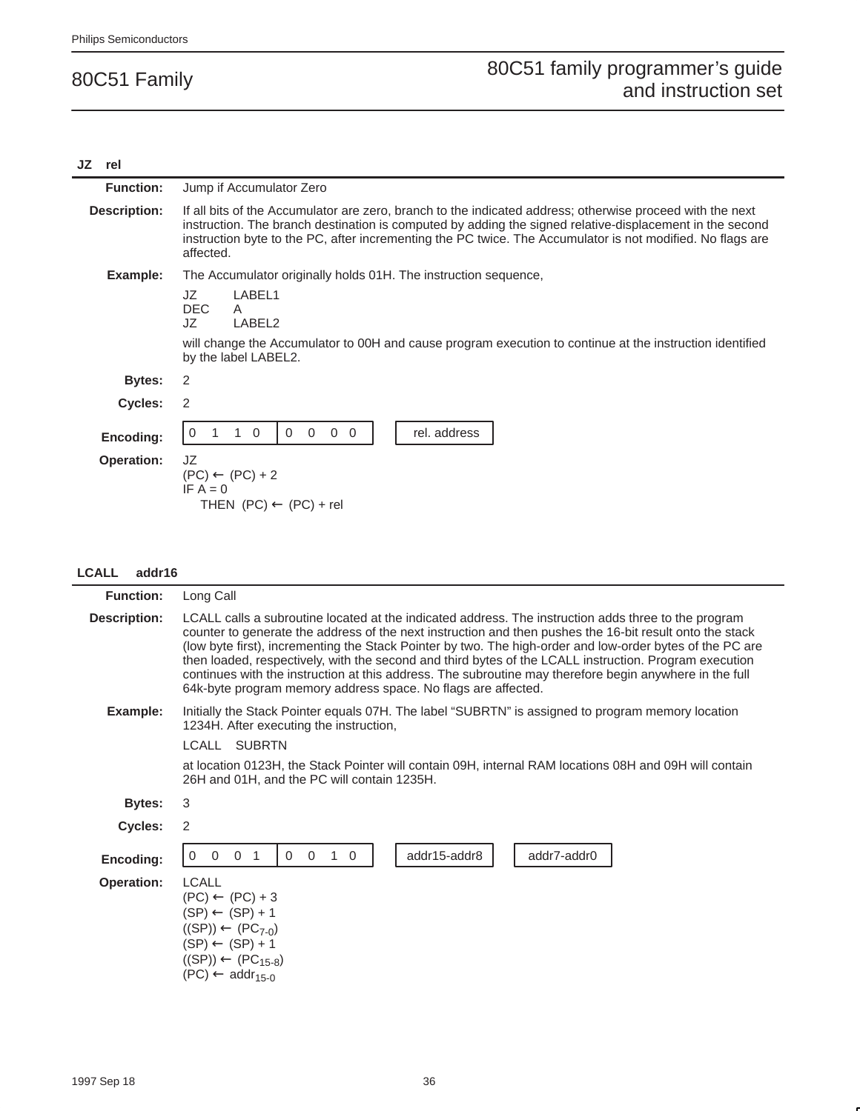#### **JZ rel Function:** Jump if Accumulator Zero **Description:** If all bits of the Accumulator are zero, branch to the indicated address; otherwise proceed with the next instruction. The branch destination is computed by adding the signed relative-displacement in the second instruction byte to the PC, after incrementing the PC twice. The Accumulator is not modified. No flags are affected. **Example:** The Accumulator originally holds 01H. The instruction sequence, JZ LABEL1<br>DEC A DEC<br>JZ LABEL2 will change the Accumulator to 00H and cause program execution to continue at the instruction identified by the label LABEL2. **Bytes:** 2 **Cycles:** 2 **Encoding:** 0 1 10 0 0 00 rel. address **Operation:** JZ  $(PC) \leftarrow (PC) + 2$  $IF A = 0$ THEN  $(PC) \leftarrow (PC) + rel$

#### **LCALL addr16**

| <b>Function:</b>    | Long Call                                                                                                                                                                                                                                                                                                                                                                                                                                                                                                                                                                                                           |  |  |  |
|---------------------|---------------------------------------------------------------------------------------------------------------------------------------------------------------------------------------------------------------------------------------------------------------------------------------------------------------------------------------------------------------------------------------------------------------------------------------------------------------------------------------------------------------------------------------------------------------------------------------------------------------------|--|--|--|
| <b>Description:</b> | LCALL calls a subroutine located at the indicated address. The instruction adds three to the program<br>counter to generate the address of the next instruction and then pushes the 16-bit result onto the stack<br>(low byte first), incrementing the Stack Pointer by two. The high-order and low-order bytes of the PC are<br>then loaded, respectively, with the second and third bytes of the LCALL instruction. Program execution<br>continues with the instruction at this address. The subroutine may therefore begin anywhere in the full<br>64k-byte program memory address space. No flags are affected. |  |  |  |
| Example:            | Initially the Stack Pointer equals 07H. The label "SUBRTN" is assigned to program memory location<br>1234H. After executing the instruction,                                                                                                                                                                                                                                                                                                                                                                                                                                                                        |  |  |  |
|                     | LCALL<br><b>SUBRTN</b>                                                                                                                                                                                                                                                                                                                                                                                                                                                                                                                                                                                              |  |  |  |
|                     | at location 0123H, the Stack Pointer will contain 09H, internal RAM locations 08H and 09H will contain<br>26H and 01H, and the PC will contain 1235H.                                                                                                                                                                                                                                                                                                                                                                                                                                                               |  |  |  |
| <b>Bytes:</b>       | 3                                                                                                                                                                                                                                                                                                                                                                                                                                                                                                                                                                                                                   |  |  |  |
| Cycles:             | 2                                                                                                                                                                                                                                                                                                                                                                                                                                                                                                                                                                                                                   |  |  |  |
| Encoding:           | addr15-addr8<br>addr7-addr0<br>$\overline{0}$<br>$\Omega$<br>$\overline{0}$<br>$\overline{1}$<br>$\Omega$<br>$\mathbf{1}$<br>$\Omega$<br>$\Omega$                                                                                                                                                                                                                                                                                                                                                                                                                                                                   |  |  |  |
| <b>Operation:</b>   | <b>LCALL</b><br>$(PC) \leftarrow (PC) + 3$<br>$(SP) \leftarrow (SP) + 1$<br>$((SP)) \leftarrow (PC_{7-0})$<br>$(SP) \leftarrow (SP) + 1$<br>$((SP)) \leftarrow (PC_{15-8})$<br>$(PC) \leftarrow addr_{15-0}$                                                                                                                                                                                                                                                                                                                                                                                                        |  |  |  |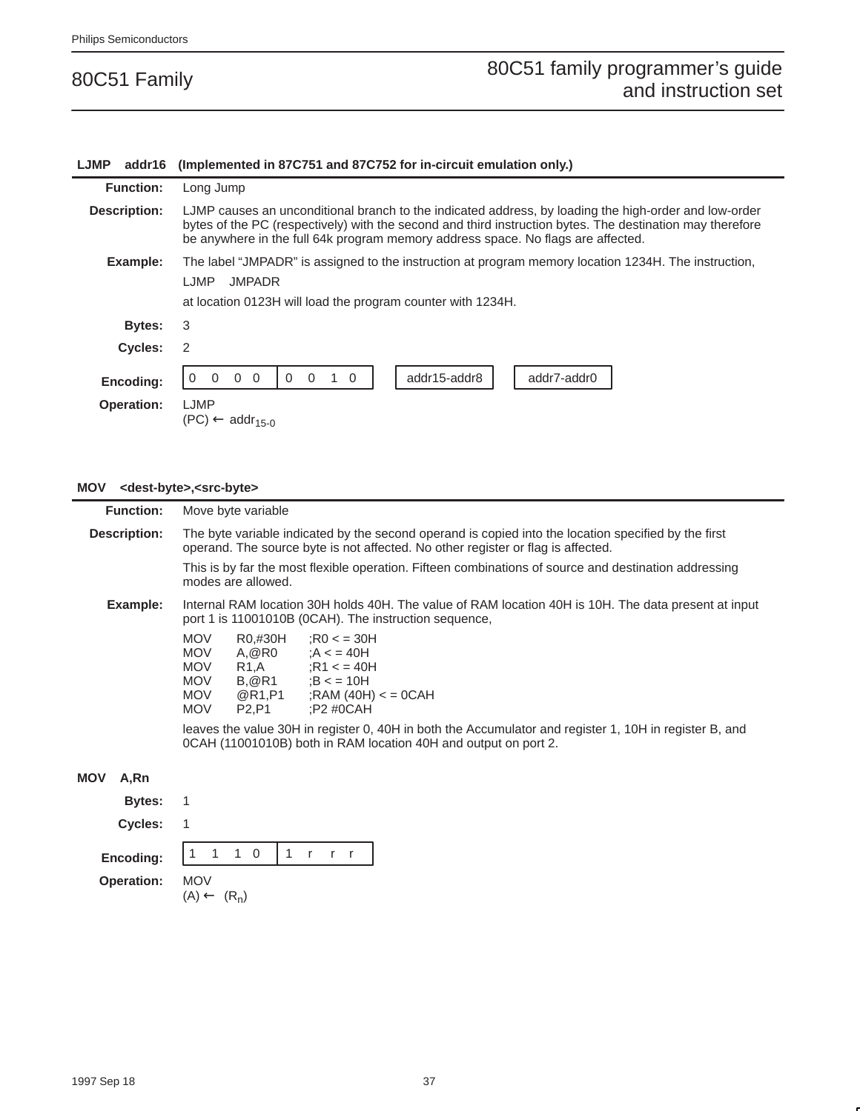### **LJMP addr16 (Implemented in 87C751 and 87C752 for in-circuit emulation only.) Function:** Long Jump **Description:** LJMP causes an unconditional branch to the indicated address, by loading the high-order and low-order bytes of the PC (respectively) with the second and third instruction bytes. The destination may therefore be anywhere in the full 64k program memory address space. No flags are affected. **Example:** The label "JMPADR" is assigned to the instruction at program memory location 1234H. The instruction, LJMP JMPADR at location 0123H will load the program counter with 1234H. **Bytes:** 3 **Cycles:** 2 **Encoding:** 0 0 0 0 0 0 0 1 0 addr15-addr8 addr7-addr0 **Operation:** LJMP  $(PC) \leftarrow addr_{15-0}$

#### **MOV <dest-byte>,<src-byte>**

|            | <b>Function:</b> |                                                                                                                                                                                          | Move byte variable                        |                                                                                                                                                                           |  |  |  |  |
|------------|------------------|------------------------------------------------------------------------------------------------------------------------------------------------------------------------------------------|-------------------------------------------|---------------------------------------------------------------------------------------------------------------------------------------------------------------------------|--|--|--|--|
|            | Description:     | The byte variable indicated by the second operand is copied into the location specified by the first<br>operand. The source byte is not affected. No other register or flag is affected. |                                           |                                                                                                                                                                           |  |  |  |  |
|            |                  |                                                                                                                                                                                          | modes are allowed.                        | This is by far the most flexible operation. Fifteen combinations of source and destination addressing                                                                     |  |  |  |  |
|            | Example:         |                                                                                                                                                                                          |                                           | Internal RAM location 30H holds 40H. The value of RAM location 40H is 10H. The data present at input<br>port 1 is 11001010B (OCAH). The instruction sequence,             |  |  |  |  |
|            |                  | <b>MOV</b><br><b>MOV</b><br><b>MOV</b><br>MOV<br><b>MOV</b><br><b>MOV</b>                                                                                                                | R0,#30H<br>P <sub>2</sub> ,P <sub>1</sub> | : $RO < 30H$<br>$A, @R0$ : $A < 40H$<br>$R1, A$ ; $R1 \leq 40H$<br>$B, @R1$ ;B < = 10H<br>$@R1, P1$ ; RAM (40H) $<=$ 0CAH<br>:P2 #0CAH                                    |  |  |  |  |
|            |                  |                                                                                                                                                                                          |                                           | leaves the value 30H in register 0, 40H in both the Accumulator and register 1, 10H in register B, and<br>0CAH (11001010B) both in RAM location 40H and output on port 2. |  |  |  |  |
| <b>MOV</b> | A.Rn             |                                                                                                                                                                                          |                                           |                                                                                                                                                                           |  |  |  |  |
|            | Bytes:           |                                                                                                                                                                                          |                                           |                                                                                                                                                                           |  |  |  |  |
|            | Cycles:          |                                                                                                                                                                                          |                                           |                                                                                                                                                                           |  |  |  |  |
|            |                  |                                                                                                                                                                                          |                                           |                                                                                                                                                                           |  |  |  |  |

**Encoding:**  $\begin{bmatrix} 1 \end{bmatrix}$ 

**Operation:** MOV

 $(A) \leftarrow (R_n)$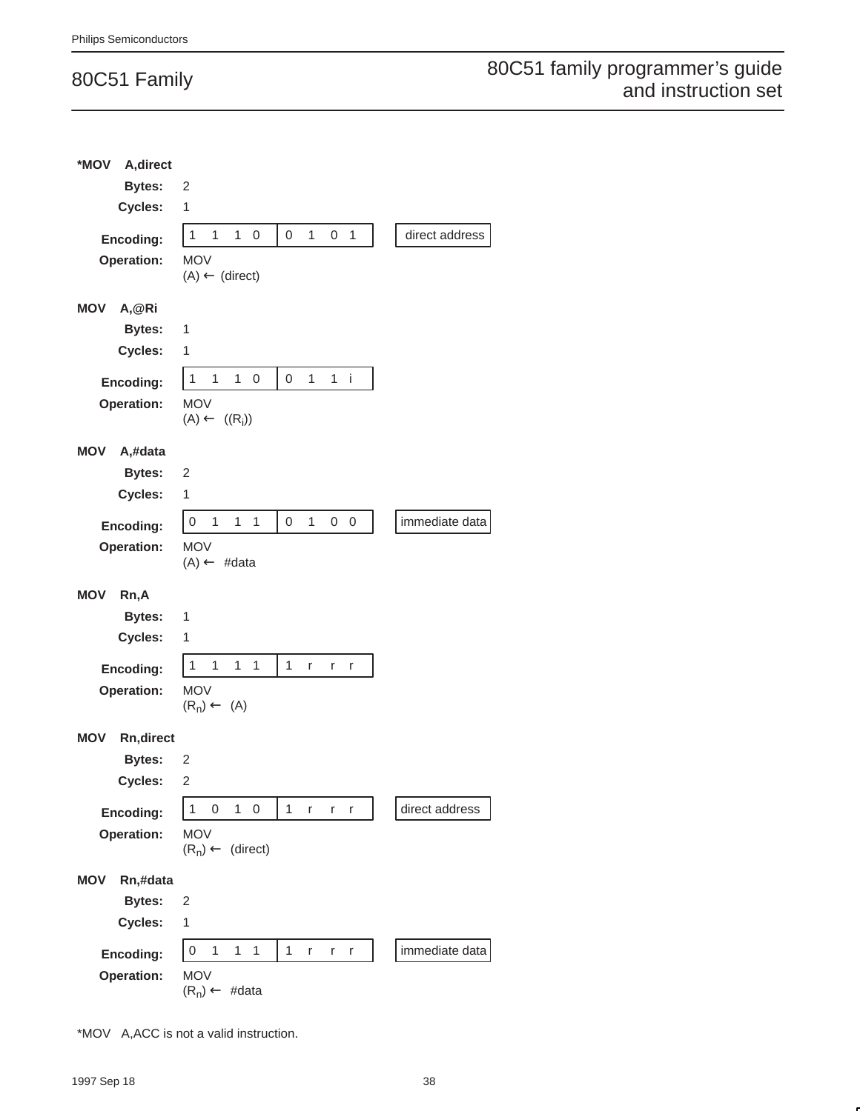| A, direct<br>*MOV       |                                                                                                         |                |
|-------------------------|---------------------------------------------------------------------------------------------------------|----------------|
| <b>Bytes:</b>           | 2                                                                                                       |                |
| Cycles:                 | $\mathbf 1$                                                                                             |                |
| Encoding:               | $\overline{1}$<br>$\mathbf{1}$<br>$\mathbf{1}$<br>0<br>$\mathbf{1}$<br>$\mathbf{1}$<br>$\mathbf 0$<br>0 | direct address |
| Operation:              | <b>MOV</b>                                                                                              |                |
|                         | $(A) \leftarrow (direct)$                                                                               |                |
| <b>MOV</b><br>A,@Ri     |                                                                                                         |                |
| <b>Bytes:</b>           | 1                                                                                                       |                |
| Cycles:                 | 1                                                                                                       |                |
| Encoding:               | 1<br>$\mathbf{1}$<br>$\mathbf{1}$<br>1<br>1<br>0<br>0<br>i                                              |                |
| Operation:              | <b>MOV</b>                                                                                              |                |
|                         | $(A) \leftarrow ((R_i))$                                                                                |                |
| <b>MOV</b><br>A,#data   |                                                                                                         |                |
| <b>Bytes:</b>           | 2                                                                                                       |                |
| Cycles:                 | 1                                                                                                       |                |
| Encoding:               | $\mathbf{1}$<br>$\,0\,$<br>$\mathbf{1}$<br>$\mathbf{1}$<br>$\mathbf{1}$<br>0<br>0<br>0                  | immediate data |
| Operation:              | <b>MOV</b>                                                                                              |                |
|                         | $(A) \leftarrow \#data$                                                                                 |                |
|                         |                                                                                                         |                |
| <b>MOV</b><br>Rn,A      |                                                                                                         |                |
| <b>Bytes:</b>           | 1                                                                                                       |                |
| Cycles:                 | 1                                                                                                       |                |
| Encoding:               | $\mathbf{1}$<br>$\mathbf{1}$<br>$\mathbf{1}$<br>$\mathbf{1}$<br>$\mathbf{1}$<br>r<br>r<br>r             |                |
| Operation:              | <b>MOV</b>                                                                                              |                |
|                         | $(R_n) \leftarrow (A)$                                                                                  |                |
| <b>MOV</b><br>Rn,direct |                                                                                                         |                |
| <b>Bytes:</b>           | 2                                                                                                       |                |
| <b>Cycles:</b>          | 2                                                                                                       |                |
| Encoding:               | $\boldsymbol{0}$<br>$\mathbf{1}$<br>1<br>0<br>1<br>r<br>r<br>r                                          | direct address |
| <b>Operation:</b>       | <b>MOV</b>                                                                                              |                |
|                         | $(R_n) \leftarrow$ (direct)                                                                             |                |
| Rn,#data<br><b>MOV</b>  |                                                                                                         |                |
| <b>Bytes:</b>           | 2                                                                                                       |                |
| Cycles:                 | 1                                                                                                       |                |
| Encoding:               | $\overline{0}$<br>$\mathbf{1}$<br>1<br>$\mathbf{1}$<br>1<br>r<br>r<br>r                                 | immediate data |
| Operation:              | <b>MOV</b><br>$(R_n) \leftarrow \text{#data}$                                                           |                |

\*MOV A,ACC is not a valid instruction.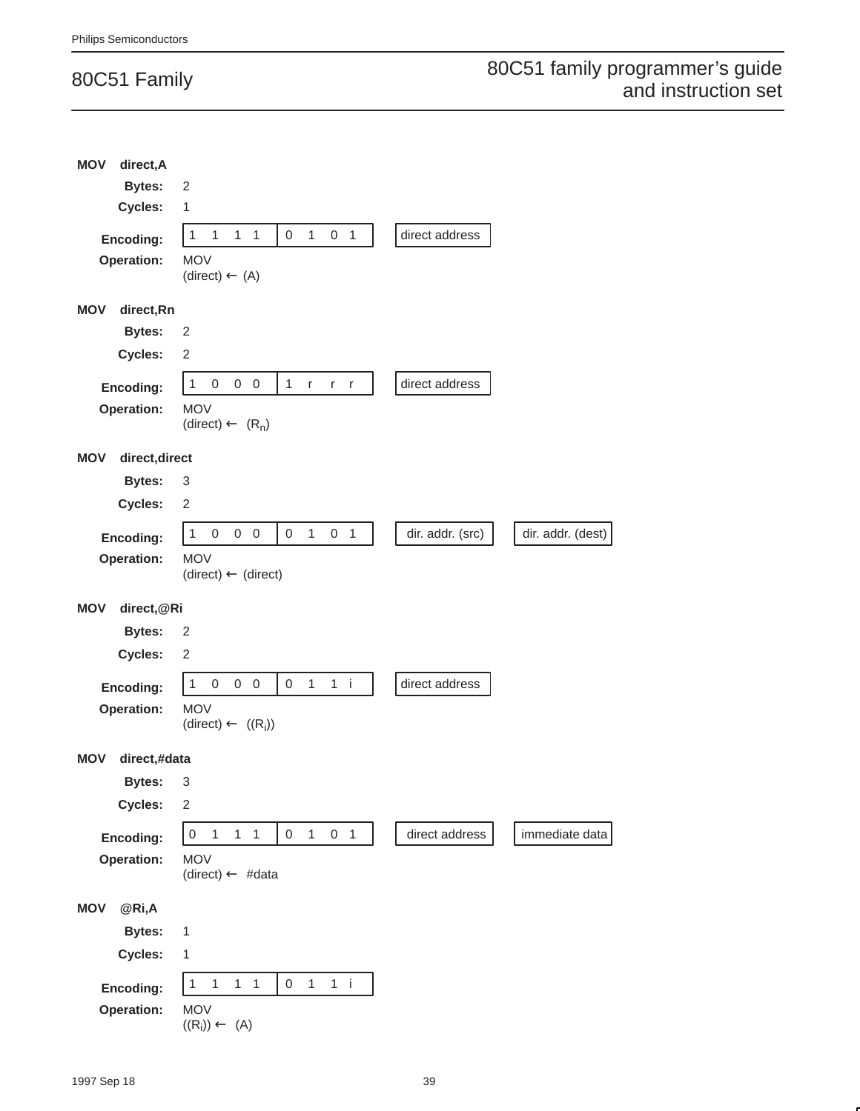| <b>MOV</b><br>direct, A      |                                                                                        |                  |                   |
|------------------------------|----------------------------------------------------------------------------------------|------------------|-------------------|
| <b>Bytes:</b>                | 2                                                                                      |                  |                   |
| Cycles:                      | $\mathbf{1}$                                                                           |                  |                   |
| Encoding:                    | $\mathbf{1}$<br>$\mathbf{1}$<br>$1 \quad 1$<br>$\mathbf{1}$<br>0 <sub>1</sub><br>0     | direct address   |                   |
| Operation:                   | <b>MOV</b><br>$(direct) \leftarrow (A)$                                                |                  |                   |
| direct,Rn<br><b>MOV</b>      |                                                                                        |                  |                   |
| <b>Bytes:</b>                | 2                                                                                      |                  |                   |
| Cycles:                      | $\sqrt{2}$                                                                             |                  |                   |
| Encoding:                    | $\mathbf{1}$<br>$\boldsymbol{0}$<br>$0\quad 0$<br>$\mathbf{1}$<br>r<br>$r$ $r$         | direct address   |                   |
| Operation:                   | <b>MOV</b><br>(direct) $\leftarrow (R_n)$                                              |                  |                   |
| direct, direct<br><b>MOV</b> |                                                                                        |                  |                   |
| <b>Bytes:</b>                | 3                                                                                      |                  |                   |
| Cycles:                      | $\sqrt{2}$                                                                             |                  |                   |
| Encoding:                    | $0\quad 0$<br>1<br>0 <sub>1</sub><br>$\mathbf{1}$<br>$\,0\,$<br>0                      | dir. addr. (src) | dir. addr. (dest) |
| Operation:                   | <b>MOV</b><br>$(direct) \leftarrow (direct)$                                           |                  |                   |
| <b>MOV</b><br>direct, @Ri    |                                                                                        |                  |                   |
| <b>Bytes:</b>                | 2                                                                                      |                  |                   |
| Cycles:                      | 2                                                                                      |                  |                   |
| Encoding:                    | $\mathbf{1}$<br>$\mathbf{1}$<br>$\,0\,$<br>$0\quad 0$<br>0<br>$1$ i                    | direct address   |                   |
| Operation:                   | <b>MOV</b>                                                                             |                  |                   |
|                              | $(direct) \leftarrow ((R_i))$                                                          |                  |                   |
| <b>MOV</b><br>direct,#data   |                                                                                        |                  |                   |
| Bytes: 3                     |                                                                                        |                  |                   |
| Cycles:                      | $\sqrt{2}$                                                                             |                  |                   |
| Encoding:                    | $\mathsf{O}\xspace$<br>$1 \quad 1$<br>$0 \quad 1 \quad 0 \quad 1$<br>1                 | direct address   | immediate data    |
| Operation:                   | <b>MOV</b>                                                                             |                  |                   |
|                              | $(direct) \leftarrow #data$                                                            |                  |                   |
| @Ri,A<br><b>MOV</b>          |                                                                                        |                  |                   |
| <b>Bytes:</b>                | $\mathbf{1}$                                                                           |                  |                   |
| Cycles:                      | $\mathbf{1}$                                                                           |                  |                   |
| Encoding:                    | $\mathbf{1}$<br>$1 \quad 1$<br>$\overline{0}$<br>$\mathbf{1}$<br>$1$ i<br>$\mathbf{1}$ |                  |                   |
| Operation:                   | <b>MOV</b><br>$((R_i)) \leftarrow (A)$                                                 |                  |                   |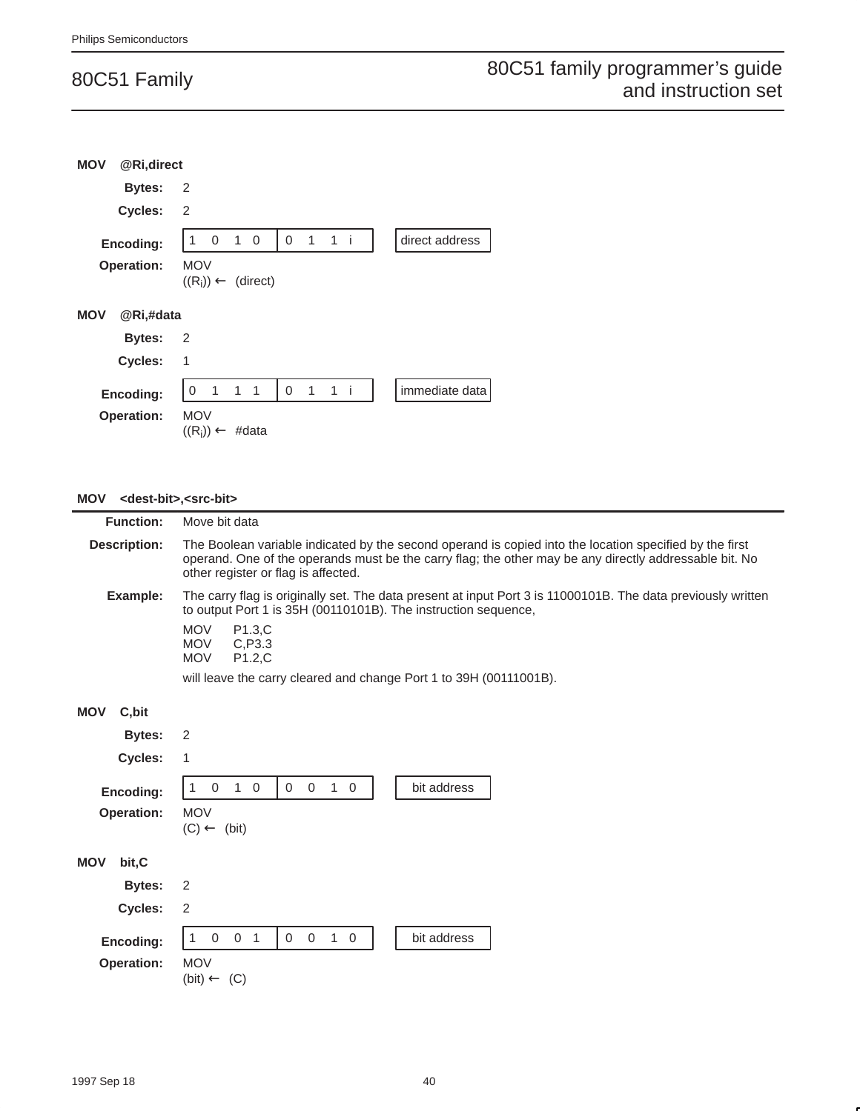| <b>MOV</b> | @Ri,direct        |                                           |                     |                               |                |              |       |  |                |
|------------|-------------------|-------------------------------------------|---------------------|-------------------------------|----------------|--------------|-------|--|----------------|
|            | <b>Bytes:</b>     | 2                                         |                     |                               |                |              |       |  |                |
|            | Cycles:           | 2                                         |                     |                               |                |              |       |  |                |
|            | Encoding:         | 1                                         | 0 <sub>1</sub>      | $\mathbf 0$                   | 0 <sub>1</sub> |              | 1 i   |  | direct address |
|            | Operation:        | <b>MOV</b>                                |                     | $((R_i)) \leftarrow$ (direct) |                |              |       |  |                |
| <b>MOV</b> | @Ri,#data         |                                           |                     |                               |                |              |       |  |                |
|            | <b>Bytes:</b>     | $\overline{\phantom{0}}^2$                |                     |                               |                |              |       |  |                |
|            | Cycles:           | 1                                         |                     |                               |                |              |       |  |                |
|            | Encoding:         | $\mathbf 0$                               | $1 \quad 1 \quad 1$ |                               | $\overline{0}$ | $\mathbf{1}$ | $1$ i |  | immediate data |
|            | <b>Operation:</b> | <b>MOV</b><br>$((R_i)) \leftarrow \#data$ |                     |                               |                |              |       |  |                |

#### **MOV <dest-bit>,<src-bit>**

| <b>Function:</b>     | Move bit data                                                                                                                                                                                                                                            |  |  |  |
|----------------------|----------------------------------------------------------------------------------------------------------------------------------------------------------------------------------------------------------------------------------------------------------|--|--|--|
| <b>Description:</b>  | The Boolean variable indicated by the second operand is copied into the location specified by the first<br>operand. One of the operands must be the carry flag; the other may be any directly addressable bit. No<br>other register or flag is affected. |  |  |  |
| Example:             | The carry flag is originally set. The data present at input Port 3 is 11000101B. The data previously written<br>to output Port 1 is 35H (00110101B). The instruction sequence,                                                                           |  |  |  |
|                      | <b>MOV</b><br>P1.3,C<br><b>MOV</b><br>C, P3.3<br>P1.2,C<br><b>MOV</b>                                                                                                                                                                                    |  |  |  |
|                      | will leave the carry cleared and change Port 1 to 39H (00111001B).                                                                                                                                                                                       |  |  |  |
| <b>MOV</b><br>C, bit |                                                                                                                                                                                                                                                          |  |  |  |
| <b>Bytes:</b>        | 2                                                                                                                                                                                                                                                        |  |  |  |
| Cycles:              | 1                                                                                                                                                                                                                                                        |  |  |  |
| Encoding:            | $\mathbf{1}$<br>$\mathbf 0$<br>$\mathbf{1}$<br>bit address<br>$\mathbf 0$<br>$\mathbf 0$<br>$\mathbf 0$<br>$\mathbf 0$<br>1                                                                                                                              |  |  |  |
| <b>Operation:</b>    | <b>MOV</b><br>$(C) \leftarrow (bit)$                                                                                                                                                                                                                     |  |  |  |
| <b>MOV</b><br>bit, C |                                                                                                                                                                                                                                                          |  |  |  |
| <b>Bytes:</b>        | $\overline{2}$                                                                                                                                                                                                                                           |  |  |  |
| Cycles:              | 2                                                                                                                                                                                                                                                        |  |  |  |
| Encoding:            | $\overline{0}$<br>0 <sub>1</sub><br>$\mathbf 0$<br>$\mathbf{0}$<br>$\overline{1}$<br>$\mathbf 0$<br>bit address<br>1                                                                                                                                     |  |  |  |
| Operation:           | <b>MOV</b><br>$(bit) \leftarrow (C)$                                                                                                                                                                                                                     |  |  |  |
|                      |                                                                                                                                                                                                                                                          |  |  |  |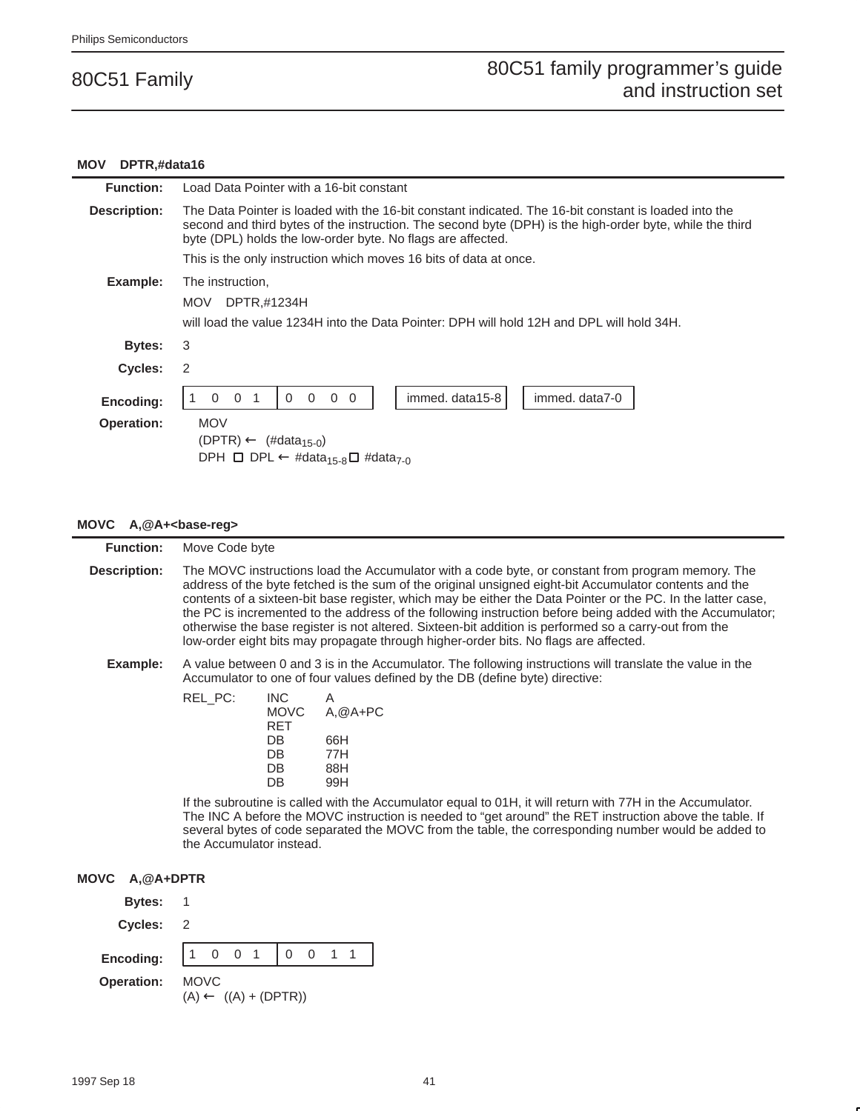#### **MOV DPTR,#data16**

| <b>Function:</b>               | Load Data Pointer with a 16-bit constant                                                                                                                                                                                                                                         |  |  |  |  |  |
|--------------------------------|----------------------------------------------------------------------------------------------------------------------------------------------------------------------------------------------------------------------------------------------------------------------------------|--|--|--|--|--|
| Description:                   | The Data Pointer is loaded with the 16-bit constant indicated. The 16-bit constant is loaded into the<br>second and third bytes of the instruction. The second byte (DPH) is the high-order byte, while the third<br>byte (DPL) holds the low-order byte. No flags are affected. |  |  |  |  |  |
|                                | This is the only instruction which moves 16 bits of data at once.                                                                                                                                                                                                                |  |  |  |  |  |
| Example:                       | The instruction,<br><b>MOV</b><br>DPTR,#1234H<br>will load the value 1234H into the Data Pointer: DPH will hold 12H and DPL will hold 34H.                                                                                                                                       |  |  |  |  |  |
| Bytes:                         | 3                                                                                                                                                                                                                                                                                |  |  |  |  |  |
| <b>Cycles:</b>                 | 2                                                                                                                                                                                                                                                                                |  |  |  |  |  |
| Encoding:<br><b>Operation:</b> | immed. data15-8<br>immed. data7-0<br>$\Omega$<br>$0\quad 0$<br>$\Omega$<br>$\Omega$<br>$\Omega$<br><b>MOV</b>                                                                                                                                                                    |  |  |  |  |  |
|                                | $(DPTR) \leftarrow$ (#data <sub>15-0</sub> )<br>DPH $\Box$ DPL $\leftarrow$ #data <sub>15-8</sub> $\Box$ #data <sub>7-0</sub>                                                                                                                                                    |  |  |  |  |  |

#### **MOVC A,@A+<base-reg>**

| <b>Function:</b>            | Move Code byte                                                                                                                                                                                                                                                                                                                                                                                                                                                                                                                                                                                                                             |                                                                                                                                                                                                                                                                                                                                            |  |  |  |  |  |
|-----------------------------|--------------------------------------------------------------------------------------------------------------------------------------------------------------------------------------------------------------------------------------------------------------------------------------------------------------------------------------------------------------------------------------------------------------------------------------------------------------------------------------------------------------------------------------------------------------------------------------------------------------------------------------------|--------------------------------------------------------------------------------------------------------------------------------------------------------------------------------------------------------------------------------------------------------------------------------------------------------------------------------------------|--|--|--|--|--|
| <b>Description:</b>         | The MOVC instructions load the Accumulator with a code byte, or constant from program memory. The<br>address of the byte fetched is the sum of the original unsigned eight-bit Accumulator contents and the<br>contents of a sixteen-bit base register, which may be either the Data Pointer or the PC. In the latter case,<br>the PC is incremented to the address of the following instruction before being added with the Accumulator;<br>otherwise the base register is not altered. Sixteen-bit addition is performed so a carry-out from the<br>low-order eight bits may propagate through higher-order bits. No flags are affected. |                                                                                                                                                                                                                                                                                                                                            |  |  |  |  |  |
| Example:                    | A value between 0 and 3 is in the Accumulator. The following instructions will translate the value in the<br>Accumulator to one of four values defined by the DB (define byte) directive:                                                                                                                                                                                                                                                                                                                                                                                                                                                  |                                                                                                                                                                                                                                                                                                                                            |  |  |  |  |  |
|                             | REL_PC:<br><b>INC</b><br>A<br><b>MOVC</b><br><b>RET</b><br><b>DB</b><br>66H<br>DB<br>77H<br>DB<br>88H<br>DB<br>99H<br>the Accumulator instead.                                                                                                                                                                                                                                                                                                                                                                                                                                                                                             | $A, @A+PC$<br>If the subroutine is called with the Accumulator equal to 01H, it will return with 77H in the Accumulator.<br>The INC A before the MOVC instruction is needed to "get around" the RET instruction above the table. If<br>several bytes of code separated the MOVC from the table, the corresponding number would be added to |  |  |  |  |  |
| <b>MOVC</b><br>$A, @A+DPTR$ |                                                                                                                                                                                                                                                                                                                                                                                                                                                                                                                                                                                                                                            |                                                                                                                                                                                                                                                                                                                                            |  |  |  |  |  |
| <b>Bytes:</b>               | 1                                                                                                                                                                                                                                                                                                                                                                                                                                                                                                                                                                                                                                          |                                                                                                                                                                                                                                                                                                                                            |  |  |  |  |  |
| <b>Cycles:</b>              | 2                                                                                                                                                                                                                                                                                                                                                                                                                                                                                                                                                                                                                                          |                                                                                                                                                                                                                                                                                                                                            |  |  |  |  |  |
| Encoding:                   | $\overline{0}$<br>$\mathbf 0$<br>0 <sub>1</sub><br>$\Omega$<br>$\overline{1}$<br>$\mathbf{1}$                                                                                                                                                                                                                                                                                                                                                                                                                                                                                                                                              | $\mathbf{1}$                                                                                                                                                                                                                                                                                                                               |  |  |  |  |  |
| <b>Operation:</b>           | <b>MOVC</b><br>$(A) \leftarrow ((A) + (DPTR))$                                                                                                                                                                                                                                                                                                                                                                                                                                                                                                                                                                                             |                                                                                                                                                                                                                                                                                                                                            |  |  |  |  |  |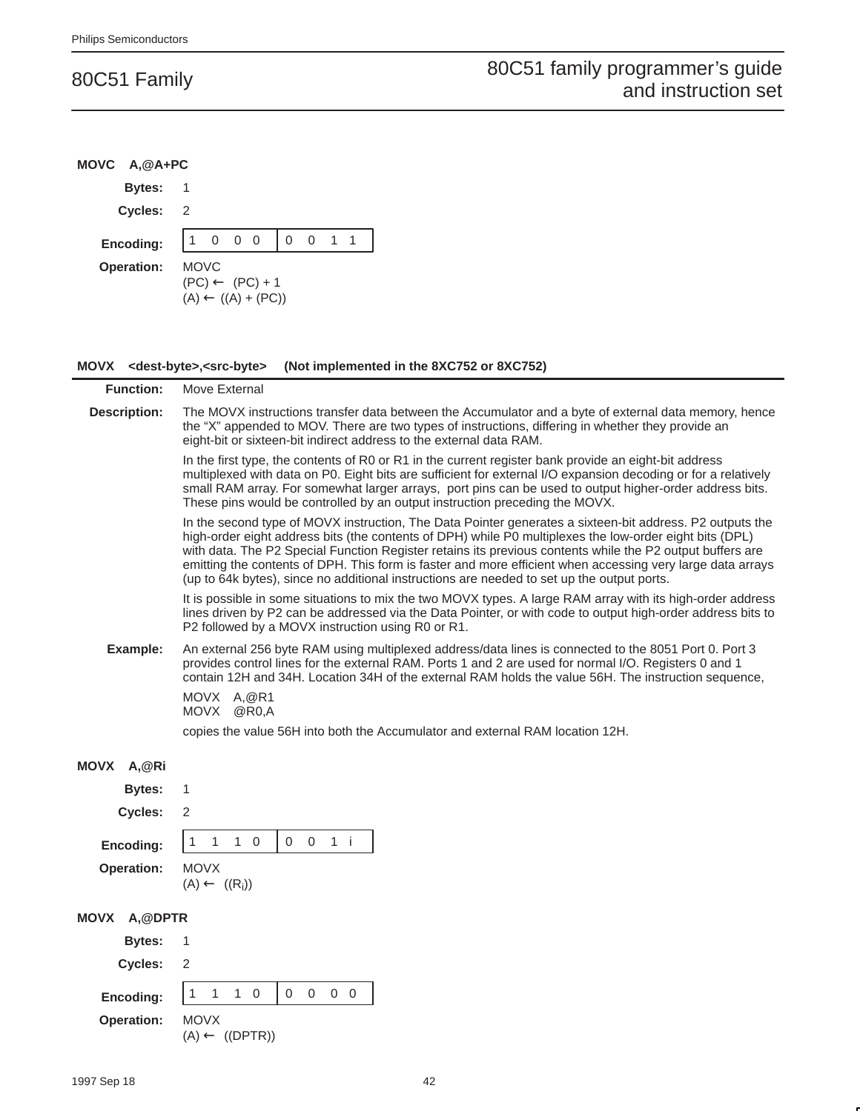**MOVC A,@A+PC**

| <b>Bytes:</b>                                      | 1                                                                                                                                                                                                                                                                                                                                                                                                                                                                                                                                            |
|----------------------------------------------------|----------------------------------------------------------------------------------------------------------------------------------------------------------------------------------------------------------------------------------------------------------------------------------------------------------------------------------------------------------------------------------------------------------------------------------------------------------------------------------------------------------------------------------------------|
| <b>Cycles:</b>                                     | 2                                                                                                                                                                                                                                                                                                                                                                                                                                                                                                                                            |
| Encoding:                                          | $0\quad 0\quad 0$<br>$0 \t 0 \t 1 \t 1$<br>$\mathbf{1}$                                                                                                                                                                                                                                                                                                                                                                                                                                                                                      |
| <b>Operation:</b>                                  | <b>MOVC</b><br>$(PC) \leftarrow (PC) + 1$<br>$(A) \leftarrow ((A) + (PC))$                                                                                                                                                                                                                                                                                                                                                                                                                                                                   |
| MOVX <dest-byte>,<src-byte></src-byte></dest-byte> | (Not implemented in the 8XC752 or 8XC752)                                                                                                                                                                                                                                                                                                                                                                                                                                                                                                    |
| <b>Function:</b>                                   | Move External                                                                                                                                                                                                                                                                                                                                                                                                                                                                                                                                |
| <b>Description:</b>                                | The MOVX instructions transfer data between the Accumulator and a byte of external data memory, hence<br>the "X" appended to MOV. There are two types of instructions, differing in whether they provide an<br>eight-bit or sixteen-bit indirect address to the external data RAM.                                                                                                                                                                                                                                                           |
|                                                    | In the first type, the contents of R0 or R1 in the current register bank provide an eight-bit address<br>multiplexed with data on P0. Eight bits are sufficient for external I/O expansion decoding or for a relatively<br>small RAM array. For somewhat larger arrays, port pins can be used to output higher-order address bits.<br>These pins would be controlled by an output instruction preceding the MOVX.                                                                                                                            |
|                                                    | In the second type of MOVX instruction, The Data Pointer generates a sixteen-bit address. P2 outputs the<br>high-order eight address bits (the contents of DPH) while P0 multiplexes the low-order eight bits (DPL)<br>with data. The P2 Special Function Register retains its previous contents while the P2 output buffers are<br>emitting the contents of DPH. This form is faster and more efficient when accessing very large data arrays<br>(up to 64k bytes), since no additional instructions are needed to set up the output ports. |
|                                                    | It is possible in some situations to mix the two MOVX types. A large RAM array with its high-order address<br>lines driven by P2 can be addressed via the Data Pointer, or with code to output high-order address bits to<br>P2 followed by a MOVX instruction using R0 or R1.                                                                                                                                                                                                                                                               |
| Example:                                           | An external 256 byte RAM using multiplexed address/data lines is connected to the 8051 Port 0. Port 3<br>provides control lines for the external RAM. Ports 1 and 2 are used for normal I/O. Registers 0 and 1<br>contain 12H and 34H. Location 34H of the external RAM holds the value 56H. The instruction sequence,                                                                                                                                                                                                                       |
|                                                    | MOVX A, @R1<br>MOVX @R0,A                                                                                                                                                                                                                                                                                                                                                                                                                                                                                                                    |
|                                                    | copies the value 56H into both the Accumulator and external RAM location 12H.                                                                                                                                                                                                                                                                                                                                                                                                                                                                |
| MOVX A,@Ri                                         |                                                                                                                                                                                                                                                                                                                                                                                                                                                                                                                                              |
| Bytes:                                             | 1                                                                                                                                                                                                                                                                                                                                                                                                                                                                                                                                            |
| Cycles:                                            | $\sqrt{2}$                                                                                                                                                                                                                                                                                                                                                                                                                                                                                                                                   |
| Encoding:                                          | $1\quad 0$<br>$\mathbf 0$<br>$1$ i<br>$\mathbf{1}$<br>$\mathbf 0$<br>1                                                                                                                                                                                                                                                                                                                                                                                                                                                                       |
| Operation:                                         | <b>MOVX</b><br>$(A) \leftarrow ((R_i))$                                                                                                                                                                                                                                                                                                                                                                                                                                                                                                      |
| MOVX A,@DPTR                                       |                                                                                                                                                                                                                                                                                                                                                                                                                                                                                                                                              |
| <b>Bytes:</b>                                      | 1                                                                                                                                                                                                                                                                                                                                                                                                                                                                                                                                            |
| Cycles:                                            | $\sqrt{2}$                                                                                                                                                                                                                                                                                                                                                                                                                                                                                                                                   |
| Encoding:                                          | $1\quad 0$<br>0<br>$0\quad 0$<br>$\mathbf{1}$<br>$\mathbf{1}$<br>0                                                                                                                                                                                                                                                                                                                                                                                                                                                                           |
| <b>Operation:</b>                                  | <b>MOVX</b><br>$(A) \leftarrow ((DPTR))$                                                                                                                                                                                                                                                                                                                                                                                                                                                                                                     |
|                                                    |                                                                                                                                                                                                                                                                                                                                                                                                                                                                                                                                              |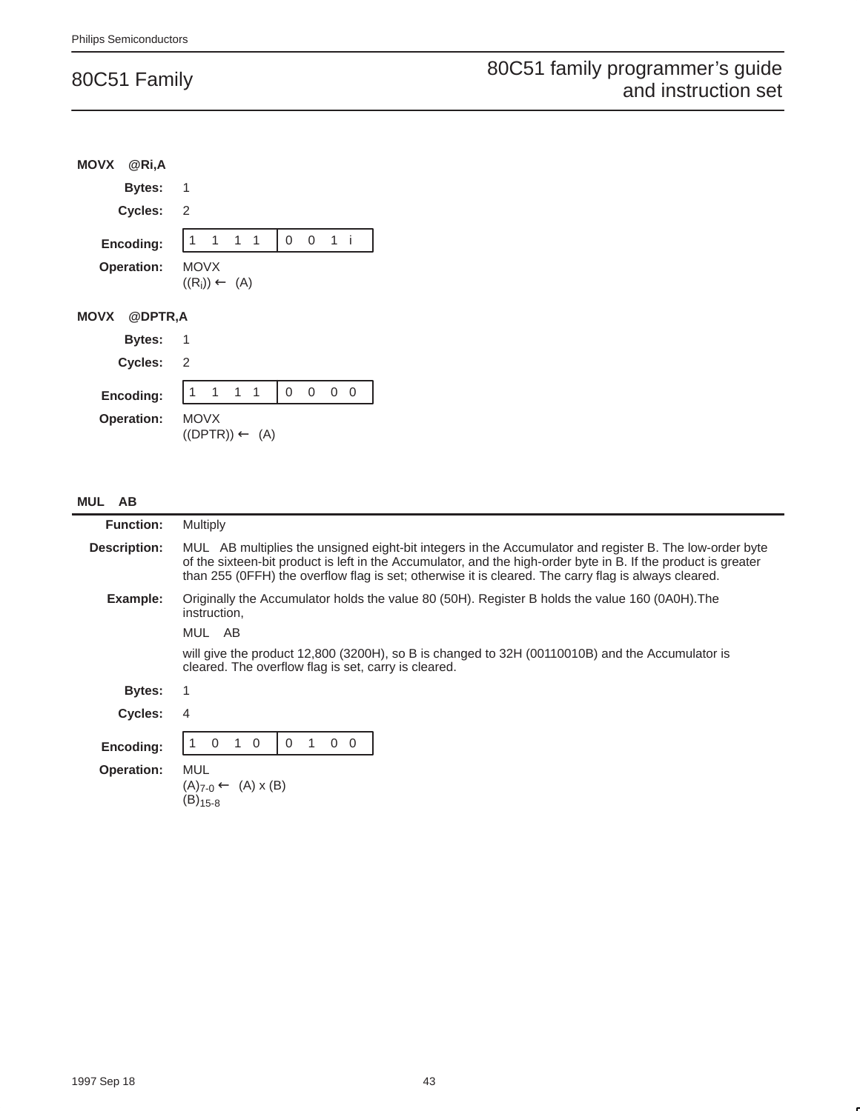|                   | MOVX @Ri,A          |             |                             |                           |          |           |                   |  |
|-------------------|---------------------|-------------|-----------------------------|---------------------------|----------|-----------|-------------------|--|
|                   | Bytes: 1            |             |                             |                           |          |           |                   |  |
|                   | Cycles: 2           |             |                             |                           |          |           |                   |  |
|                   | Encoding:           |             | 1 1 1 1                     |                           |          | $0$ 0 1 i |                   |  |
| <b>Operation:</b> |                     | <b>MOVX</b> | $((R_i)) \leftarrow (A)$    |                           |          |           |                   |  |
|                   | <b>MOVX @DPTR,A</b> |             |                             |                           |          |           |                   |  |
|                   | <b>Bytes: 1</b>     |             |                             |                           |          |           |                   |  |
|                   | Cycles: 2           |             |                             |                           |          |           |                   |  |
|                   | Encoding:           |             | $1 \quad 1 \quad 1 \quad 1$ |                           | $\Omega$ |           | $0\quad 0\quad 0$ |  |
| <b>Operation:</b> |                     | <b>MOVX</b> |                             | $((DPTR)) \leftarrow (A)$ |          |           |                   |  |

#### **MUL AB**

| <b>Function:</b>  | <b>Multiply</b>                                                                                                                                                                                                                                                                                                                   |
|-------------------|-----------------------------------------------------------------------------------------------------------------------------------------------------------------------------------------------------------------------------------------------------------------------------------------------------------------------------------|
| Description:      | MUL AB multiplies the unsigned eight-bit integers in the Accumulator and register B. The low-order byte<br>of the sixteen-bit product is left in the Accumulator, and the high-order byte in B. If the product is greater<br>than 255 (OFFH) the overflow flag is set; otherwise it is cleared. The carry flag is always cleared. |
| Example:          | Originally the Accumulator holds the value 80 (50H). Register B holds the value 160 (0A0H). The<br>instruction,                                                                                                                                                                                                                   |
|                   | MUL AB                                                                                                                                                                                                                                                                                                                            |
|                   | will give the product 12,800 (3200H), so B is changed to 32H (00110010B) and the Accumulator is<br>cleared. The overflow flag is set, carry is cleared.                                                                                                                                                                           |
| Bytes:            |                                                                                                                                                                                                                                                                                                                                   |
| Cycles:           | 4                                                                                                                                                                                                                                                                                                                                 |
| Encoding:         | $\Omega$<br>$\Omega$<br>$\Omega$<br>$\mathbf 0$<br>$\Omega$                                                                                                                                                                                                                                                                       |
| <b>Operation:</b> | MUL<br>$(A)_{7-0} \leftarrow (A) \times (B)$<br>$(B)_{15-8}$                                                                                                                                                                                                                                                                      |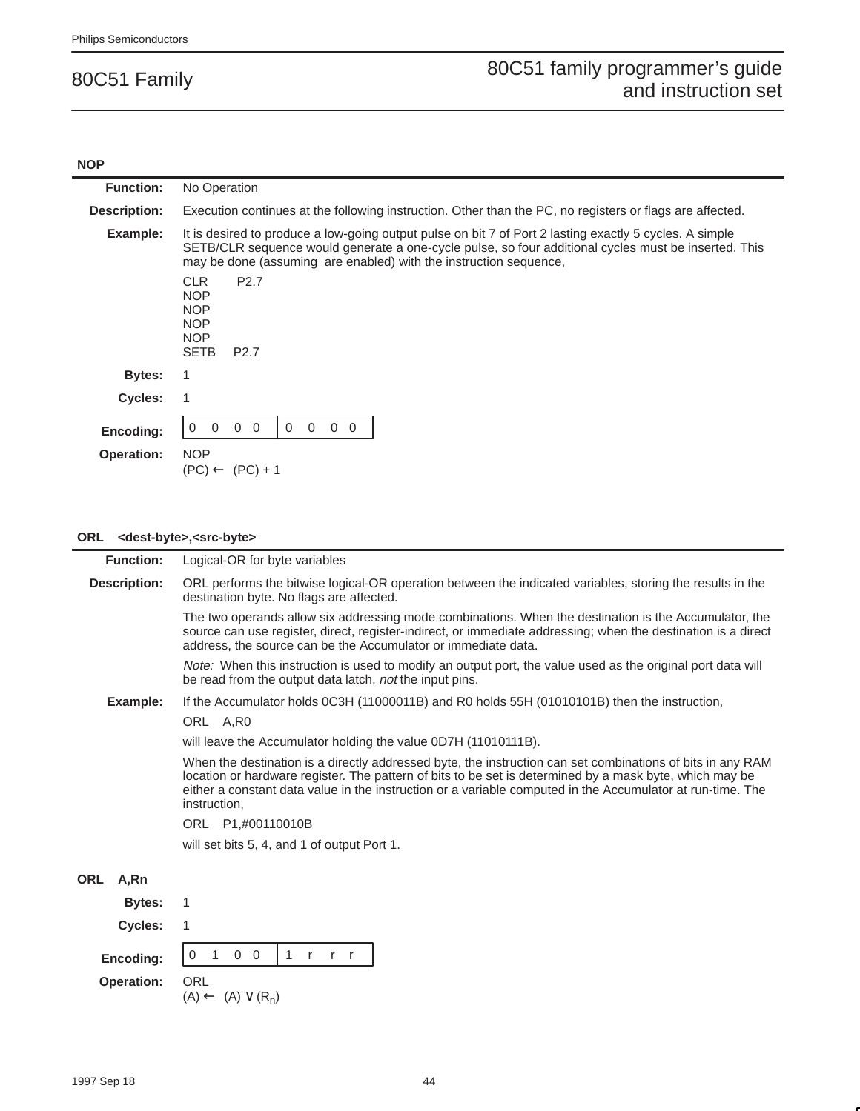#### **NOP**

| <b>Function:</b>               | No Operation                                                                                                                                                                                                                                                                         |  |  |
|--------------------------------|--------------------------------------------------------------------------------------------------------------------------------------------------------------------------------------------------------------------------------------------------------------------------------------|--|--|
| Description:                   | Execution continues at the following instruction. Other than the PC, no registers or flags are affected.                                                                                                                                                                             |  |  |
| Example:                       | It is desired to produce a low-going output pulse on bit 7 of Port 2 lasting exactly 5 cycles. A simple<br>SETB/CLR sequence would generate a one-cycle pulse, so four additional cycles must be inserted. This<br>may be done (assuming are enabled) with the instruction sequence, |  |  |
|                                | <b>CLR</b><br>P <sub>2.7</sub><br><b>NOP</b><br><b>NOP</b><br><b>NOP</b><br><b>NOP</b><br><b>SETB</b><br>P <sub>2.7</sub>                                                                                                                                                            |  |  |
| <b>Bytes:</b>                  |                                                                                                                                                                                                                                                                                      |  |  |
| Cycles:                        |                                                                                                                                                                                                                                                                                      |  |  |
| Encoding:<br><b>Operation:</b> | $0\quad 0$<br>$\Omega$<br>$\Omega$<br>$\Omega$<br>$\Omega$<br>$\Omega$<br><b>NOP</b>                                                                                                                                                                                                 |  |  |
|                                | $(PC) \leftarrow (PC) + 1$                                                                                                                                                                                                                                                           |  |  |

### **ORL <dest-byte>,<src-byte>**

| <b>Function:</b>    | Logical-OR for byte variables                                                                                                                                                                                                                                                                                                                       |
|---------------------|-----------------------------------------------------------------------------------------------------------------------------------------------------------------------------------------------------------------------------------------------------------------------------------------------------------------------------------------------------|
| <b>Description:</b> | ORL performs the bitwise logical-OR operation between the indicated variables, storing the results in the<br>destination byte. No flags are affected.                                                                                                                                                                                               |
|                     | The two operands allow six addressing mode combinations. When the destination is the Accumulator, the<br>source can use register, direct, register-indirect, or immediate addressing; when the destination is a direct<br>address, the source can be the Accumulator or immediate data.                                                             |
|                     | Note: When this instruction is used to modify an output port, the value used as the original port data will<br>be read from the output data latch, not the input pins.                                                                                                                                                                              |
| Example:            | If the Accumulator holds 0C3H (11000011B) and R0 holds 55H (01010101B) then the instruction,                                                                                                                                                                                                                                                        |
|                     | ORL A, RO                                                                                                                                                                                                                                                                                                                                           |
|                     | will leave the Accumulator holding the value 0D7H (11010111B).                                                                                                                                                                                                                                                                                      |
|                     | When the destination is a directly addressed byte, the instruction can set combinations of bits in any RAM<br>location or hardware register. The pattern of bits to be set is determined by a mask byte, which may be<br>either a constant data value in the instruction or a variable computed in the Accumulator at run-time. The<br>instruction, |
|                     | ORL P1,#00110010B                                                                                                                                                                                                                                                                                                                                   |
|                     | will set bits 5, 4, and 1 of output Port 1.                                                                                                                                                                                                                                                                                                         |
| ORL<br>A,Rn         |                                                                                                                                                                                                                                                                                                                                                     |
| <b>Bytes:</b>       | 1                                                                                                                                                                                                                                                                                                                                                   |
| Cycles:             | 1                                                                                                                                                                                                                                                                                                                                                   |
| Encoding:           | $0\quad 0$<br>1 $r$ $r$ $r$<br>1<br>0                                                                                                                                                                                                                                                                                                               |
| <b>Operation:</b>   | <b>ORL</b><br>$(A) \leftarrow (A) \vee (R_n)$                                                                                                                                                                                                                                                                                                       |
|                     |                                                                                                                                                                                                                                                                                                                                                     |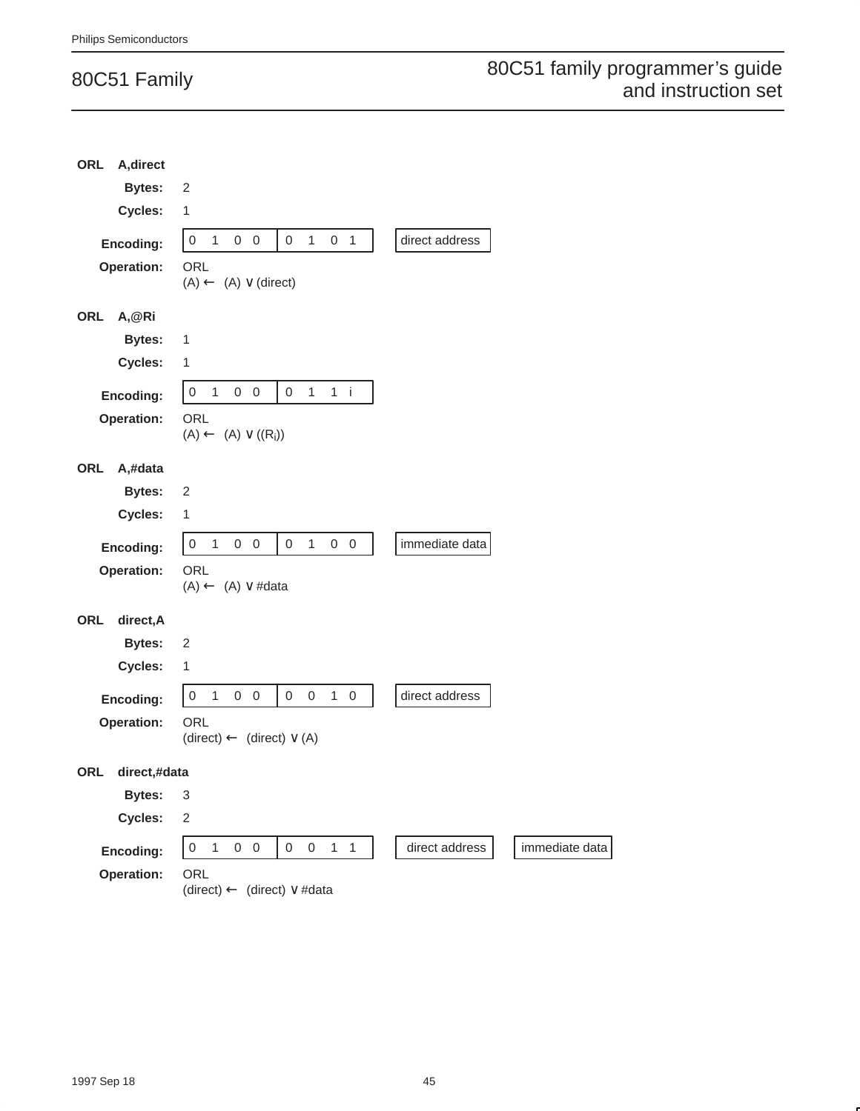| <b>ORL</b><br>A, direct |                                                                                               |                |                |
|-------------------------|-----------------------------------------------------------------------------------------------|----------------|----------------|
| <b>Bytes:</b>           | $\sqrt{2}$                                                                                    |                |                |
| Cycles:                 | $\mathbf{1}$                                                                                  |                |                |
| Encoding:               | $\boldsymbol{0}$<br>1<br>$\mathbf{1}$<br>$0\quad 0$<br>0<br>0 <sub>1</sub>                    | direct address |                |
| Operation:              | ORL                                                                                           |                |                |
|                         | $(A) \leftarrow (A) \vee (direct)$                                                            |                |                |
| ORL<br>A,@Ri            |                                                                                               |                |                |
| <b>Bytes:</b>           | 1                                                                                             |                |                |
| Cycles:                 | 1                                                                                             |                |                |
| Encoding:               | $\boldsymbol{0}$<br>$1$ i<br>$\overline{1}$<br>$0\quad 0$<br>0<br>1                           |                |                |
| Operation:              | ORL<br>$(A) \leftarrow (A) \vee ((R_i))$                                                      |                |                |
|                         |                                                                                               |                |                |
| ORL<br>A,#data          |                                                                                               |                |                |
| <b>Bytes:</b>           | $\overline{c}$                                                                                |                |                |
| Cycles:                 | 1                                                                                             |                |                |
| Encoding:               | $\mathbf 0$<br>1<br>$0\quad 0$<br>$\mathsf{O}\xspace$<br>1<br>$0\quad 0$                      | immediate data |                |
| Operation:              | ORL                                                                                           |                |                |
|                         | $(A) \leftarrow (A) \vee #data$                                                               |                |                |
| ORL<br>direct, A        |                                                                                               |                |                |
| <b>Bytes:</b>           | $\overline{c}$                                                                                |                |                |
| Cycles:                 | $\mathbf{1}$                                                                                  |                |                |
| Encoding:               | $\mathbf 0$<br>$0\quad 0$<br>$\mathbf 0$<br>$\mathsf{O}\xspace$<br>$1\quad 0$<br>$\mathbf{1}$ | direct address |                |
| Operation:              | <b>ORL</b><br>$(direct) \leftarrow (direct) \vee (A)$                                         |                |                |
| ORL<br>direct,#data     |                                                                                               |                |                |
| <b>Bytes:</b>           | 3                                                                                             |                |                |
| Cycles:                 | $\overline{c}$                                                                                |                |                |
| Encoding:               | $\mathsf{O}\xspace$<br>$0 \quad 0 \quad 1 \quad 1$<br>$\overline{1}$<br>$0\quad 0$            | direct address | immediate data |
| Operation:              | ORL<br>(direct) $\leftarrow$ (direct) $\vee$ #data                                            |                |                |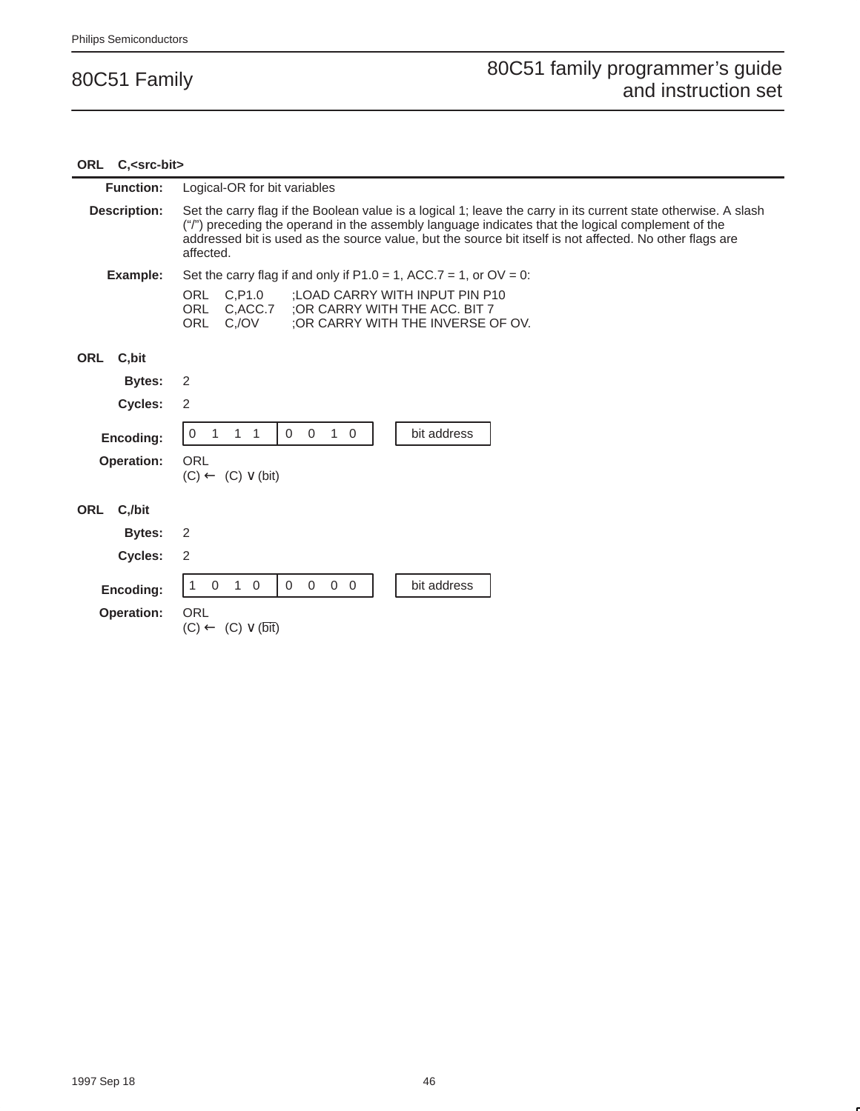| ORL C, <src-bit></src-bit> |                                                                                                                                                                                                                                                                                                                                               |
|----------------------------|-----------------------------------------------------------------------------------------------------------------------------------------------------------------------------------------------------------------------------------------------------------------------------------------------------------------------------------------------|
| <b>Function:</b>           | Logical-OR for bit variables                                                                                                                                                                                                                                                                                                                  |
| <b>Description:</b>        | Set the carry flag if the Boolean value is a logical 1; leave the carry in its current state otherwise. A slash<br>("/") preceding the operand in the assembly language indicates that the logical complement of the<br>addressed bit is used as the source value, but the source bit itself is not affected. No other flags are<br>affected. |
| Example:                   | Set the carry flag if and only if $P1.0 = 1$ , ACC.7 = 1, or OV = 0.                                                                                                                                                                                                                                                                          |
|                            | ORL<br>C.P1.0<br>:LOAD CARRY WITH INPUT PIN P10<br><b>ORL</b><br>C.ACC.7<br>:OR CARRY WITH THE ACC. BIT 7<br>; OR CARRY WITH THE INVERSE OF OV.<br>ORL<br>C./OV                                                                                                                                                                               |
| C,bit<br>ORL               |                                                                                                                                                                                                                                                                                                                                               |
| <b>Bytes:</b>              | 2                                                                                                                                                                                                                                                                                                                                             |
| Cycles:                    | 2                                                                                                                                                                                                                                                                                                                                             |
| Encoding:                  | $\overline{0}$<br>$1\quad 0$<br>bit address<br>$1 \quad 1$<br>$\Omega$<br>1<br>0                                                                                                                                                                                                                                                              |
| <b>Operation:</b>          | ORL<br>$(C) \leftarrow (C) \vee (bit)$                                                                                                                                                                                                                                                                                                        |
| ORL C./bit                 |                                                                                                                                                                                                                                                                                                                                               |
| Bytes:                     | 2                                                                                                                                                                                                                                                                                                                                             |
| <b>Cycles:</b>             | 2                                                                                                                                                                                                                                                                                                                                             |
| Encoding:                  | $\mathbf 0$<br>0<br>$1\quad 0$<br>$\Omega$<br>$0\quad 0$<br>bit address                                                                                                                                                                                                                                                                       |
| <b>Operation:</b>          | ORL<br>$(C) \leftarrow (C) \vee (\overline{\text{bit}})$                                                                                                                                                                                                                                                                                      |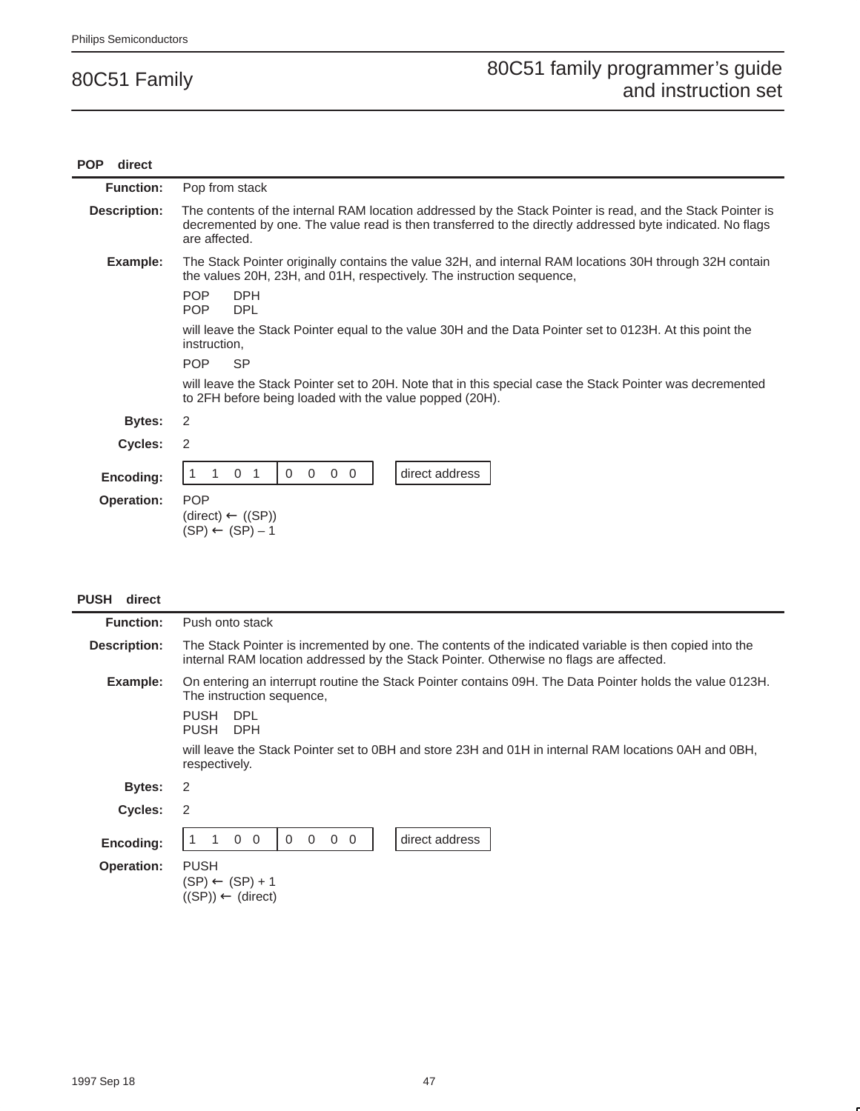| <b>POP</b><br>direct |                                                                                                                                                                                                                                          |
|----------------------|------------------------------------------------------------------------------------------------------------------------------------------------------------------------------------------------------------------------------------------|
| <b>Function:</b>     | Pop from stack                                                                                                                                                                                                                           |
| Description:         | The contents of the internal RAM location addressed by the Stack Pointer is read, and the Stack Pointer is<br>decremented by one. The value read is then transferred to the directly addressed byte indicated. No flags<br>are affected. |
| Example:             | The Stack Pointer originally contains the value 32H, and internal RAM locations 30H through 32H contain<br>the values 20H, 23H, and 01H, respectively. The instruction sequence,                                                         |
|                      | <b>POP</b><br><b>DPH</b><br><b>POP</b><br><b>DPL</b>                                                                                                                                                                                     |
|                      | will leave the Stack Pointer equal to the value 30H and the Data Pointer set to 0123H. At this point the<br>instruction,                                                                                                                 |
|                      | <b>SP</b><br><b>POP</b>                                                                                                                                                                                                                  |
|                      | will leave the Stack Pointer set to 20H. Note that in this special case the Stack Pointer was decremented<br>to 2FH before being loaded with the value popped (20H).                                                                     |
| <b>Bytes:</b>        | 2                                                                                                                                                                                                                                        |
| Cycles:              | 2                                                                                                                                                                                                                                        |
| Encoding:            | direct address<br>$\Omega$<br>$\overline{0}$<br>$\mathbf 0$<br>$\Omega$<br>$\Omega$                                                                                                                                                      |
| <b>Operation:</b>    | <b>POP</b><br>$(direct) \leftarrow ((SP))$<br>$(SP) \leftarrow (SP) - 1$                                                                                                                                                                 |

| <b>PUSH</b> | direct |
|-------------|--------|
|-------------|--------|

| <b>Function:</b>  | Push onto stack                                                                                                                                                                                   |  |  |
|-------------------|---------------------------------------------------------------------------------------------------------------------------------------------------------------------------------------------------|--|--|
| Description:      | The Stack Pointer is incremented by one. The contents of the indicated variable is then copied into the<br>internal RAM location addressed by the Stack Pointer. Otherwise no flags are affected. |  |  |
| Example:          | On entering an interrupt routine the Stack Pointer contains 09H. The Data Pointer holds the value 0123H.<br>The instruction sequence,                                                             |  |  |
|                   | <b>PUSH</b><br>DPL<br><b>PUSH</b><br><b>DPH</b>                                                                                                                                                   |  |  |
|                   | will leave the Stack Pointer set to 0BH and store 23H and 01H in internal RAM locations 0AH and 0BH,<br>respectively.                                                                             |  |  |
| Bytes:            | 2                                                                                                                                                                                                 |  |  |
| Cycles:           | 2                                                                                                                                                                                                 |  |  |
| Encoding:         | direct address<br>$0\quad 0$<br>$\mathbf{0}$<br>$0\quad 0$<br>$\mathbf 0$                                                                                                                         |  |  |
| <b>Operation:</b> | <b>PUSH</b><br>$(SP) \leftarrow (SP) + 1$<br>$((SP)) \leftarrow (direct)$                                                                                                                         |  |  |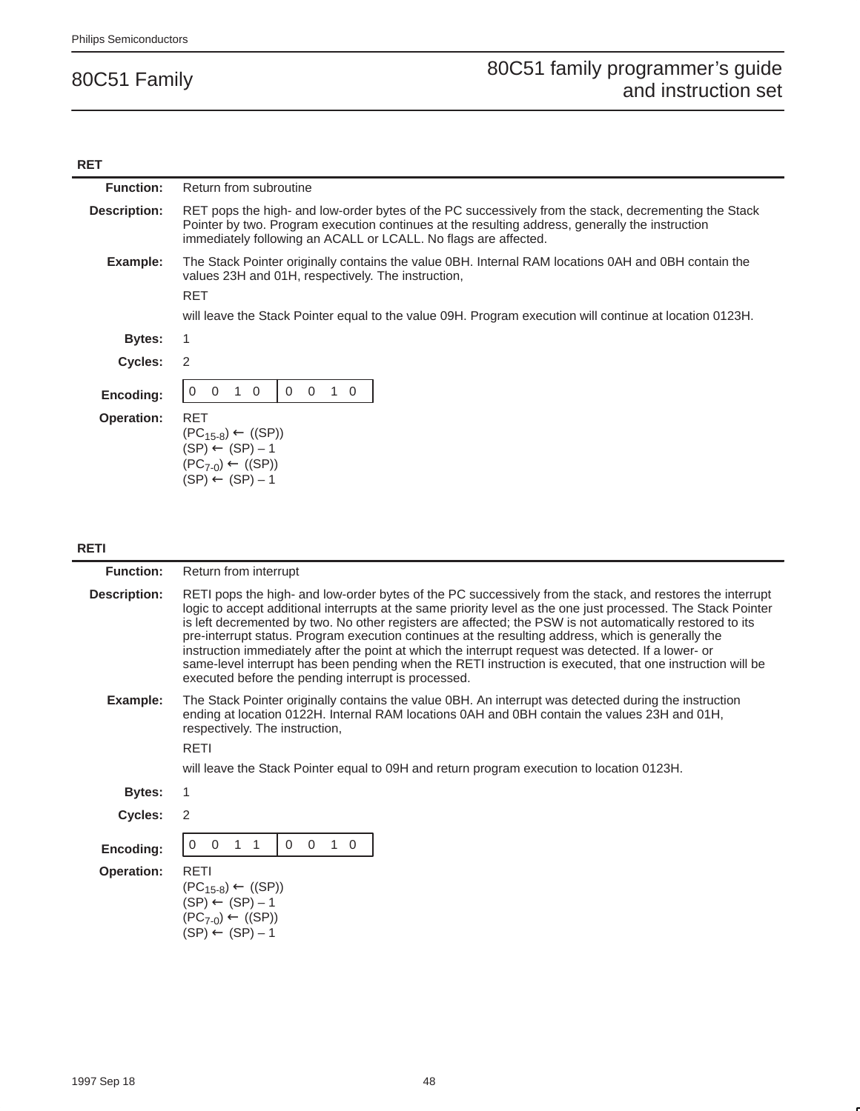### **RET**

| <b>Function:</b>    | Return from subroutine                                                                                                                                                                                                                                                                                                                                                                                                                                                                                                                                                                                                                                                                                                   |
|---------------------|--------------------------------------------------------------------------------------------------------------------------------------------------------------------------------------------------------------------------------------------------------------------------------------------------------------------------------------------------------------------------------------------------------------------------------------------------------------------------------------------------------------------------------------------------------------------------------------------------------------------------------------------------------------------------------------------------------------------------|
| <b>Description:</b> | RET pops the high- and low-order bytes of the PC successively from the stack, decrementing the Stack<br>Pointer by two. Program execution continues at the resulting address, generally the instruction<br>immediately following an ACALL or LCALL. No flags are affected.                                                                                                                                                                                                                                                                                                                                                                                                                                               |
| Example:            | The Stack Pointer originally contains the value 0BH. Internal RAM locations 0AH and 0BH contain the<br>values 23H and 01H, respectively. The instruction,<br><b>RET</b>                                                                                                                                                                                                                                                                                                                                                                                                                                                                                                                                                  |
|                     | will leave the Stack Pointer equal to the value 09H. Program execution will continue at location 0123H.                                                                                                                                                                                                                                                                                                                                                                                                                                                                                                                                                                                                                  |
| <b>Bytes:</b>       | 1                                                                                                                                                                                                                                                                                                                                                                                                                                                                                                                                                                                                                                                                                                                        |
| Cycles:             | 2                                                                                                                                                                                                                                                                                                                                                                                                                                                                                                                                                                                                                                                                                                                        |
| Encoding:           | $\mathbf 0$<br>$1\quad 0$<br>$\mathbf 0$<br>$\mathbf 0$<br>$1\quad$ 0<br>0                                                                                                                                                                                                                                                                                                                                                                                                                                                                                                                                                                                                                                               |
| <b>Operation:</b>   | <b>RET</b>                                                                                                                                                                                                                                                                                                                                                                                                                                                                                                                                                                                                                                                                                                               |
|                     | $(PC_{15-8}) \leftarrow ((SP))$<br>$(SP) \leftarrow (SP) - 1$                                                                                                                                                                                                                                                                                                                                                                                                                                                                                                                                                                                                                                                            |
|                     | $(PC_{7-0}) \leftarrow ((SP))$                                                                                                                                                                                                                                                                                                                                                                                                                                                                                                                                                                                                                                                                                           |
|                     | $(SP) \leftarrow (SP) - 1$                                                                                                                                                                                                                                                                                                                                                                                                                                                                                                                                                                                                                                                                                               |
|                     |                                                                                                                                                                                                                                                                                                                                                                                                                                                                                                                                                                                                                                                                                                                          |
|                     |                                                                                                                                                                                                                                                                                                                                                                                                                                                                                                                                                                                                                                                                                                                          |
| RETI                |                                                                                                                                                                                                                                                                                                                                                                                                                                                                                                                                                                                                                                                                                                                          |
| <b>Function:</b>    | Return from interrupt                                                                                                                                                                                                                                                                                                                                                                                                                                                                                                                                                                                                                                                                                                    |
| <b>Description:</b> | RETI pops the high- and low-order bytes of the PC successively from the stack, and restores the interrupt<br>logic to accept additional interrupts at the same priority level as the one just processed. The Stack Pointer<br>is left decremented by two. No other registers are affected; the PSW is not automatically restored to its<br>pre-interrupt status. Program execution continues at the resulting address, which is generally the<br>instruction immediately after the point at which the interrupt request was detected. If a lower- or<br>same-level interrupt has been pending when the RETI instruction is executed, that one instruction will be<br>executed before the pending interrupt is processed. |
| Example:            | The Stack Pointer originally contains the value 0BH. An interrupt was detected during the instruction<br>ending at location 0122H. Internal RAM locations 0AH and 0BH contain the values 23H and 01H,<br>respectively. The instruction,                                                                                                                                                                                                                                                                                                                                                                                                                                                                                  |
|                     | <b>RETI</b>                                                                                                                                                                                                                                                                                                                                                                                                                                                                                                                                                                                                                                                                                                              |
|                     | will leave the Stack Pointer equal to 09H and return program execution to location 0123H.                                                                                                                                                                                                                                                                                                                                                                                                                                                                                                                                                                                                                                |
| <b>Bytes:</b>       | 1                                                                                                                                                                                                                                                                                                                                                                                                                                                                                                                                                                                                                                                                                                                        |
| Cycles:             | $\overline{2}$                                                                                                                                                                                                                                                                                                                                                                                                                                                                                                                                                                                                                                                                                                           |
| Encoding:           | $0$ 1 1<br>$0\quad 0\quad 1\quad 0$<br>0                                                                                                                                                                                                                                                                                                                                                                                                                                                                                                                                                                                                                                                                                 |
| Operation:          | <b>RETI</b>                                                                                                                                                                                                                                                                                                                                                                                                                                                                                                                                                                                                                                                                                                              |
|                     | $(PC_{15-8}) \leftarrow ((SP))$<br>$(SP) \leftarrow (SP) - 1$                                                                                                                                                                                                                                                                                                                                                                                                                                                                                                                                                                                                                                                            |

 $(PC_{7-0}) \leftarrow ((SP))$  $(SP) \leftarrow (SP) - 1$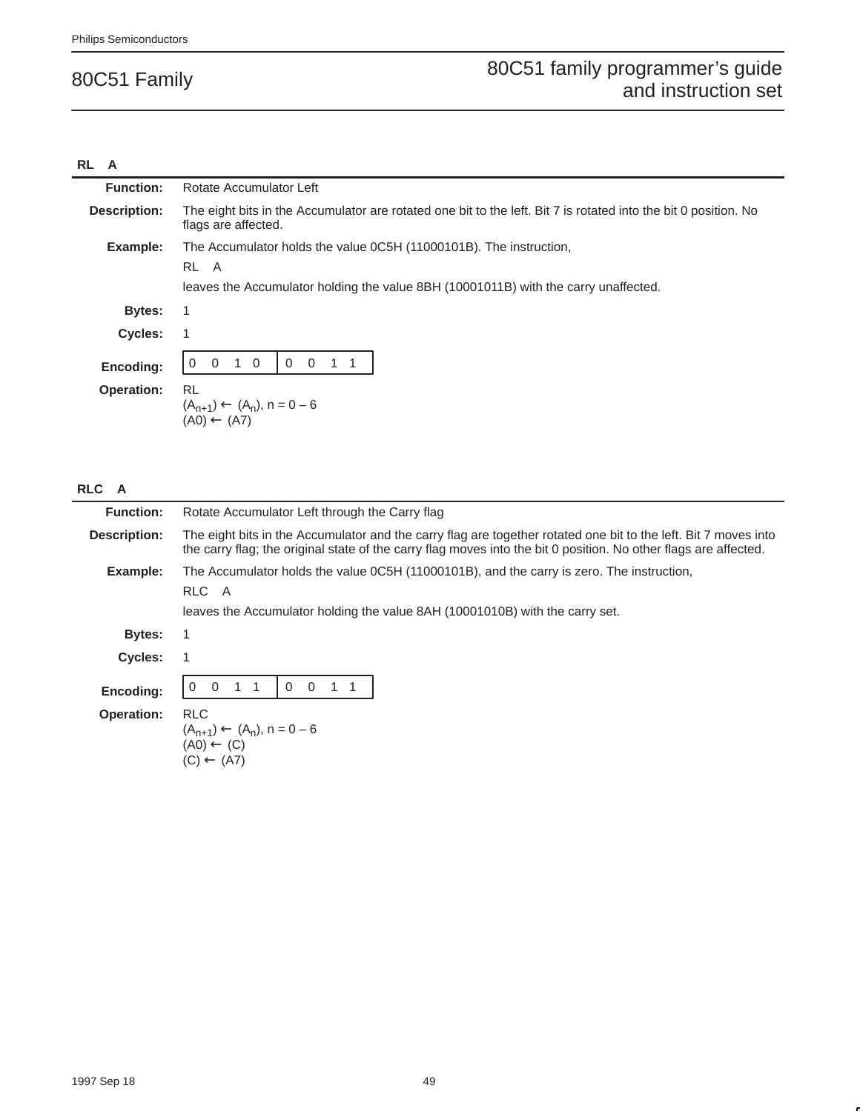#### **RL A**

| <b>Function:</b>    | Rotate Accumulator Left                                                                                                                |
|---------------------|----------------------------------------------------------------------------------------------------------------------------------------|
| <b>Description:</b> | The eight bits in the Accumulator are rotated one bit to the left. Bit 7 is rotated into the bit 0 position. No<br>flags are affected. |
| Example:            | The Accumulator holds the value 0C5H (11000101B). The instruction,                                                                     |
|                     | RL A                                                                                                                                   |
|                     | leaves the Accumulator holding the value 8BH (10001011B) with the carry unaffected.                                                    |
| Bytes:              | -1                                                                                                                                     |
| <b>Cycles:</b>      | 1                                                                                                                                      |
| Encoding:           | $\overline{0}$<br>$\Omega$<br>$\Omega$                                                                                                 |
| <b>Operation:</b>   | RL<br>$(A_{n+1}) \leftarrow (A_n)$ , n = 0 - 6<br>$(A0) \leftarrow (A7)$                                                               |

## **RLC A**

| <b>Function:</b>    | Rotate Accumulator Left through the Carry flag                                                                                                                                                                                      |  |  |
|---------------------|-------------------------------------------------------------------------------------------------------------------------------------------------------------------------------------------------------------------------------------|--|--|
| <b>Description:</b> | The eight bits in the Accumulator and the carry flag are together rotated one bit to the left. Bit 7 moves into<br>the carry flag; the original state of the carry flag moves into the bit 0 position. No other flags are affected. |  |  |
| Example:            | The Accumulator holds the value 0C5H (11000101B), and the carry is zero. The instruction,<br>RLC A<br>leaves the Accumulator holding the value 8AH (10001010B) with the carry set.                                                  |  |  |
| Bytes:              |                                                                                                                                                                                                                                     |  |  |
| <b>Cycles:</b>      |                                                                                                                                                                                                                                     |  |  |
| Encoding:           | $\Omega$<br>$\Omega$<br>$\mathbf{1}$<br>$\overline{1}$<br>0<br>-1<br>$\left( \right)$                                                                                                                                               |  |  |
| <b>Operation:</b>   | <b>RLC</b><br>$(A_{n+1}) \leftarrow (A_n)$ , n = 0 - 6<br>$(AO) \leftarrow (C)$<br>$(C) \leftarrow (A7)$                                                                                                                            |  |  |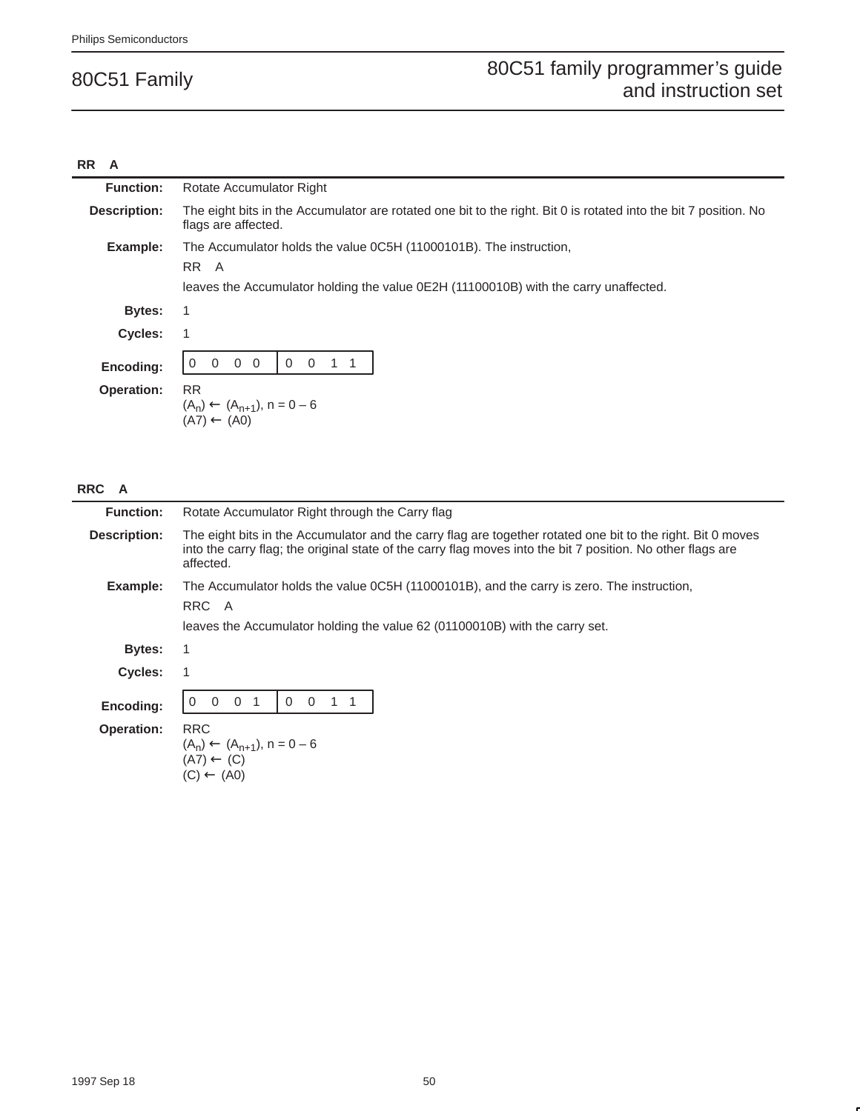#### **RR A**

| <b>Function:</b>    | Rotate Accumulator Right                                                                                                                                           |  |  |  |
|---------------------|--------------------------------------------------------------------------------------------------------------------------------------------------------------------|--|--|--|
| <b>Description:</b> | The eight bits in the Accumulator are rotated one bit to the right. Bit 0 is rotated into the bit 7 position. No<br>flags are affected.                            |  |  |  |
| Example:            | The Accumulator holds the value 0C5H (11000101B). The instruction,<br>RR A<br>leaves the Accumulator holding the value 0E2H (11100010B) with the carry unaffected. |  |  |  |
| <b>Bytes:</b>       | 1                                                                                                                                                                  |  |  |  |
| <b>Cycles:</b>      | 1                                                                                                                                                                  |  |  |  |
| Encoding:           | $0\quad 0$<br>$\overline{0}$<br>$\overline{0}$<br>$\Omega$                                                                                                         |  |  |  |
| <b>Operation:</b>   | <b>RR</b><br>$(A_n) \leftarrow (A_{n+1}), n = 0 - 6$<br>$(A7) \leftarrow (A0)$                                                                                     |  |  |  |

## **RRC A**

| <b>Function:</b>  | Rotate Accumulator Right through the Carry flag                                                                                                                                                                                         |  |  |  |
|-------------------|-----------------------------------------------------------------------------------------------------------------------------------------------------------------------------------------------------------------------------------------|--|--|--|
| Description:      | The eight bits in the Accumulator and the carry flag are together rotated one bit to the right. Bit 0 moves<br>into the carry flag; the original state of the carry flag moves into the bit 7 position. No other flags are<br>affected. |  |  |  |
| Example:          | The Accumulator holds the value 0C5H (11000101B), and the carry is zero. The instruction,<br>RRC A<br>leaves the Accumulator holding the value 62 (01100010B) with the carry set.                                                       |  |  |  |
| Bytes:            | 1                                                                                                                                                                                                                                       |  |  |  |
| <b>Cycles:</b>    |                                                                                                                                                                                                                                         |  |  |  |
| Encoding:         | $\Omega$<br>$\overline{0}$<br>$\Omega$<br>$\Omega$                                                                                                                                                                                      |  |  |  |
| <b>Operation:</b> | <b>RRC</b><br>$(A_n) \leftarrow (A_{n+1}), n = 0 - 6$<br>$(A7) \leftarrow (C)$<br>$(C) \leftarrow (AO)$                                                                                                                                 |  |  |  |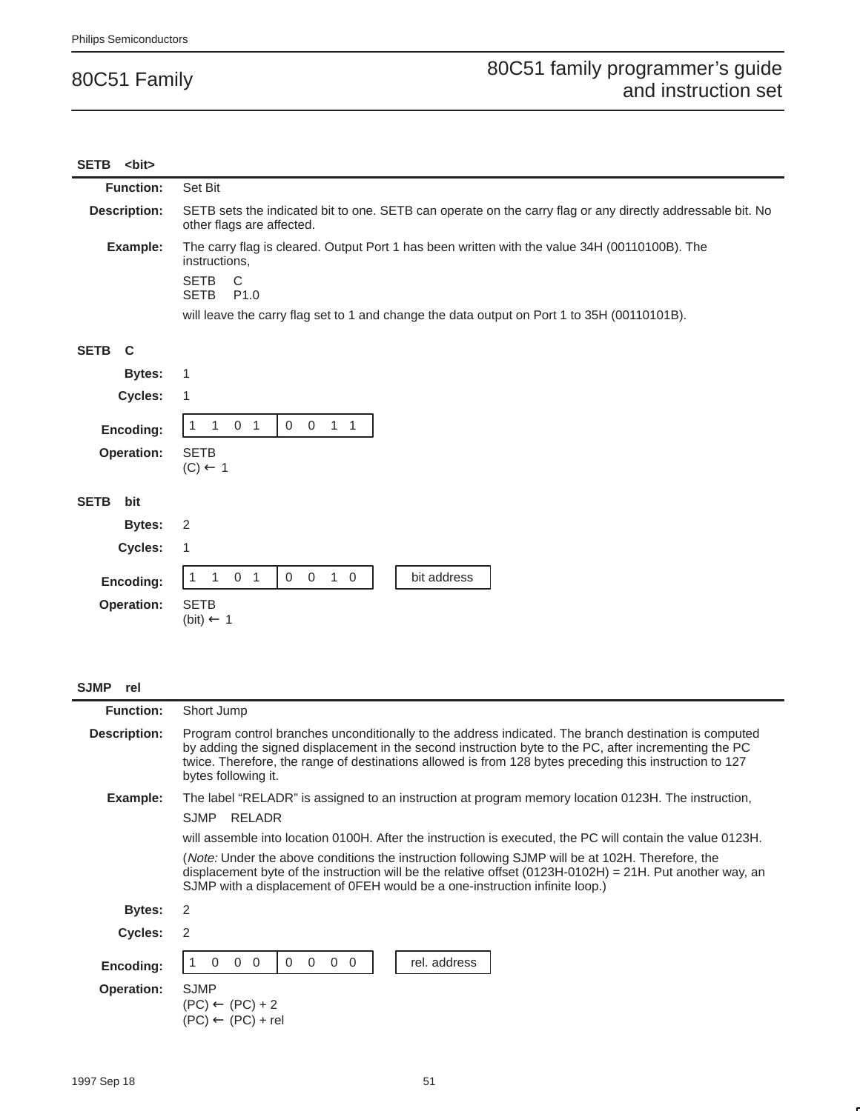### SETB <bit> **Function:** Set Bit **Description:** SETB sets the indicated bit to one. SETB can operate on the carry flag or any directly addressable bit. No other flags are affected. **Example:** The carry flag is cleared. Output Port 1 has been written with the value 34H (00110100B). The instructions, SETB C<br>SETB P1.0 **SETB** will leave the carry flag set to 1 and change the data output on Port 1 to 35H (00110101B). **SETB C Bytes:** 1 **Cycles:** 1 **Encoding:**  $\begin{bmatrix} 1 & 1 & 0 & 1 \end{bmatrix}$  0 0 1 1 **Operation:** SETB  $(C) \leftarrow 1$ **SETB bit Bytes:** 2 **Cycles:** 1 **Encoding:** 1 1 0 1 0 0 1 0 bit address **Operation:** SETB  $(bit) \leftarrow 1$

#### **SJMP rel**

| <b>Function:</b>  | Short Jump                                                                                                                                                                                                                                                                                                                                       |  |  |  |  |
|-------------------|--------------------------------------------------------------------------------------------------------------------------------------------------------------------------------------------------------------------------------------------------------------------------------------------------------------------------------------------------|--|--|--|--|
| Description:      | Program control branches unconditionally to the address indicated. The branch destination is computed<br>by adding the signed displacement in the second instruction byte to the PC, after incrementing the PC<br>twice. Therefore, the range of destinations allowed is from 128 bytes preceding this instruction to 127<br>bytes following it. |  |  |  |  |
| Example:          | The label "RELADR" is assigned to an instruction at program memory location 0123H. The instruction,                                                                                                                                                                                                                                              |  |  |  |  |
|                   | <b>SJMP</b><br>RELADR                                                                                                                                                                                                                                                                                                                            |  |  |  |  |
|                   | will assemble into location 0100H. After the instruction is executed, the PC will contain the value 0123H.                                                                                                                                                                                                                                       |  |  |  |  |
|                   | (Note: Under the above conditions the instruction following SJMP will be at 102H. Therefore, the<br>displacement byte of the instruction will be the relative offset $(0123H-0102H) = 21H$ . Put another way, an<br>SJMP with a displacement of OFEH would be a one-instruction infinite loop.)                                                  |  |  |  |  |
| <b>Bytes:</b>     | 2                                                                                                                                                                                                                                                                                                                                                |  |  |  |  |
| Cycles:           | 2                                                                                                                                                                                                                                                                                                                                                |  |  |  |  |
| Encoding:         | $\Omega$<br>rel. address<br>$0\quad 0$<br>$\overline{0}$<br>$\overline{0}$<br>$\Omega$<br>$\Omega$                                                                                                                                                                                                                                               |  |  |  |  |
| <b>Operation:</b> | <b>SJMP</b><br>$(PC) \leftarrow (PC) + 2$<br>$(PC) \leftarrow (PC) + rel$                                                                                                                                                                                                                                                                        |  |  |  |  |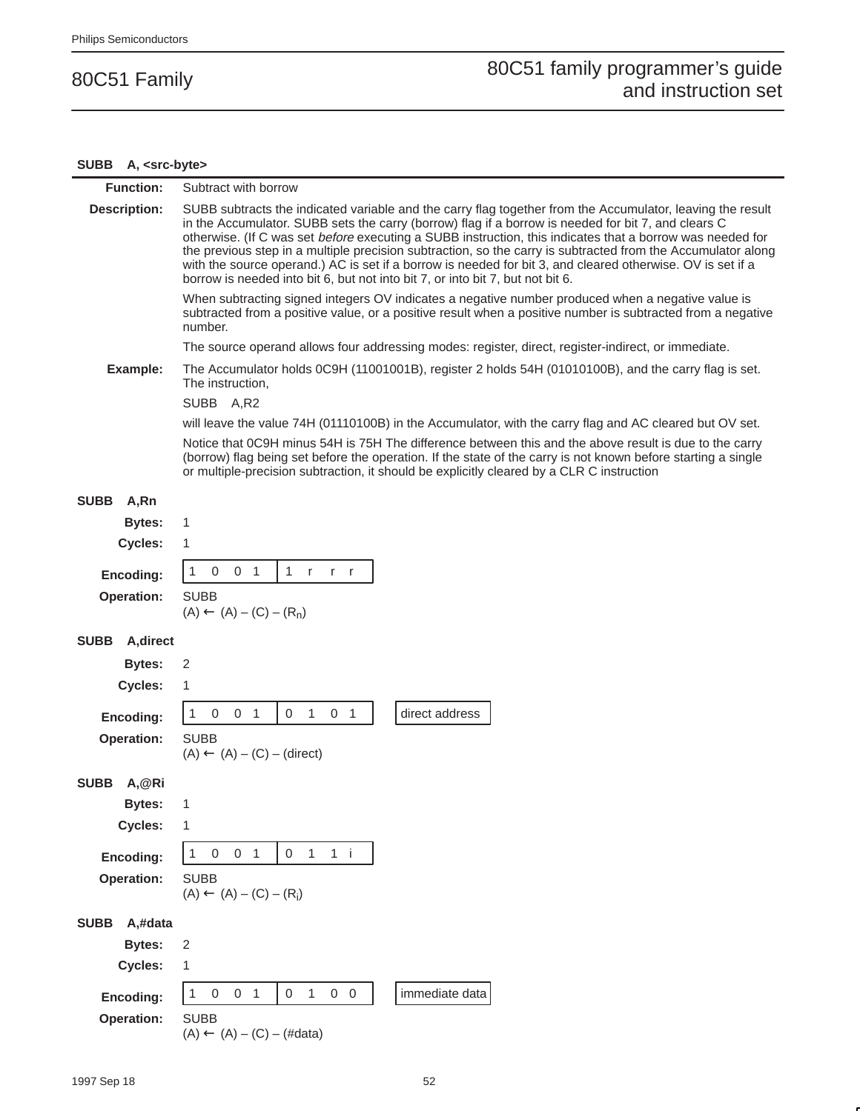#### **SUBB A, <src-byte>** L.

| <b>Function:</b>         | Subtract with borrow                                                                                                                                                                                                                                                                                                                                                                                                                                                                                                                                                                                                                           |  |  |  |  |
|--------------------------|------------------------------------------------------------------------------------------------------------------------------------------------------------------------------------------------------------------------------------------------------------------------------------------------------------------------------------------------------------------------------------------------------------------------------------------------------------------------------------------------------------------------------------------------------------------------------------------------------------------------------------------------|--|--|--|--|
| <b>Description:</b>      | SUBB subtracts the indicated variable and the carry flag together from the Accumulator, leaving the result<br>in the Accumulator. SUBB sets the carry (borrow) flag if a borrow is needed for bit 7, and clears C<br>otherwise. (If C was set before executing a SUBB instruction, this indicates that a borrow was needed for<br>the previous step in a multiple precision subtraction, so the carry is subtracted from the Accumulator along<br>with the source operand.) AC is set if a borrow is needed for bit 3, and cleared otherwise. OV is set if a<br>borrow is needed into bit 6, but not into bit 7, or into bit 7, but not bit 6. |  |  |  |  |
|                          | When subtracting signed integers OV indicates a negative number produced when a negative value is<br>subtracted from a positive value, or a positive result when a positive number is subtracted from a negative<br>number.                                                                                                                                                                                                                                                                                                                                                                                                                    |  |  |  |  |
|                          | The source operand allows four addressing modes: register, direct, register-indirect, or immediate.                                                                                                                                                                                                                                                                                                                                                                                                                                                                                                                                            |  |  |  |  |
| Example:                 | The Accumulator holds 0C9H (11001001B), register 2 holds 54H (01010100B), and the carry flag is set.<br>The instruction,                                                                                                                                                                                                                                                                                                                                                                                                                                                                                                                       |  |  |  |  |
|                          | SUBB A,R2                                                                                                                                                                                                                                                                                                                                                                                                                                                                                                                                                                                                                                      |  |  |  |  |
|                          | will leave the value 74H (01110100B) in the Accumulator, with the carry flag and AC cleared but OV set.                                                                                                                                                                                                                                                                                                                                                                                                                                                                                                                                        |  |  |  |  |
|                          | Notice that 0C9H minus 54H is 75H The difference between this and the above result is due to the carry<br>(borrow) flag being set before the operation. If the state of the carry is not known before starting a single<br>or multiple-precision subtraction, it should be explicitly cleared by a CLR C instruction                                                                                                                                                                                                                                                                                                                           |  |  |  |  |
| <b>SUBB</b><br>A,Rn      |                                                                                                                                                                                                                                                                                                                                                                                                                                                                                                                                                                                                                                                |  |  |  |  |
| <b>Bytes:</b>            | 1                                                                                                                                                                                                                                                                                                                                                                                                                                                                                                                                                                                                                                              |  |  |  |  |
| <b>Cycles:</b>           | 1                                                                                                                                                                                                                                                                                                                                                                                                                                                                                                                                                                                                                                              |  |  |  |  |
| Encoding:                | 1<br>0 <sub>1</sub><br>1 r<br>0<br>$r$ r                                                                                                                                                                                                                                                                                                                                                                                                                                                                                                                                                                                                       |  |  |  |  |
| <b>Operation:</b>        | <b>SUBB</b><br>$(A) \leftarrow (A) - (C) - (R_n)$                                                                                                                                                                                                                                                                                                                                                                                                                                                                                                                                                                                              |  |  |  |  |
| <b>SUBB</b><br>A, direct |                                                                                                                                                                                                                                                                                                                                                                                                                                                                                                                                                                                                                                                |  |  |  |  |
| <b>Bytes:</b>            | 2                                                                                                                                                                                                                                                                                                                                                                                                                                                                                                                                                                                                                                              |  |  |  |  |
| Cycles:                  | 1                                                                                                                                                                                                                                                                                                                                                                                                                                                                                                                                                                                                                                              |  |  |  |  |
| Encoding:                | $\mathbf 0$<br>$\mathbf{1}$<br>$\mathbf 0$<br>direct address<br>1<br>0<br>0 <sub>1</sub><br>$\overline{1}$                                                                                                                                                                                                                                                                                                                                                                                                                                                                                                                                     |  |  |  |  |
| Operation:               | <b>SUBB</b>                                                                                                                                                                                                                                                                                                                                                                                                                                                                                                                                                                                                                                    |  |  |  |  |
|                          | $(A) \leftarrow (A) - (C) - (direct)$                                                                                                                                                                                                                                                                                                                                                                                                                                                                                                                                                                                                          |  |  |  |  |
| <b>SUBB</b><br>A,@Ri     |                                                                                                                                                                                                                                                                                                                                                                                                                                                                                                                                                                                                                                                |  |  |  |  |
| <b>Bytes:</b>            | 1                                                                                                                                                                                                                                                                                                                                                                                                                                                                                                                                                                                                                                              |  |  |  |  |
| Cycles:                  | 1                                                                                                                                                                                                                                                                                                                                                                                                                                                                                                                                                                                                                                              |  |  |  |  |
| Encoding:                | 0 <sub>1</sub><br>1<br>$\mathbf 0$<br>0<br>$\mathbf{1}$<br>$1$ i                                                                                                                                                                                                                                                                                                                                                                                                                                                                                                                                                                               |  |  |  |  |
| <b>Operation:</b>        | <b>SUBB</b>                                                                                                                                                                                                                                                                                                                                                                                                                                                                                                                                                                                                                                    |  |  |  |  |
|                          | $(A) \leftarrow (A) - (C) - (R_i)$                                                                                                                                                                                                                                                                                                                                                                                                                                                                                                                                                                                                             |  |  |  |  |
| <b>SUBB</b><br>A,#data   |                                                                                                                                                                                                                                                                                                                                                                                                                                                                                                                                                                                                                                                |  |  |  |  |
| <b>Bytes:</b>            | $\sqrt{2}$                                                                                                                                                                                                                                                                                                                                                                                                                                                                                                                                                                                                                                     |  |  |  |  |
| Cycles:                  | 1                                                                                                                                                                                                                                                                                                                                                                                                                                                                                                                                                                                                                                              |  |  |  |  |
| Encoding:                | $0\quad 0$<br>immediate data<br>1<br>$\,0\,$<br>0 <sub>1</sub><br>$\mathbf 0$<br>$\mathbf{1}$                                                                                                                                                                                                                                                                                                                                                                                                                                                                                                                                                  |  |  |  |  |
| <b>Operation:</b>        | <b>SUBB</b>                                                                                                                                                                                                                                                                                                                                                                                                                                                                                                                                                                                                                                    |  |  |  |  |
|                          | $(A) \leftarrow (A) - (C) - (\#data)$                                                                                                                                                                                                                                                                                                                                                                                                                                                                                                                                                                                                          |  |  |  |  |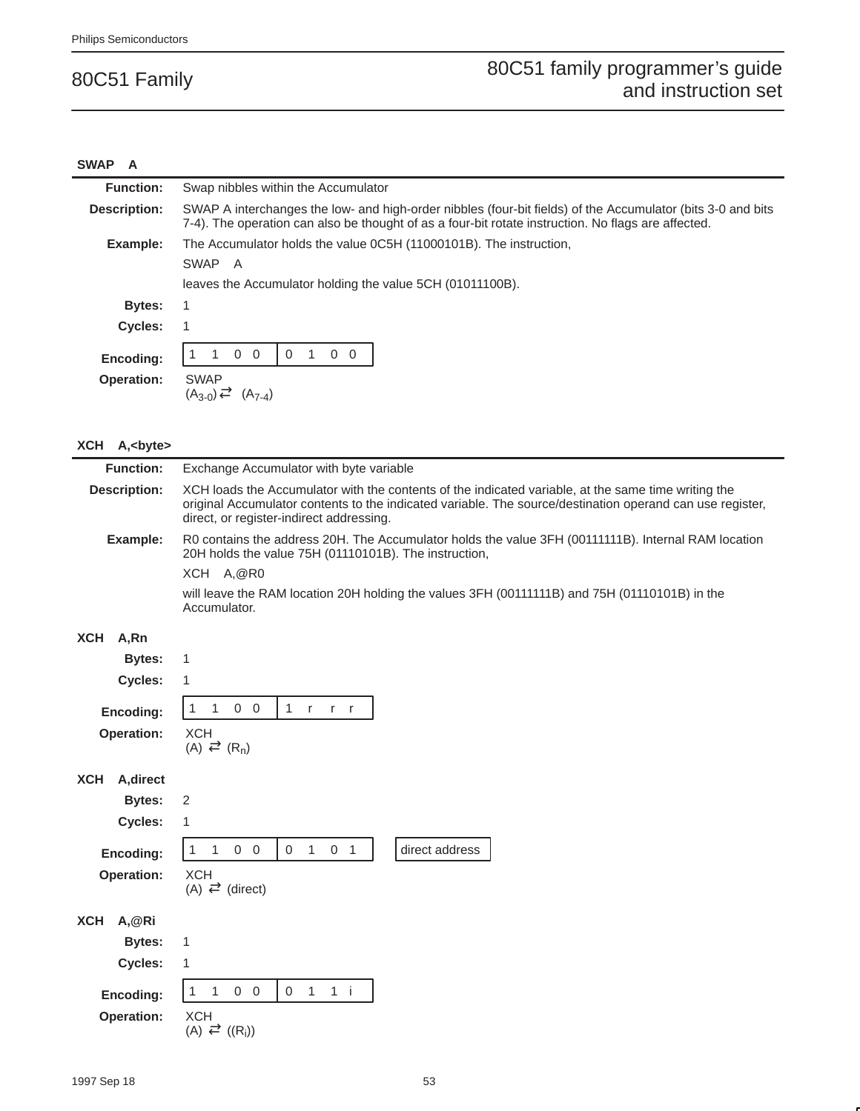#### **SWAP A**

| <b>Function:</b>  | Swap nibbles within the Accumulator                                                                                                                                                                                |  |  |  |  |
|-------------------|--------------------------------------------------------------------------------------------------------------------------------------------------------------------------------------------------------------------|--|--|--|--|
| Description:      | SWAP A interchanges the low- and high-order nibbles (four-bit fields) of the Accumulator (bits 3-0 and bits<br>7-4). The operation can also be thought of as a four-bit rotate instruction. No flags are affected. |  |  |  |  |
| Example:          | The Accumulator holds the value 0C5H (11000101B). The instruction,                                                                                                                                                 |  |  |  |  |
|                   | SWAP A                                                                                                                                                                                                             |  |  |  |  |
|                   | leaves the Accumulator holding the value 5CH (01011100B).                                                                                                                                                          |  |  |  |  |
| <b>Bytes:</b>     |                                                                                                                                                                                                                    |  |  |  |  |
| <b>Cycles:</b>    |                                                                                                                                                                                                                    |  |  |  |  |
| Encoding:         | $\overline{0}$<br>$\Omega$<br>$\overline{0}$<br>0<br>0                                                                                                                                                             |  |  |  |  |
| <b>Operation:</b> | <b>SWAP</b><br>$(A_{3-0}) \rightleftarrows (A_{7-4})$                                                                                                                                                              |  |  |  |  |

#### **XCH A,<byte>**

| <b>Function:</b>                                                               | Exchange Accumulator with byte variable                                                                                                                                                                                                                      |  |  |
|--------------------------------------------------------------------------------|--------------------------------------------------------------------------------------------------------------------------------------------------------------------------------------------------------------------------------------------------------------|--|--|
| <b>Description:</b>                                                            | XCH loads the Accumulator with the contents of the indicated variable, at the same time writing the<br>original Accumulator contents to the indicated variable. The source/destination operand can use register,<br>direct, or register-indirect addressing. |  |  |
| Example:                                                                       | R0 contains the address 20H. The Accumulator holds the value 3FH (00111111B). Internal RAM location<br>20H holds the value 75H (01110101B). The instruction,<br>XCH A,@R0                                                                                    |  |  |
|                                                                                | will leave the RAM location 20H holding the values 3FH (00111111B) and 75H (01110101B) in the<br>Accumulator.                                                                                                                                                |  |  |
| <b>XCH</b><br>A,Rn                                                             |                                                                                                                                                                                                                                                              |  |  |
| <b>Bytes:</b>                                                                  | 1                                                                                                                                                                                                                                                            |  |  |
| Cycles:                                                                        | 1                                                                                                                                                                                                                                                            |  |  |
| Encoding:<br>Operation:                                                        | $\mathbf{1}$<br>$0\quad 0$<br>1 $r$ $r$ $r$<br>$\mathbf{1}$<br><b>XCH</b><br>$(A) \rightleftarrows (R_n)$                                                                                                                                                    |  |  |
| A, direct<br><b>XCH</b><br><b>Bytes:</b><br>Cycles:<br>Encoding:<br>Operation: | $\overline{2}$<br>$\mathbf{1}$<br>$0\quad 0$<br>$\overline{0}$<br>1<br>0 <sub>1</sub><br>direct address<br>$\mathbf{1}$<br>$\mathbf{1}$<br><b>XCH</b><br>$(A) \rightleftarrows$ (direct)                                                                     |  |  |
| A,@Ri<br><b>XCH</b><br><b>Bytes:</b><br>Cycles:<br>Encoding:<br>Operation:     | 1<br>1<br>$0\quad 0$<br>$1 \quad 1 \quad i$<br>$\mathbf{1}$<br>$\mathbf{1}$<br>$\overline{0}$<br><b>XCH</b><br>$(A) \rightleftarrows ((R_i))$                                                                                                                |  |  |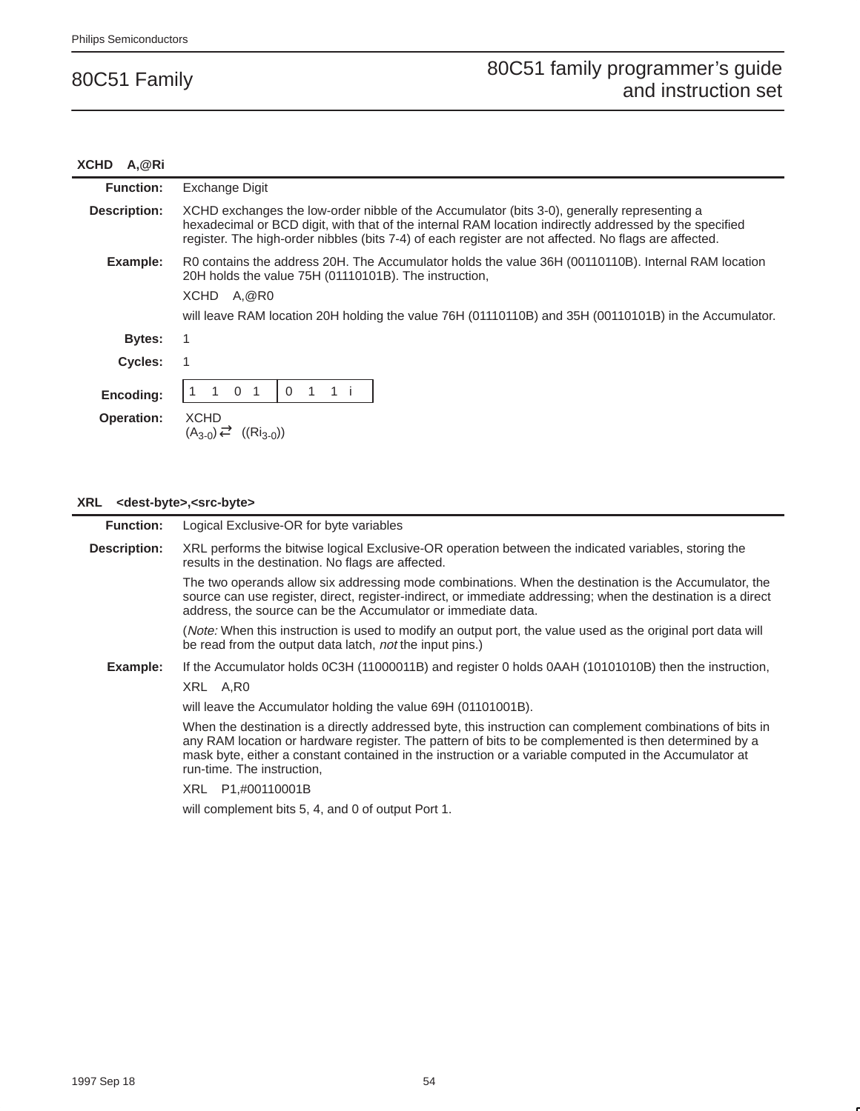#### **XCHD A,@Ri**

| <b>Function:</b>  | Exchange Digit                                                                                                                                                                                                                                                                                                 |  |  |  |
|-------------------|----------------------------------------------------------------------------------------------------------------------------------------------------------------------------------------------------------------------------------------------------------------------------------------------------------------|--|--|--|
| Description:      | XCHD exchanges the low-order nibble of the Accumulator (bits 3-0), generally representing a<br>hexadecimal or BCD digit, with that of the internal RAM location indirectly addressed by the specified<br>register. The high-order nibbles (bits 7-4) of each register are not affected. No flags are affected. |  |  |  |
| Example:          | R0 contains the address 20H. The Accumulator holds the value 36H (00110110B). Internal RAM location<br>20H holds the value 75H (01110101B). The instruction,                                                                                                                                                   |  |  |  |
|                   | XCHD A, @R0                                                                                                                                                                                                                                                                                                    |  |  |  |
|                   | will leave RAM location 20H holding the value 76H (01110110B) and 35H (00110101B) in the Accumulator.                                                                                                                                                                                                          |  |  |  |
| <b>Bytes:</b>     |                                                                                                                                                                                                                                                                                                                |  |  |  |
| <b>Cycles:</b>    |                                                                                                                                                                                                                                                                                                                |  |  |  |
| Encoding:         | $\Omega$<br>$\Omega$                                                                                                                                                                                                                                                                                           |  |  |  |
| <b>Operation:</b> | <b>XCHD</b><br>$(A_{3-0}) \rightleftarrows (Ri_{3-0})$                                                                                                                                                                                                                                                         |  |  |  |

#### **XRL <dest-byte>,<src-byte>**

| <b>Function:</b>    | Logical Exclusive-OR for byte variables                                                                                                                                                                                                                                                                                                                     |  |  |
|---------------------|-------------------------------------------------------------------------------------------------------------------------------------------------------------------------------------------------------------------------------------------------------------------------------------------------------------------------------------------------------------|--|--|
| <b>Description:</b> | XRL performs the bitwise logical Exclusive-OR operation between the indicated variables, storing the<br>results in the destination. No flags are affected.                                                                                                                                                                                                  |  |  |
|                     | The two operands allow six addressing mode combinations. When the destination is the Accumulator, the<br>source can use register, direct, register-indirect, or immediate addressing; when the destination is a direct<br>address, the source can be the Accumulator or immediate data.                                                                     |  |  |
|                     | (Note: When this instruction is used to modify an output port, the value used as the original port data will<br>be read from the output data latch, not the input pins.)                                                                                                                                                                                    |  |  |
| Example:            | If the Accumulator holds 0C3H (11000011B) and register 0 holds 0AAH (10101010B) then the instruction,                                                                                                                                                                                                                                                       |  |  |
|                     | XRL A.RO                                                                                                                                                                                                                                                                                                                                                    |  |  |
|                     | will leave the Accumulator holding the value 69H (01101001B).                                                                                                                                                                                                                                                                                               |  |  |
|                     | When the destination is a directly addressed byte, this instruction can complement combinations of bits in<br>any RAM location or hardware register. The pattern of bits to be complemented is then determined by a<br>mask byte, either a constant contained in the instruction or a variable computed in the Accumulator at<br>run-time. The instruction, |  |  |
|                     | XRL<br>P1,#00110001B                                                                                                                                                                                                                                                                                                                                        |  |  |
|                     | will complement bits 5, 4, and 0 of output Port 1.                                                                                                                                                                                                                                                                                                          |  |  |